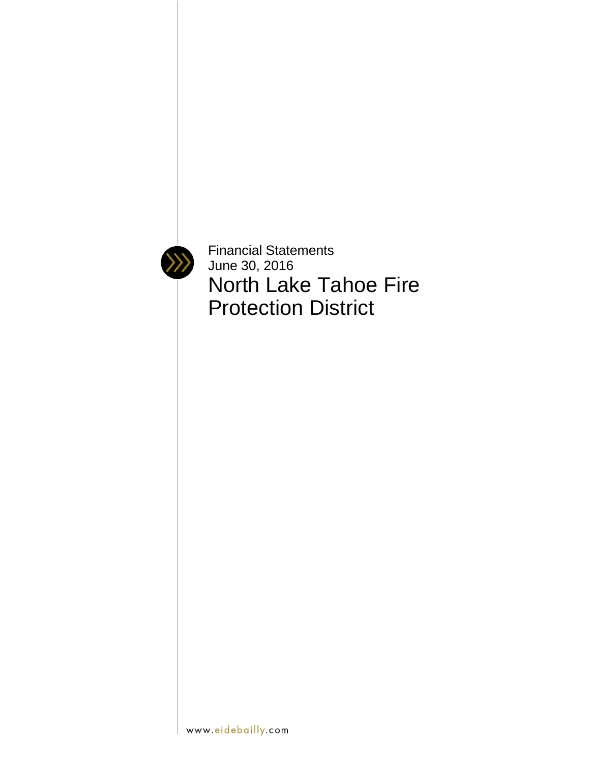

Financial Statements June 30, 2016 North Lake Tahoe Fire Protection District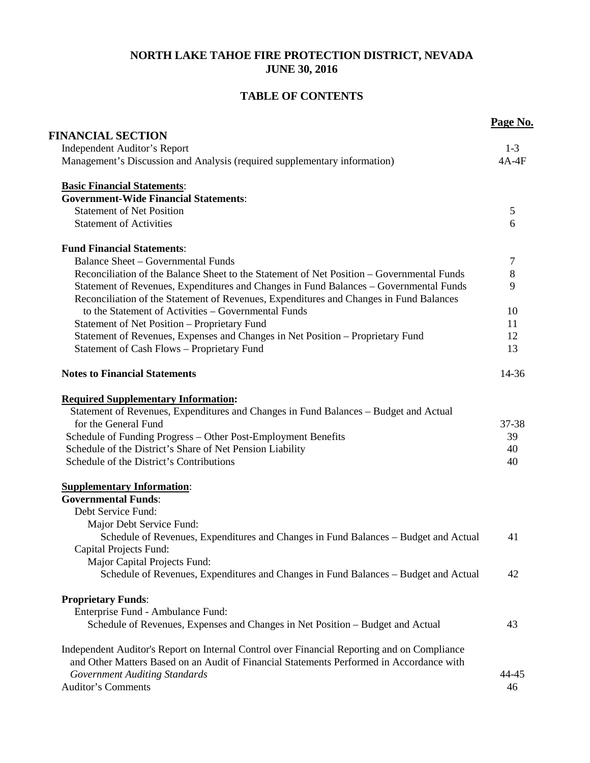# **NORTH LAKE TAHOE FIRE PROTECTION DISTRICT, NEVADA JUNE 30, 2016**

# **TABLE OF CONTENTS**

|                                                                                                                  | Page No.         |
|------------------------------------------------------------------------------------------------------------------|------------------|
| <b>FINANCIAL SECTION</b>                                                                                         |                  |
| <b>Independent Auditor's Report</b><br>Management's Discussion and Analysis (required supplementary information) | $1-3$<br>$4A-4F$ |
|                                                                                                                  |                  |
| <b>Basic Financial Statements:</b>                                                                               |                  |
| <b>Government-Wide Financial Statements:</b>                                                                     |                  |
| <b>Statement of Net Position</b>                                                                                 | 5                |
| <b>Statement of Activities</b>                                                                                   | 6                |
| <b>Fund Financial Statements:</b>                                                                                |                  |
| <b>Balance Sheet - Governmental Funds</b>                                                                        | $\overline{7}$   |
| Reconciliation of the Balance Sheet to the Statement of Net Position - Governmental Funds                        | $8\,$            |
| Statement of Revenues, Expenditures and Changes in Fund Balances - Governmental Funds                            | 9                |
| Reconciliation of the Statement of Revenues, Expenditures and Changes in Fund Balances                           |                  |
| to the Statement of Activities – Governmental Funds                                                              | 10               |
| Statement of Net Position - Proprietary Fund                                                                     | 11               |
| Statement of Revenues, Expenses and Changes in Net Position - Proprietary Fund                                   | 12               |
| <b>Statement of Cash Flows - Proprietary Fund</b>                                                                | 13               |
| <b>Notes to Financial Statements</b>                                                                             | $14 - 36$        |
| <b>Required Supplementary Information:</b>                                                                       |                  |
| Statement of Revenues, Expenditures and Changes in Fund Balances - Budget and Actual                             |                  |
| for the General Fund                                                                                             | 37-38            |
| Schedule of Funding Progress - Other Post-Employment Benefits                                                    | 39               |
| Schedule of the District's Share of Net Pension Liability                                                        | 40               |
| Schedule of the District's Contributions                                                                         | 40               |
| <b>Supplementary Information:</b>                                                                                |                  |
| <b>Governmental Funds:</b>                                                                                       |                  |
| Debt Service Fund:                                                                                               |                  |
| Major Debt Service Fund:                                                                                         |                  |
| Schedule of Revenues, Expenditures and Changes in Fund Balances – Budget and Actual                              | 41               |
| Capital Projects Fund:                                                                                           |                  |
| Major Capital Projects Fund:                                                                                     |                  |
| Schedule of Revenues, Expenditures and Changes in Fund Balances – Budget and Actual                              | 42               |
| <b>Proprietary Funds:</b>                                                                                        |                  |
| Enterprise Fund - Ambulance Fund:                                                                                |                  |
| Schedule of Revenues, Expenses and Changes in Net Position - Budget and Actual                                   | 43               |
| Independent Auditor's Report on Internal Control over Financial Reporting and on Compliance                      |                  |
| and Other Matters Based on an Audit of Financial Statements Performed in Accordance with                         |                  |
| <b>Government Auditing Standards</b>                                                                             | 44-45            |
| <b>Auditor's Comments</b>                                                                                        | 46               |
|                                                                                                                  |                  |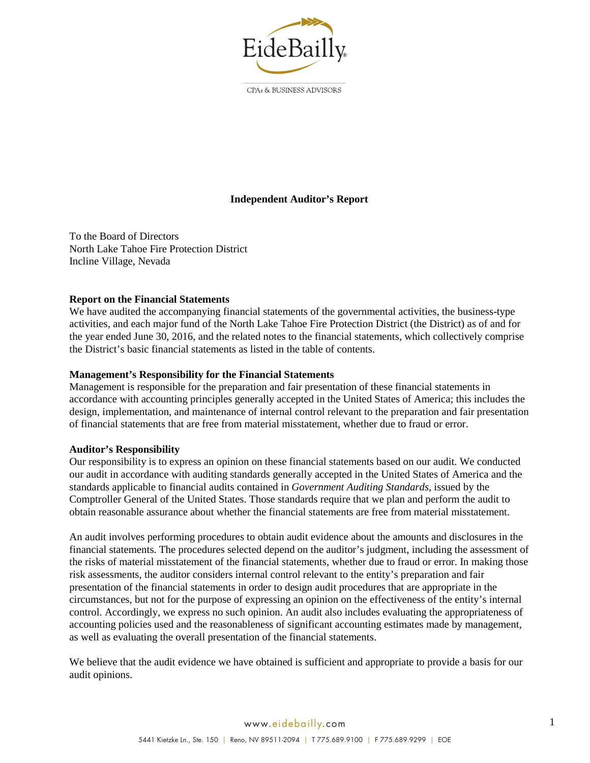

CPAs & BUSINESS ADVISORS

## **Independent Auditor's Report**

To the Board of Directors North Lake Tahoe Fire Protection District Incline Village, Nevada

### **Report on the Financial Statements**

We have audited the accompanying financial statements of the governmental activities, the business-type activities, and each major fund of the North Lake Tahoe Fire Protection District (the District) as of and for the year ended June 30, 2016, and the related notes to the financial statements, which collectively comprise the District's basic financial statements as listed in the table of contents.

#### **Management's Responsibility for the Financial Statements**

Management is responsible for the preparation and fair presentation of these financial statements in accordance with accounting principles generally accepted in the United States of America; this includes the design, implementation, and maintenance of internal control relevant to the preparation and fair presentation of financial statements that are free from material misstatement, whether due to fraud or error.

#### **Auditor's Responsibility**

Our responsibility is to express an opinion on these financial statements based on our audit. We conducted our audit in accordance with auditing standards generally accepted in the United States of America and the standards applicable to financial audits contained in *Government Auditing Standards*, issued by the Comptroller General of the United States. Those standards require that we plan and perform the audit to obtain reasonable assurance about whether the financial statements are free from material misstatement.

An audit involves performing procedures to obtain audit evidence about the amounts and disclosures in the financial statements. The procedures selected depend on the auditor's judgment, including the assessment of the risks of material misstatement of the financial statements, whether due to fraud or error. In making those risk assessments, the auditor considers internal control relevant to the entity's preparation and fair presentation of the financial statements in order to design audit procedures that are appropriate in the circumstances, but not for the purpose of expressing an opinion on the effectiveness of the entity's internal control. Accordingly, we express no such opinion. An audit also includes evaluating the appropriateness of accounting policies used and the reasonableness of significant accounting estimates made by management, as well as evaluating the overall presentation of the financial statements.

We believe that the audit evidence we have obtained is sufficient and appropriate to provide a basis for our audit opinions.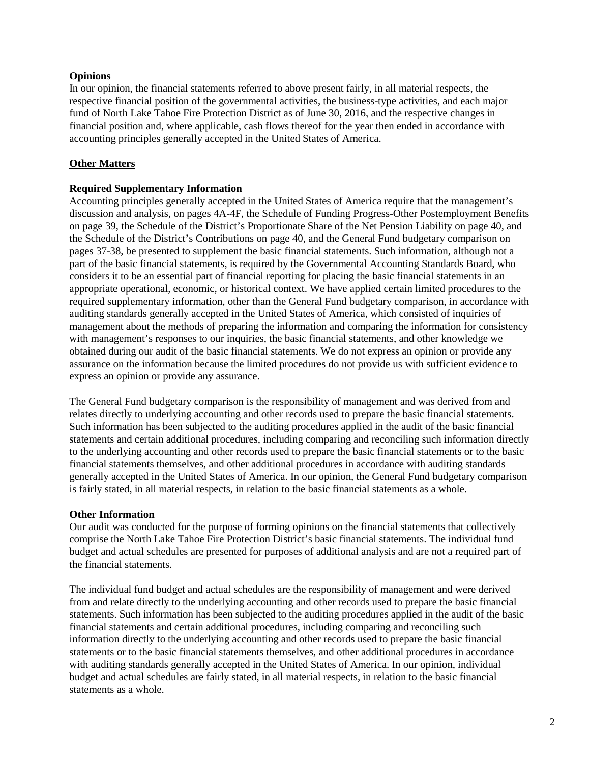### **Opinions**

In our opinion, the financial statements referred to above present fairly, in all material respects, the respective financial position of the governmental activities, the business-type activities, and each major fund of North Lake Tahoe Fire Protection District as of June 30, 2016, and the respective changes in financial position and, where applicable, cash flows thereof for the year then ended in accordance with accounting principles generally accepted in the United States of America.

### **Other Matters**

### **Required Supplementary Information**

Accounting principles generally accepted in the United States of America require that the management's discussion and analysis, on pages 4A-4F, the Schedule of Funding Progress-Other Postemployment Benefits on page 39, the Schedule of the District's Proportionate Share of the Net Pension Liability on page 40, and the Schedule of the District's Contributions on page 40, and the General Fund budgetary comparison on pages 37-38, be presented to supplement the basic financial statements. Such information, although not a part of the basic financial statements, is required by the Governmental Accounting Standards Board, who considers it to be an essential part of financial reporting for placing the basic financial statements in an appropriate operational, economic, or historical context. We have applied certain limited procedures to the required supplementary information, other than the General Fund budgetary comparison, in accordance with auditing standards generally accepted in the United States of America, which consisted of inquiries of management about the methods of preparing the information and comparing the information for consistency with management's responses to our inquiries, the basic financial statements, and other knowledge we obtained during our audit of the basic financial statements. We do not express an opinion or provide any assurance on the information because the limited procedures do not provide us with sufficient evidence to express an opinion or provide any assurance.

The General Fund budgetary comparison is the responsibility of management and was derived from and relates directly to underlying accounting and other records used to prepare the basic financial statements. Such information has been subjected to the auditing procedures applied in the audit of the basic financial statements and certain additional procedures, including comparing and reconciling such information directly to the underlying accounting and other records used to prepare the basic financial statements or to the basic financial statements themselves, and other additional procedures in accordance with auditing standards generally accepted in the United States of America. In our opinion, the General Fund budgetary comparison is fairly stated, in all material respects, in relation to the basic financial statements as a whole.

### **Other Information**

Our audit was conducted for the purpose of forming opinions on the financial statements that collectively comprise the North Lake Tahoe Fire Protection District's basic financial statements. The individual fund budget and actual schedules are presented for purposes of additional analysis and are not a required part of the financial statements.

The individual fund budget and actual schedules are the responsibility of management and were derived from and relate directly to the underlying accounting and other records used to prepare the basic financial statements. Such information has been subjected to the auditing procedures applied in the audit of the basic financial statements and certain additional procedures, including comparing and reconciling such information directly to the underlying accounting and other records used to prepare the basic financial statements or to the basic financial statements themselves, and other additional procedures in accordance with auditing standards generally accepted in the United States of America. In our opinion, individual budget and actual schedules are fairly stated, in all material respects, in relation to the basic financial statements as a whole.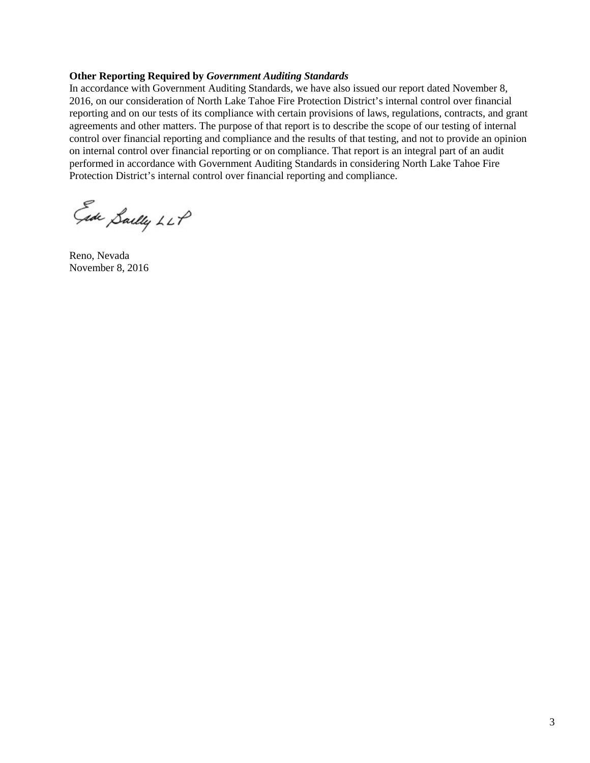#### **Other Reporting Required by** *Government Auditing Standards*

In accordance with Government Auditing Standards, we have also issued our report dated November 8, 2016, on our consideration of North Lake Tahoe Fire Protection District's internal control over financial reporting and on our tests of its compliance with certain provisions of laws, regulations, contracts, and grant agreements and other matters. The purpose of that report is to describe the scope of our testing of internal control over financial reporting and compliance and the results of that testing, and not to provide an opinion on internal control over financial reporting or on compliance. That report is an integral part of an audit performed in accordance with Government Auditing Standards in considering North Lake Tahoe Fire Protection District's internal control over financial reporting and compliance.

Ede Sailly LLP

Reno, Nevada November 8, 2016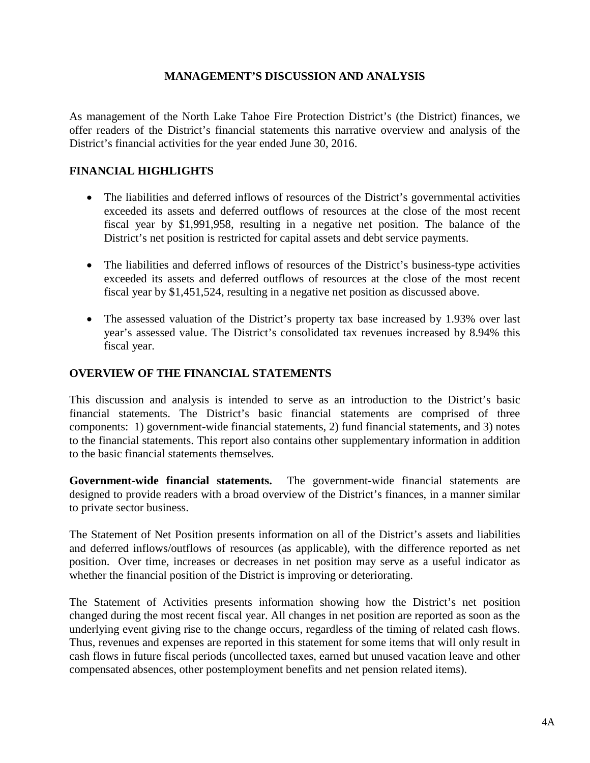# **MANAGEMENT'S DISCUSSION AND ANALYSIS**

As management of the North Lake Tahoe Fire Protection District's (the District) finances, we offer readers of the District's financial statements this narrative overview and analysis of the District's financial activities for the year ended June 30, 2016.

# **FINANCIAL HIGHLIGHTS**

- The liabilities and deferred inflows of resources of the District's governmental activities exceeded its assets and deferred outflows of resources at the close of the most recent fiscal year by \$1,991,958, resulting in a negative net position. The balance of the District's net position is restricted for capital assets and debt service payments.
- The liabilities and deferred inflows of resources of the District's business-type activities exceeded its assets and deferred outflows of resources at the close of the most recent fiscal year by \$1,451,524, resulting in a negative net position as discussed above.
- The assessed valuation of the District's property tax base increased by 1.93% over last year's assessed value. The District's consolidated tax revenues increased by 8.94% this fiscal year.

# **OVERVIEW OF THE FINANCIAL STATEMENTS**

This discussion and analysis is intended to serve as an introduction to the District's basic financial statements. The District's basic financial statements are comprised of three components: 1) government-wide financial statements, 2) fund financial statements, and 3) notes to the financial statements. This report also contains other supplementary information in addition to the basic financial statements themselves.

**Government-wide financial statements.** The government-wide financial statements are designed to provide readers with a broad overview of the District's finances, in a manner similar to private sector business.

The Statement of Net Position presents information on all of the District's assets and liabilities and deferred inflows/outflows of resources (as applicable), with the difference reported as net position. Over time, increases or decreases in net position may serve as a useful indicator as whether the financial position of the District is improving or deteriorating.

The Statement of Activities presents information showing how the District's net position changed during the most recent fiscal year. All changes in net position are reported as soon as the underlying event giving rise to the change occurs, regardless of the timing of related cash flows. Thus, revenues and expenses are reported in this statement for some items that will only result in cash flows in future fiscal periods (uncollected taxes, earned but unused vacation leave and other compensated absences, other postemployment benefits and net pension related items).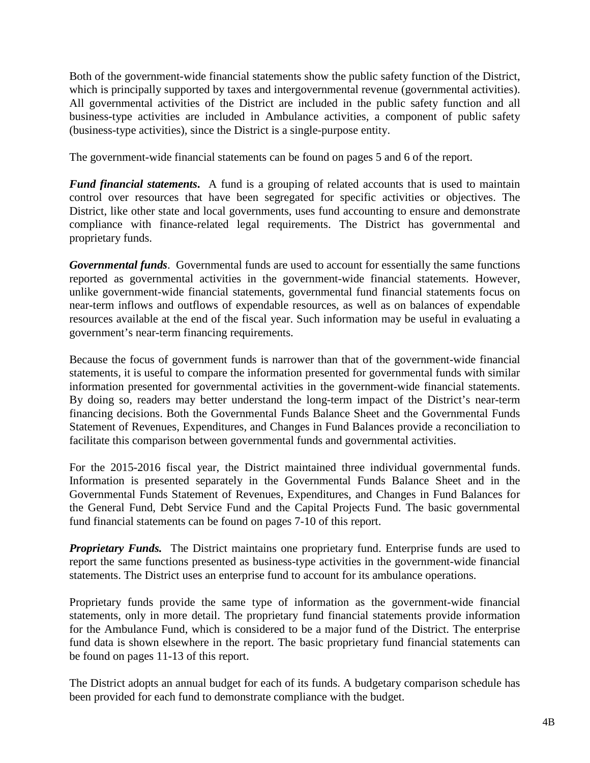Both of the government-wide financial statements show the public safety function of the District, which is principally supported by taxes and intergovernmental revenue (governmental activities). All governmental activities of the District are included in the public safety function and all business-type activities are included in Ambulance activities, a component of public safety (business-type activities), since the District is a single-purpose entity.

The government-wide financial statements can be found on pages 5 and 6 of the report.

*Fund financial statements.* A fund is a grouping of related accounts that is used to maintain control over resources that have been segregated for specific activities or objectives. The District, like other state and local governments, uses fund accounting to ensure and demonstrate compliance with finance-related legal requirements. The District has governmental and proprietary funds.

*Governmental funds*. Governmental funds are used to account for essentially the same functions reported as governmental activities in the government-wide financial statements. However, unlike government-wide financial statements, governmental fund financial statements focus on near-term inflows and outflows of expendable resources, as well as on balances of expendable resources available at the end of the fiscal year. Such information may be useful in evaluating a government's near-term financing requirements.

Because the focus of government funds is narrower than that of the government-wide financial statements, it is useful to compare the information presented for governmental funds with similar information presented for governmental activities in the government-wide financial statements. By doing so, readers may better understand the long-term impact of the District's near-term financing decisions. Both the Governmental Funds Balance Sheet and the Governmental Funds Statement of Revenues, Expenditures, and Changes in Fund Balances provide a reconciliation to facilitate this comparison between governmental funds and governmental activities.

For the 2015-2016 fiscal year, the District maintained three individual governmental funds. Information is presented separately in the Governmental Funds Balance Sheet and in the Governmental Funds Statement of Revenues, Expenditures, and Changes in Fund Balances for the General Fund, Debt Service Fund and the Capital Projects Fund. The basic governmental fund financial statements can be found on pages 7-10 of this report.

**Proprietary Funds.** The District maintains one proprietary fund. Enterprise funds are used to report the same functions presented as business-type activities in the government-wide financial statements. The District uses an enterprise fund to account for its ambulance operations.

Proprietary funds provide the same type of information as the government-wide financial statements, only in more detail. The proprietary fund financial statements provide information for the Ambulance Fund, which is considered to be a major fund of the District. The enterprise fund data is shown elsewhere in the report. The basic proprietary fund financial statements can be found on pages 11-13 of this report.

The District adopts an annual budget for each of its funds. A budgetary comparison schedule has been provided for each fund to demonstrate compliance with the budget.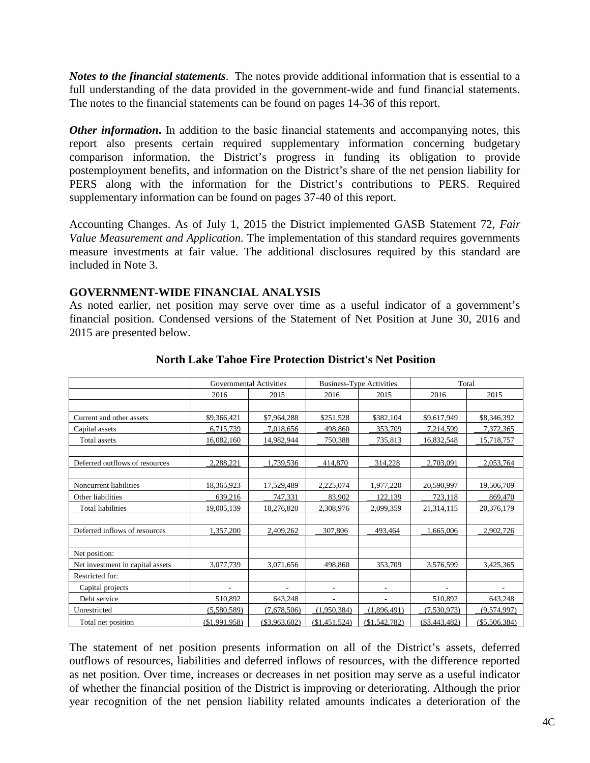*Notes to the financial statements*. The notes provide additional information that is essential to a full understanding of the data provided in the government-wide and fund financial statements. The notes to the financial statements can be found on pages 14-36 of this report.

*Other information*. In addition to the basic financial statements and accompanying notes, this report also presents certain required supplementary information concerning budgetary comparison information, the District's progress in funding its obligation to provide postemployment benefits, and information on the District's share of the net pension liability for PERS along with the information for the District's contributions to PERS. Required supplementary information can be found on pages 37-40 of this report.

Accounting Changes. As of July 1, 2015 the District implemented GASB Statement 72, *Fair Value Measurement and Application*. The implementation of this standard requires governments measure investments at fair value. The additional disclosures required by this standard are included in Note 3.

# **GOVERNMENT-WIDE FINANCIAL ANALYSIS**

As noted earlier, net position may serve over time as a useful indicator of a government's financial position. Condensed versions of the Statement of Net Position at June 30, 2016 and 2015 are presented below.

|                                  | <b>Governmental Activities</b> |                 |               | <b>Business-Type Activities</b> | Total           |                 |  |
|----------------------------------|--------------------------------|-----------------|---------------|---------------------------------|-----------------|-----------------|--|
|                                  | 2016                           | 2015            | 2016          | 2015                            | 2016            | 2015            |  |
|                                  |                                |                 |               |                                 |                 |                 |  |
| Current and other assets         | \$9,366,421                    | \$7,964,288     | \$251,528     | \$382,104                       | \$9,617,949     | \$8,346,392     |  |
| Capital assets                   | 6,715,739                      | 7,018,656       | 498,860       | 353,709                         | 7,214,599       | 7,372,365       |  |
| Total assets                     | 16,082,160                     | 14,982,944      | 750,388       | 735,813                         | 16,832,548      | 15,718,757      |  |
|                                  |                                |                 |               |                                 |                 |                 |  |
| Deferred outflows of resources   | 2,288,221                      | 1,739,536       | 414,870       | 314,228                         | 2,703,091       | 2,053,764       |  |
|                                  |                                |                 |               |                                 |                 |                 |  |
| Noncurrent liabilities           | 18,365,923                     | 17,529,489      | 2,225,074     | 1,977,220                       | 20,590,997      | 19,506,709      |  |
| Other liabilities                | 639,216                        | 747,331         | 83,902        | 122,139                         | 723,118         | 869,470         |  |
| <b>Total liabilities</b>         | 19,005,139                     | 18,276,820      | 2,308,976     | 2,099,359                       | 21,314,115      | 20,376,179      |  |
|                                  |                                |                 |               |                                 |                 |                 |  |
| Deferred inflows of resources    | 1,357,200                      | 2,409,262       | 307,806       | 493,464                         | 1.665.006       | 2,902,726       |  |
|                                  |                                |                 |               |                                 |                 |                 |  |
| Net position:                    |                                |                 |               |                                 |                 |                 |  |
| Net investment in capital assets | 3,077,739                      | 3,071,656       | 498,860       | 353,709                         | 3,576,599       | 3,425,365       |  |
| Restricted for:                  |                                |                 |               |                                 |                 |                 |  |
| Capital projects                 |                                |                 |               | ÷                               |                 |                 |  |
| Debt service                     | 510,892                        | 643,248         | ÷,            | $\overline{\phantom{a}}$        | 510,892         | 643,248         |  |
| Unrestricted                     | (5,580,589)                    | (7,678,506)     | (1,950,384)   | (1,896,491)                     | (7,530,973)     | (9,574,997)     |  |
| Total net position               | (\$1,991,958)                  | $(\$3,963,602)$ | (\$1,451,524) | (\$1,542,782)                   | $(\$3,443,482)$ | $(\$5,506,384)$ |  |

# **North Lake Tahoe Fire Protection District's Net Position**

The statement of net position presents information on all of the District's assets, deferred outflows of resources, liabilities and deferred inflows of resources, with the difference reported as net position. Over time, increases or decreases in net position may serve as a useful indicator of whether the financial position of the District is improving or deteriorating. Although the prior year recognition of the net pension liability related amounts indicates a deterioration of the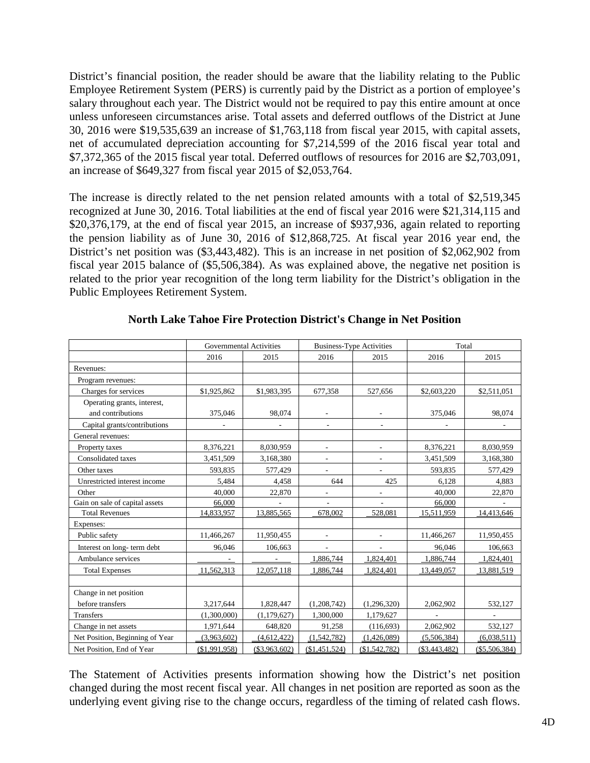District's financial position, the reader should be aware that the liability relating to the Public Employee Retirement System (PERS) is currently paid by the District as a portion of employee's salary throughout each year. The District would not be required to pay this entire amount at once unless unforeseen circumstances arise. Total assets and deferred outflows of the District at June 30, 2016 were \$19,535,639 an increase of \$1,763,118 from fiscal year 2015, with capital assets, net of accumulated depreciation accounting for \$7,214,599 of the 2016 fiscal year total and \$7,372,365 of the 2015 fiscal year total. Deferred outflows of resources for 2016 are \$2,703,091, an increase of \$649,327 from fiscal year 2015 of \$2,053,764.

The increase is directly related to the net pension related amounts with a total of \$2,519,345 recognized at June 30, 2016. Total liabilities at the end of fiscal year 2016 were \$21,314,115 and \$20,376,179, at the end of fiscal year 2015, an increase of \$937,936, again related to reporting the pension liability as of June 30, 2016 of \$12,868,725. At fiscal year 2016 year end, the District's net position was (\$3,443,482). This is an increase in net position of \$2,062,902 from fiscal year 2015 balance of (\$5,506,384). As was explained above, the negative net position is related to the prior year recognition of the long term liability for the District's obligation in the Public Employees Retirement System.

|                                 | <b>Governmental Activities</b> |                          |                          | <b>Business-Type Activities</b> | Total          |                          |  |
|---------------------------------|--------------------------------|--------------------------|--------------------------|---------------------------------|----------------|--------------------------|--|
|                                 | 2016                           | 2015                     | 2016                     | 2015                            | 2016           | 2015                     |  |
| Revenues:                       |                                |                          |                          |                                 |                |                          |  |
| Program revenues:               |                                |                          |                          |                                 |                |                          |  |
| Charges for services            | \$1,925,862                    | \$1,983,395              | 677,358                  | 527,656                         | \$2,603,220    | \$2,511,051              |  |
| Operating grants, interest,     |                                |                          |                          |                                 |                |                          |  |
| and contributions               | 375,046                        | 98,074                   |                          |                                 | 375,046        | 98,074                   |  |
| Capital grants/contributions    | $\overline{\phantom{0}}$       | $\overline{\phantom{a}}$ | $\blacksquare$           | $\sim$                          | ÷,             | $\overline{\phantom{a}}$ |  |
| General revenues:               |                                |                          |                          |                                 |                |                          |  |
| Property taxes                  | 8,376,221                      | 8,030,959                |                          |                                 | 8,376,221      | 8,030,959                |  |
| Consolidated taxes              | 3,451,509                      | 3,168,380                | $\overline{\phantom{a}}$ | $\overline{\phantom{a}}$        | 3,451,509      | 3,168,380                |  |
| Other taxes                     | 593,835                        | 577,429                  |                          |                                 | 593,835        | 577,429                  |  |
| Unrestricted interest income    | 5.484                          | 4,458                    | 644                      | 425                             | 6.128          | 4,883                    |  |
| Other                           | 40,000                         | 22,870                   | L,                       |                                 | 40,000         | 22,870                   |  |
| Gain on sale of capital assets  | 66,000                         |                          |                          |                                 | 66,000         |                          |  |
| <b>Total Revenues</b>           | 14,833,957                     | 13,885,565               | 678,002                  | 528,081                         | 15,511,959     | 14,413,646               |  |
| Expenses:                       |                                |                          |                          |                                 |                |                          |  |
| Public safety                   | 11,466,267                     | 11,950,455               |                          |                                 | 11,466,267     | 11,950,455               |  |
| Interest on long-term debt      | 96,046                         | 106,663                  |                          |                                 | 96,046         | 106,663                  |  |
| Ambulance services              |                                |                          | 1,886,744                | 1,824,401                       | 1,886,744      | 1,824,401                |  |
| <b>Total Expenses</b>           | 11,562,313                     | 12,057,118               | 1,886,744                | 1,824,401                       | 13,449,057     | 13,881,519               |  |
|                                 |                                |                          |                          |                                 |                |                          |  |
| Change in net position          |                                |                          |                          |                                 |                |                          |  |
| before transfers                | 3,217,644                      | 1,828,447                | (1,208,742)              | (1,296,320)                     | 2,062,902      | 532,127                  |  |
| <b>Transfers</b>                | (1,300,000)                    | (1,179,627)              | 1,300,000                | 1,179,627                       |                |                          |  |
| Change in net assets            | 1,971,644                      | 648,820                  | 91,258                   | (116,693)                       | 2,062,902      | 532,127                  |  |
| Net Position, Beginning of Year | (3,963,602)                    | (4,612,422)              | (1,542,782)              | (1,426,089)                     | (5,506,384)    | (6,038,511)              |  |
| Net Position, End of Year       | (\$1,991,958)                  | $(\$3,963,602)$          | (\$1,451,524)            | (\$1,542,782)                   | ( \$3,443,482) | $(\$5,506,384)$          |  |

## **North Lake Tahoe Fire Protection District's Change in Net Position**

The Statement of Activities presents information showing how the District's net position changed during the most recent fiscal year. All changes in net position are reported as soon as the underlying event giving rise to the change occurs, regardless of the timing of related cash flows.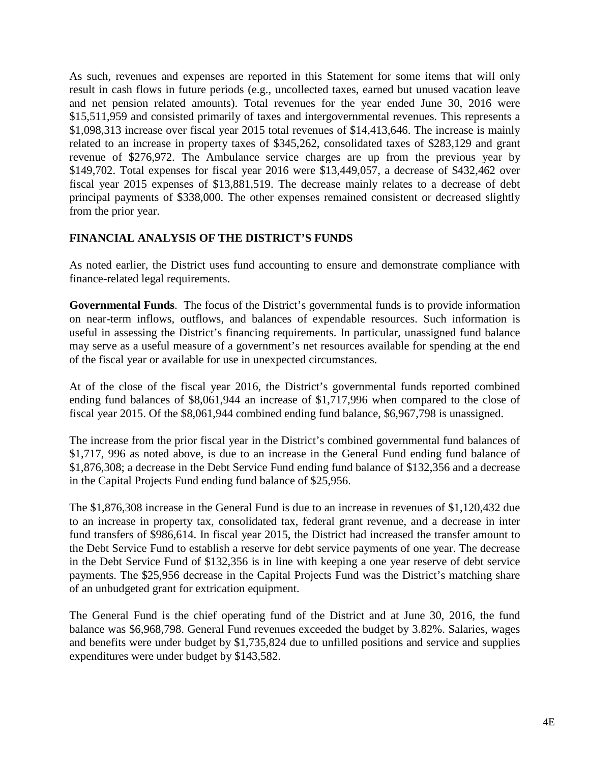As such, revenues and expenses are reported in this Statement for some items that will only result in cash flows in future periods (e.g., uncollected taxes, earned but unused vacation leave and net pension related amounts). Total revenues for the year ended June 30, 2016 were \$15,511,959 and consisted primarily of taxes and intergovernmental revenues. This represents a \$1,098,313 increase over fiscal year 2015 total revenues of \$14,413,646. The increase is mainly related to an increase in property taxes of \$345,262, consolidated taxes of \$283,129 and grant revenue of \$276,972. The Ambulance service charges are up from the previous year by \$149,702. Total expenses for fiscal year 2016 were \$13,449,057, a decrease of \$432,462 over fiscal year 2015 expenses of \$13,881,519. The decrease mainly relates to a decrease of debt principal payments of \$338,000. The other expenses remained consistent or decreased slightly from the prior year.

# **FINANCIAL ANALYSIS OF THE DISTRICT'S FUNDS**

As noted earlier, the District uses fund accounting to ensure and demonstrate compliance with finance-related legal requirements.

**Governmental Funds**. The focus of the District's governmental funds is to provide information on near-term inflows, outflows, and balances of expendable resources. Such information is useful in assessing the District's financing requirements. In particular, unassigned fund balance may serve as a useful measure of a government's net resources available for spending at the end of the fiscal year or available for use in unexpected circumstances.

At of the close of the fiscal year 2016, the District's governmental funds reported combined ending fund balances of \$8,061,944 an increase of \$1,717,996 when compared to the close of fiscal year 2015. Of the \$8,061,944 combined ending fund balance, \$6,967,798 is unassigned.

The increase from the prior fiscal year in the District's combined governmental fund balances of \$1,717, 996 as noted above, is due to an increase in the General Fund ending fund balance of \$1,876,308; a decrease in the Debt Service Fund ending fund balance of \$132,356 and a decrease in the Capital Projects Fund ending fund balance of \$25,956.

The \$1,876,308 increase in the General Fund is due to an increase in revenues of \$1,120,432 due to an increase in property tax, consolidated tax, federal grant revenue, and a decrease in inter fund transfers of \$986,614. In fiscal year 2015, the District had increased the transfer amount to the Debt Service Fund to establish a reserve for debt service payments of one year. The decrease in the Debt Service Fund of \$132,356 is in line with keeping a one year reserve of debt service payments. The \$25,956 decrease in the Capital Projects Fund was the District's matching share of an unbudgeted grant for extrication equipment.

The General Fund is the chief operating fund of the District and at June 30, 2016, the fund balance was \$6,968,798. General Fund revenues exceeded the budget by 3.82%. Salaries, wages and benefits were under budget by \$1,735,824 due to unfilled positions and service and supplies expenditures were under budget by \$143,582.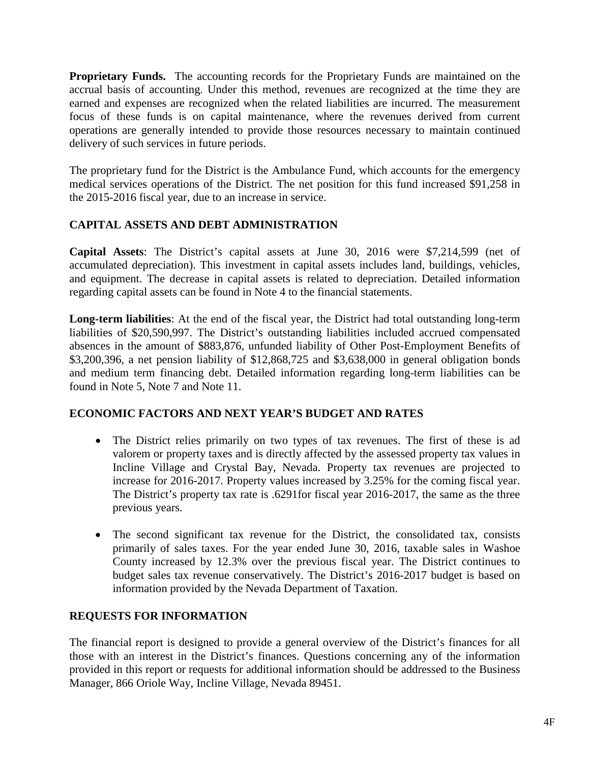**Proprietary Funds.** The accounting records for the Proprietary Funds are maintained on the accrual basis of accounting. Under this method, revenues are recognized at the time they are earned and expenses are recognized when the related liabilities are incurred. The measurement focus of these funds is on capital maintenance, where the revenues derived from current operations are generally intended to provide those resources necessary to maintain continued delivery of such services in future periods.

The proprietary fund for the District is the Ambulance Fund, which accounts for the emergency medical services operations of the District. The net position for this fund increased \$91,258 in the 2015-2016 fiscal year, due to an increase in service.

# **CAPITAL ASSETS AND DEBT ADMINISTRATION**

**Capital Assets**: The District's capital assets at June 30, 2016 were \$7,214,599 (net of accumulated depreciation). This investment in capital assets includes land, buildings, vehicles, and equipment. The decrease in capital assets is related to depreciation. Detailed information regarding capital assets can be found in Note 4 to the financial statements.

**Long-term liabilities**: At the end of the fiscal year, the District had total outstanding long-term liabilities of \$20,590,997. The District's outstanding liabilities included accrued compensated absences in the amount of \$883,876, unfunded liability of Other Post-Employment Benefits of \$3,200,396, a net pension liability of \$12,868,725 and \$3,638,000 in general obligation bonds and medium term financing debt. Detailed information regarding long-term liabilities can be found in Note 5, Note 7 and Note 11.

# **ECONOMIC FACTORS AND NEXT YEAR'S BUDGET AND RATES**

- The District relies primarily on two types of tax revenues. The first of these is ad valorem or property taxes and is directly affected by the assessed property tax values in Incline Village and Crystal Bay, Nevada. Property tax revenues are projected to increase for 2016-2017. Property values increased by 3.25% for the coming fiscal year. The District's property tax rate is .6291for fiscal year 2016-2017, the same as the three previous years.
- The second significant tax revenue for the District, the consolidated tax, consists primarily of sales taxes. For the year ended June 30, 2016, taxable sales in Washoe County increased by 12.3% over the previous fiscal year. The District continues to budget sales tax revenue conservatively. The District's 2016-2017 budget is based on information provided by the Nevada Department of Taxation.

# **REQUESTS FOR INFORMATION**

The financial report is designed to provide a general overview of the District's finances for all those with an interest in the District's finances. Questions concerning any of the information provided in this report or requests for additional information should be addressed to the Business Manager, 866 Oriole Way, Incline Village, Nevada 89451.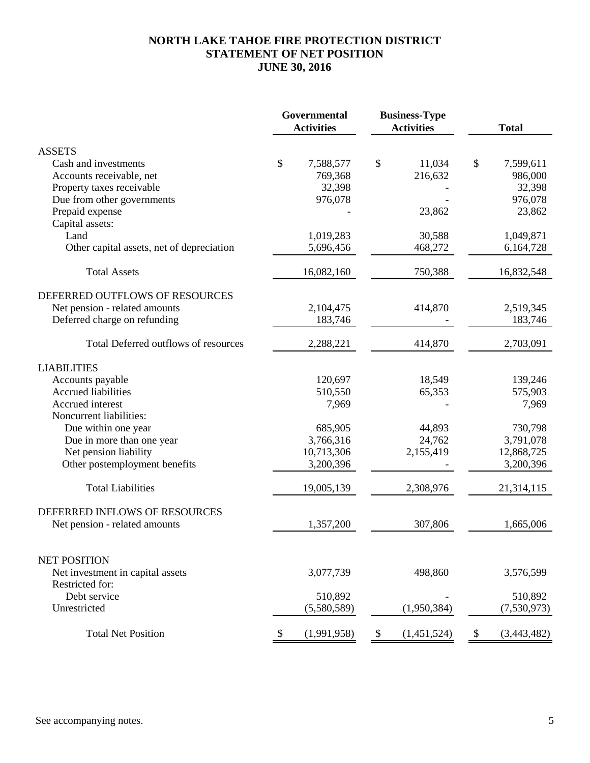# **NORTH LAKE TAHOE FIRE PROTECTION DISTRICT STATEMENT OF NET POSITION JUNE 30, 2016**

|                                                     | Governmental<br><b>Activities</b> |                        |                           | <b>Business-Type</b><br><b>Activities</b> |      | <b>Total</b> |
|-----------------------------------------------------|-----------------------------------|------------------------|---------------------------|-------------------------------------------|------|--------------|
| <b>ASSETS</b>                                       |                                   |                        |                           |                                           |      |              |
| Cash and investments                                | \$                                | 7,588,577              | \$                        | 11,034                                    | $\$$ | 7,599,611    |
| Accounts receivable, net                            |                                   | 769,368                |                           | 216,632                                   |      | 986,000      |
| Property taxes receivable                           |                                   | 32,398                 |                           |                                           |      | 32,398       |
| Due from other governments                          |                                   | 976,078                |                           |                                           |      | 976,078      |
| Prepaid expense                                     |                                   |                        |                           | 23,862                                    |      | 23,862       |
| Capital assets:                                     |                                   |                        |                           |                                           |      |              |
| Land                                                |                                   | 1,019,283              |                           | 30,588                                    |      | 1,049,871    |
| Other capital assets, net of depreciation           |                                   | 5,696,456              |                           | 468,272                                   |      | 6,164,728    |
| <b>Total Assets</b>                                 |                                   | 16,082,160             |                           | 750,388                                   |      | 16,832,548   |
| DEFERRED OUTFLOWS OF RESOURCES                      |                                   |                        |                           |                                           |      |              |
| Net pension - related amounts                       |                                   | 2,104,475              |                           | 414,870                                   |      | 2,519,345    |
| Deferred charge on refunding                        |                                   | 183,746                |                           |                                           |      | 183,746      |
| Total Deferred outflows of resources                |                                   | 2,288,221              |                           | 414,870                                   |      | 2,703,091    |
| <b>LIABILITIES</b>                                  |                                   |                        |                           |                                           |      |              |
| Accounts payable                                    |                                   | 120,697                |                           | 18,549                                    |      | 139,246      |
| <b>Accrued liabilities</b>                          |                                   | 510,550                |                           | 65,353                                    |      | 575,903      |
| Accrued interest                                    |                                   | 7,969                  |                           |                                           |      | 7,969        |
| Noncurrent liabilities:                             |                                   |                        |                           |                                           |      |              |
| Due within one year                                 |                                   | 685,905                |                           | 44,893                                    |      | 730,798      |
| Due in more than one year                           |                                   | 3,766,316              |                           | 24,762                                    |      | 3,791,078    |
| Net pension liability                               |                                   | 10,713,306             |                           | 2,155,419                                 |      | 12,868,725   |
| Other postemployment benefits                       |                                   | 3,200,396              |                           |                                           |      | 3,200,396    |
| <b>Total Liabilities</b>                            |                                   | 19,005,139             |                           | 2,308,976                                 |      | 21,314,115   |
| DEFERRED INFLOWS OF RESOURCES                       |                                   |                        |                           |                                           |      |              |
| Net pension - related amounts                       |                                   | 1,357,200              |                           | 307,806                                   |      | 1,665,006    |
|                                                     |                                   |                        |                           |                                           |      |              |
| <b>NET POSITION</b>                                 |                                   |                        |                           |                                           |      |              |
| Net investment in capital assets<br>Restricted for: |                                   | 3,077,739              |                           | 498,860                                   |      | 3,576,599    |
| Debt service                                        |                                   |                        |                           |                                           |      | 510,892      |
| Unrestricted                                        |                                   | 510,892<br>(5,580,589) |                           | (1,950,384)                               |      | (7,530,973)  |
|                                                     |                                   |                        |                           |                                           |      |              |
| <b>Total Net Position</b>                           | \$                                | (1,991,958)            | $\boldsymbol{\mathsf{S}}$ | (1,451,524)                               | \$   | (3,443,482)  |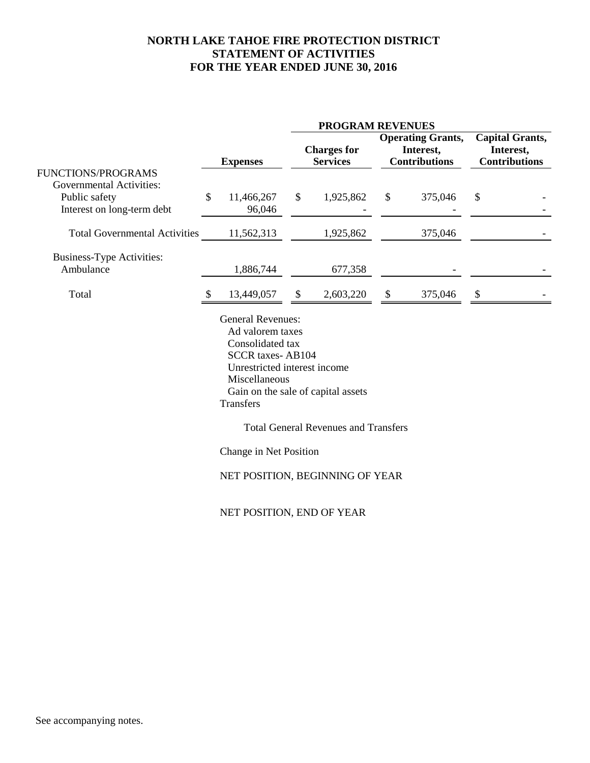# **NORTH LAKE TAHOE FIRE PROTECTION DISTRICT STATEMENT OF ACTIVITIES FOR THE YEAR ENDED JUNE 30, 2016**

|                                      | <b>PROGRAM REVENUES</b> |                                                                                                                                                                                                                                  |    |                                             |                           |                                                               |                                                             |  |
|--------------------------------------|-------------------------|----------------------------------------------------------------------------------------------------------------------------------------------------------------------------------------------------------------------------------|----|---------------------------------------------|---------------------------|---------------------------------------------------------------|-------------------------------------------------------------|--|
|                                      |                         | <b>Expenses</b>                                                                                                                                                                                                                  |    | <b>Charges for</b><br><b>Services</b>       |                           | <b>Operating Grants,</b><br>Interest,<br><b>Contributions</b> | <b>Capital Grants,</b><br>Interest,<br><b>Contributions</b> |  |
| FUNCTIONS/PROGRAMS                   |                         |                                                                                                                                                                                                                                  |    |                                             |                           |                                                               |                                                             |  |
| <b>Governmental Activities:</b>      |                         |                                                                                                                                                                                                                                  |    |                                             |                           |                                                               |                                                             |  |
| Public safety                        | \$                      | 11,466,267                                                                                                                                                                                                                       | \$ | 1,925,862                                   | $\boldsymbol{\mathsf{S}}$ | 375,046                                                       | \$                                                          |  |
| Interest on long-term debt           |                         | 96,046                                                                                                                                                                                                                           |    |                                             |                           |                                                               |                                                             |  |
| <b>Total Governmental Activities</b> |                         | 11,562,313                                                                                                                                                                                                                       |    | 1,925,862                                   |                           | 375,046                                                       |                                                             |  |
| <b>Business-Type Activities:</b>     |                         |                                                                                                                                                                                                                                  |    |                                             |                           |                                                               |                                                             |  |
| Ambulance                            |                         | 1,886,744                                                                                                                                                                                                                        |    | 677,358                                     |                           |                                                               |                                                             |  |
|                                      |                         |                                                                                                                                                                                                                                  |    |                                             |                           |                                                               |                                                             |  |
| Total                                | -S                      | 13,449,057                                                                                                                                                                                                                       | \$ | 2,603,220                                   | \$                        | 375,046                                                       | $\boldsymbol{\mathsf{S}}$                                   |  |
|                                      |                         | <b>General Revenues:</b><br>Ad valorem taxes<br>Consolidated tax<br><b>SCCR</b> taxes-AB104<br>Unrestricted interest income<br>Miscellaneous<br>Gain on the sale of capital assets<br><b>Transfers</b><br>Change in Net Position |    | <b>Total General Revenues and Transfers</b> |                           |                                                               |                                                             |  |
|                                      |                         |                                                                                                                                                                                                                                  |    |                                             |                           |                                                               |                                                             |  |
|                                      |                         | NET POSITION, BEGINNING OF YEAR                                                                                                                                                                                                  |    |                                             |                           |                                                               |                                                             |  |
|                                      |                         | NET POSITION, END OF YEAR                                                                                                                                                                                                        |    |                                             |                           |                                                               |                                                             |  |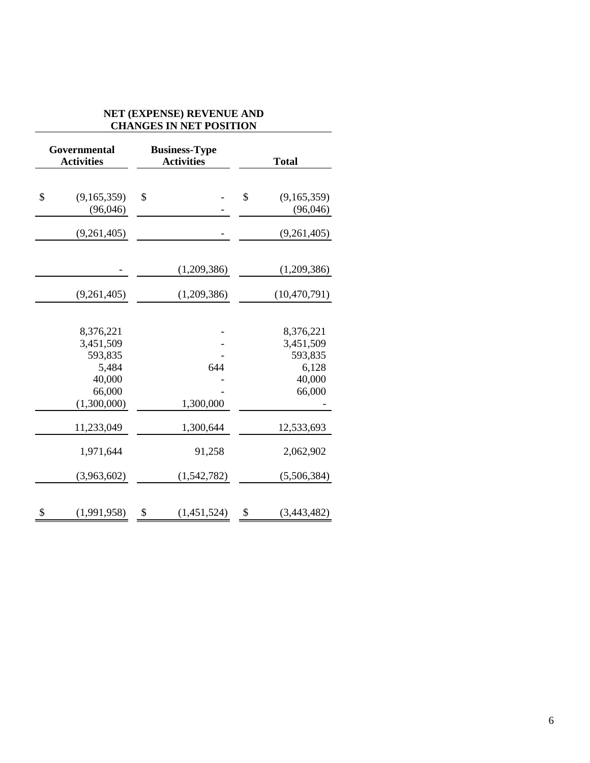# **NET (EXPENSE) REVENUE AND CHANGES IN NET POSITION**

| Governmental<br><b>Activities</b> | <b>Business-Type</b><br><b>Activities</b> | <b>Total</b>                  |
|-----------------------------------|-------------------------------------------|-------------------------------|
| \$<br>(9,165,359)<br>(96,046)     | \$                                        | \$<br>(9,165,359)<br>(96,046) |
| (9,261,405)                       |                                           | (9,261,405)                   |
|                                   | (1,209,386)                               | (1,209,386)                   |
| (9,261,405)                       | (1,209,386)                               | (10, 470, 791)                |
| 8,376,221                         |                                           | 8,376,221                     |
| 3,451,509                         |                                           | 3,451,509                     |
| 593,835                           |                                           | 593,835                       |
| 5,484                             | 644                                       | 6,128                         |
| 40,000                            |                                           | 40,000                        |
| 66,000                            |                                           | 66,000                        |
| (1,300,000)                       | 1,300,000                                 |                               |
| 11,233,049                        | 1,300,644                                 | 12,533,693                    |
| 1,971,644                         | 91,258                                    | 2,062,902                     |
| (3,963,602)                       | (1,542,782)                               | (5,506,384)                   |
| \$<br>(1,991,958)                 | \$<br>(1,451,524)                         | \$<br>(3,443,482)             |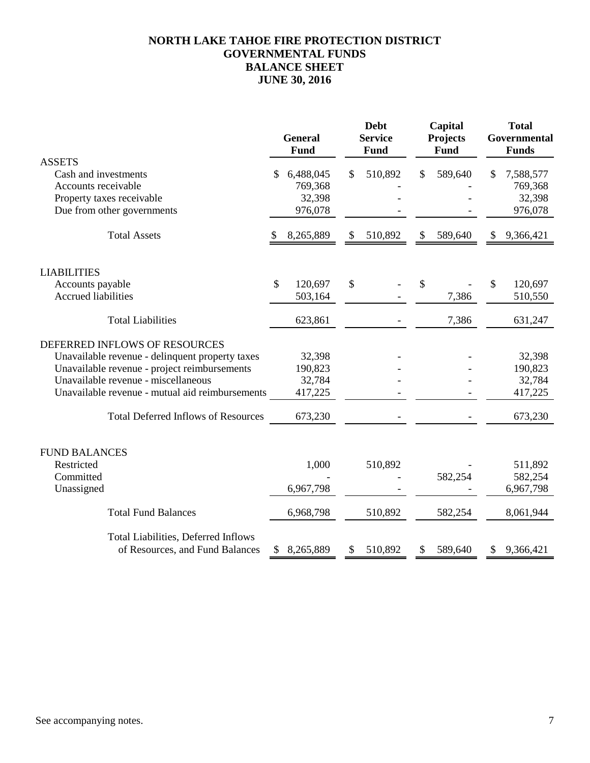# **NORTH LAKE TAHOE FIRE PROTECTION DISTRICT GOVERNMENTAL FUNDS BALANCE SHEET JUNE 30, 2016**

|                                                 | <b>General</b><br>Fund | <b>Debt</b><br><b>Service</b><br>Fund | Capital<br>Projects<br><b>Fund</b> |    | <b>Total</b><br>Governmental<br><b>Funds</b> |
|-------------------------------------------------|------------------------|---------------------------------------|------------------------------------|----|----------------------------------------------|
| <b>ASSETS</b>                                   |                        |                                       |                                    |    |                                              |
| Cash and investments                            | \$<br>6,488,045        | \$<br>510,892                         | \$<br>589,640                      | S  | 7,588,577                                    |
| Accounts receivable                             | 769,368                |                                       |                                    |    | 769,368                                      |
| Property taxes receivable                       | 32,398                 |                                       |                                    |    | 32,398                                       |
| Due from other governments                      | 976,078                |                                       |                                    |    | 976,078                                      |
| <b>Total Assets</b>                             | 8,265,889              | \$<br>510,892                         | \$<br>589,640                      | S  | 9,366,421                                    |
| <b>LIABILITIES</b>                              |                        |                                       |                                    |    |                                              |
| Accounts payable                                | \$<br>120,697          | \$                                    | \$                                 | \$ | 120,697                                      |
| <b>Accrued liabilities</b>                      | 503,164                |                                       | 7,386                              |    | 510,550                                      |
| <b>Total Liabilities</b>                        | 623,861                |                                       | 7,386                              |    | 631,247                                      |
| DEFERRED INFLOWS OF RESOURCES                   |                        |                                       |                                    |    |                                              |
| Unavailable revenue - delinquent property taxes | 32,398                 |                                       |                                    |    | 32,398                                       |
| Unavailable revenue - project reimbursements    | 190,823                |                                       |                                    |    | 190,823                                      |
| Unavailable revenue - miscellaneous             | 32,784                 |                                       |                                    |    | 32,784                                       |
| Unavailable revenue - mutual aid reimbursements | 417,225                |                                       |                                    |    | 417,225                                      |
| <b>Total Deferred Inflows of Resources</b>      | 673,230                |                                       |                                    |    | 673,230                                      |
|                                                 |                        |                                       |                                    |    |                                              |
| <b>FUND BALANCES</b>                            |                        |                                       |                                    |    |                                              |
| Restricted                                      | 1,000                  | 510,892                               |                                    |    | 511,892                                      |
| Committed                                       |                        |                                       | 582,254                            |    | 582,254                                      |
| Unassigned                                      | 6,967,798              |                                       |                                    |    | 6,967,798                                    |
| <b>Total Fund Balances</b>                      | 6,968,798              | 510,892                               | 582,254                            |    | 8,061,944                                    |
| <b>Total Liabilities, Deferred Inflows</b>      |                        |                                       |                                    |    |                                              |
| of Resources, and Fund Balances                 | \$<br>8,265,889        | \$<br>510,892                         | \$<br>589,640                      | \$ | 9,366,421                                    |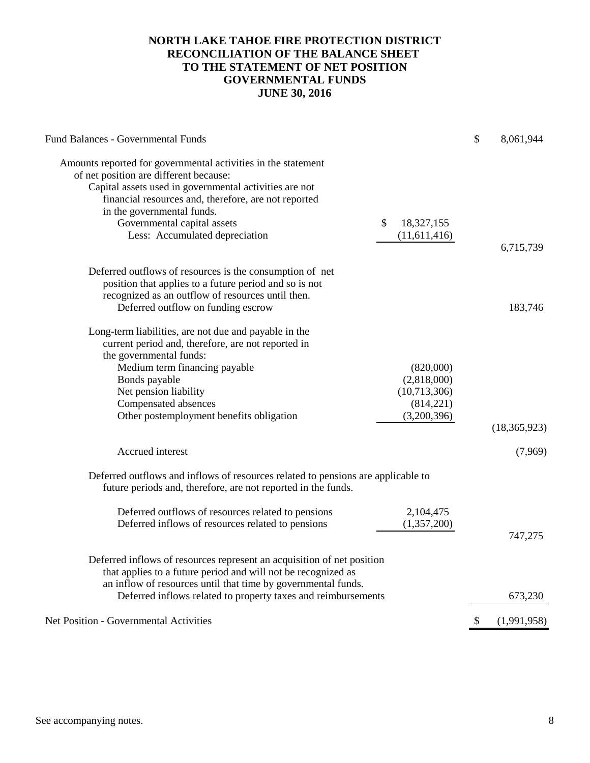# **NORTH LAKE TAHOE FIRE PROTECTION DISTRICT RECONCILIATION OF THE BALANCE SHEET TO THE STATEMENT OF NET POSITION GOVERNMENTAL FUNDS JUNE 30, 2016**

| <b>Fund Balances - Governmental Funds</b>                                                    | \$<br>8,061,944   |
|----------------------------------------------------------------------------------------------|-------------------|
| Amounts reported for governmental activities in the statement                                |                   |
| of net position are different because:                                                       |                   |
| Capital assets used in governmental activities are not                                       |                   |
| financial resources and, therefore, are not reported                                         |                   |
| in the governmental funds.                                                                   |                   |
| Governmental capital assets<br>\$<br>18,327,155                                              |                   |
| Less: Accumulated depreciation<br>(11,611,416)                                               |                   |
|                                                                                              | 6,715,739         |
|                                                                                              |                   |
| Deferred outflows of resources is the consumption of net                                     |                   |
| position that applies to a future period and so is not                                       |                   |
| recognized as an outflow of resources until then.                                            |                   |
| Deferred outflow on funding escrow                                                           | 183,746           |
|                                                                                              |                   |
| Long-term liabilities, are not due and payable in the                                        |                   |
| current period and, therefore, are not reported in                                           |                   |
| the governmental funds:                                                                      |                   |
| Medium term financing payable<br>(820,000)<br>(2,818,000)                                    |                   |
| Bonds payable<br>Net pension liability<br>(10,713,306)                                       |                   |
|                                                                                              |                   |
| Compensated absences<br>(814,221)<br>(3,200,396)<br>Other postemployment benefits obligation |                   |
|                                                                                              | (18, 365, 923)    |
|                                                                                              |                   |
| Accrued interest                                                                             | (7,969)           |
| Deferred outflows and inflows of resources related to pensions are applicable to             |                   |
| future periods and, therefore, are not reported in the funds.                                |                   |
|                                                                                              |                   |
| Deferred outflows of resources related to pensions<br>2,104,475                              |                   |
| Deferred inflows of resources related to pensions<br>(1,357,200)                             |                   |
|                                                                                              | 747,275           |
| Deferred inflows of resources represent an acquisition of net position                       |                   |
| that applies to a future period and will not be recognized as                                |                   |
| an inflow of resources until that time by governmental funds.                                |                   |
| Deferred inflows related to property taxes and reimbursements                                | 673,230           |
|                                                                                              |                   |
| <b>Net Position - Governmental Activities</b>                                                | \$<br>(1,991,958) |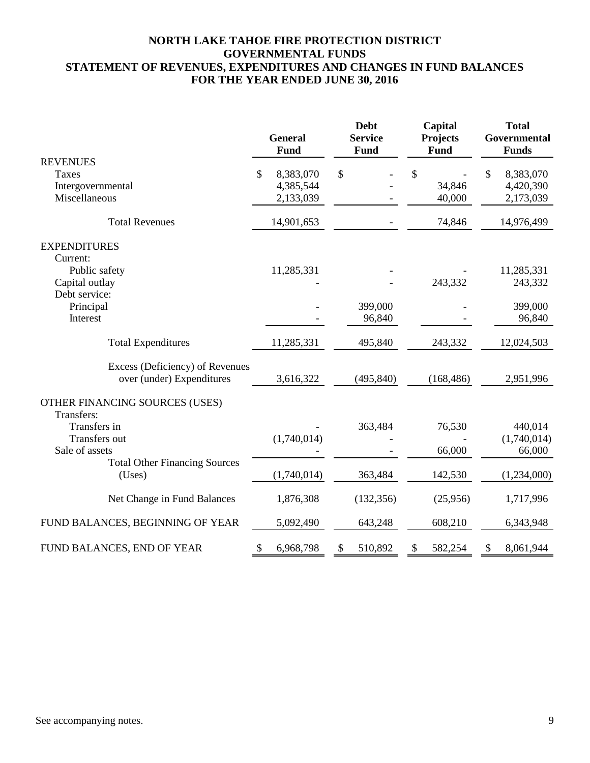# **NORTH LAKE TAHOE FIRE PROTECTION DISTRICT GOVERNMENTAL FUNDS STATEMENT OF REVENUES, EXPENDITURES AND CHANGES IN FUND BALANCES FOR THE YEAR ENDED JUNE 30, 2016**

|                                                |                           | <b>General</b><br><b>Fund</b> | <b>Debt</b><br><b>Service</b><br><b>Fund</b> | Capital<br><b>Projects</b><br><b>Fund</b> | <b>Total</b><br>Governmental<br><b>Funds</b> |
|------------------------------------------------|---------------------------|-------------------------------|----------------------------------------------|-------------------------------------------|----------------------------------------------|
| <b>REVENUES</b>                                |                           |                               |                                              |                                           |                                              |
| <b>Taxes</b>                                   | \$                        | 8,383,070                     | \$                                           | \$                                        | \$<br>8,383,070                              |
| Intergovernmental                              |                           | 4,385,544                     |                                              | 34,846                                    | 4,420,390                                    |
| Miscellaneous                                  |                           | 2,133,039                     |                                              | 40,000                                    | 2,173,039                                    |
| <b>Total Revenues</b>                          |                           | 14,901,653                    |                                              | 74,846                                    | 14,976,499                                   |
| <b>EXPENDITURES</b>                            |                           |                               |                                              |                                           |                                              |
| Current:                                       |                           |                               |                                              |                                           |                                              |
| Public safety                                  |                           | 11,285,331                    |                                              |                                           | 11,285,331                                   |
| Capital outlay                                 |                           |                               |                                              | 243,332                                   | 243,332                                      |
| Debt service:                                  |                           |                               |                                              |                                           |                                              |
| Principal                                      |                           |                               | 399,000                                      |                                           | 399,000                                      |
| Interest                                       |                           |                               | 96,840                                       |                                           | 96,840                                       |
| <b>Total Expenditures</b>                      |                           | 11,285,331                    | 495,840                                      | 243,332                                   | 12,024,503                                   |
| Excess (Deficiency) of Revenues                |                           |                               |                                              |                                           |                                              |
| over (under) Expenditures                      |                           | 3,616,322                     | (495, 840)                                   | (168, 486)                                | 2,951,996                                    |
| OTHER FINANCING SOURCES (USES)<br>Transfers:   |                           |                               |                                              |                                           |                                              |
| Transfers in                                   |                           |                               | 363,484                                      | 76,530                                    | 440,014                                      |
| <b>Transfers out</b>                           |                           | (1,740,014)                   |                                              |                                           | (1,740,014)                                  |
| Sale of assets                                 |                           |                               |                                              | 66,000                                    | 66,000                                       |
| <b>Total Other Financing Sources</b><br>(Uses) |                           | (1,740,014)                   | 363,484                                      | 142,530                                   | (1,234,000)                                  |
| Net Change in Fund Balances                    |                           | 1,876,308                     | (132, 356)                                   | (25,956)                                  | 1,717,996                                    |
| FUND BALANCES, BEGINNING OF YEAR               |                           | 5,092,490                     | 643,248                                      | 608,210                                   | 6,343,948                                    |
| FUND BALANCES, END OF YEAR                     | $\boldsymbol{\mathsf{S}}$ | 6,968,798                     | \$<br>510,892                                | \$<br>582,254                             | \$<br>8,061,944                              |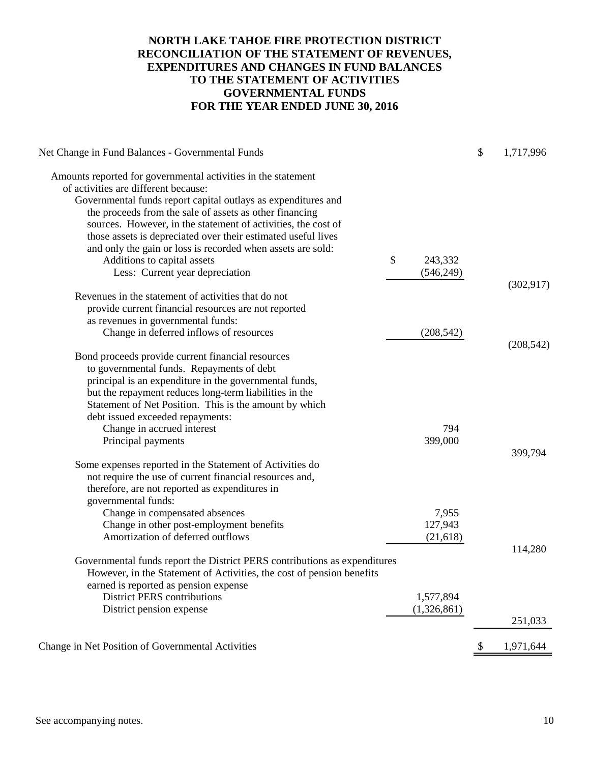# **NORTH LAKE TAHOE FIRE PROTECTION DISTRICT RECONCILIATION OF THE STATEMENT OF REVENUES, EXPENDITURES AND CHANGES IN FUND BALANCES TO THE STATEMENT OF ACTIVITIES GOVERNMENTAL FUNDS FOR THE YEAR ENDED JUNE 30, 2016**

| Net Change in Fund Balances - Governmental Funds                          |               | \$<br>1,717,996 |
|---------------------------------------------------------------------------|---------------|-----------------|
| Amounts reported for governmental activities in the statement             |               |                 |
| of activities are different because:                                      |               |                 |
| Governmental funds report capital outlays as expenditures and             |               |                 |
| the proceeds from the sale of assets as other financing                   |               |                 |
| sources. However, in the statement of activities, the cost of             |               |                 |
| those assets is depreciated over their estimated useful lives             |               |                 |
| and only the gain or loss is recorded when assets are sold:               |               |                 |
| Additions to capital assets                                               | \$<br>243,332 |                 |
| Less: Current year depreciation                                           | (546,249)     |                 |
|                                                                           |               | (302, 917)      |
| Revenues in the statement of activities that do not                       |               |                 |
| provide current financial resources are not reported                      |               |                 |
| as revenues in governmental funds:                                        |               |                 |
| Change in deferred inflows of resources                                   | (208, 542)    |                 |
|                                                                           |               | (208, 542)      |
| Bond proceeds provide current financial resources                         |               |                 |
| to governmental funds. Repayments of debt                                 |               |                 |
| principal is an expenditure in the governmental funds,                    |               |                 |
| but the repayment reduces long-term liabilities in the                    |               |                 |
| Statement of Net Position. This is the amount by which                    |               |                 |
| debt issued exceeded repayments:<br>Change in accrued interest            | 794           |                 |
| Principal payments                                                        | 399,000       |                 |
|                                                                           |               | 399,794         |
| Some expenses reported in the Statement of Activities do                  |               |                 |
| not require the use of current financial resources and,                   |               |                 |
| therefore, are not reported as expenditures in                            |               |                 |
| governmental funds:                                                       |               |                 |
| Change in compensated absences                                            | 7,955         |                 |
| Change in other post-employment benefits                                  | 127,943       |                 |
| Amortization of deferred outflows                                         | (21, 618)     |                 |
|                                                                           |               | 114,280         |
| Governmental funds report the District PERS contributions as expenditures |               |                 |
| However, in the Statement of Activities, the cost of pension benefits     |               |                 |
| earned is reported as pension expense                                     |               |                 |
| <b>District PERS contributions</b>                                        | 1,577,894     |                 |
| District pension expense                                                  | (1,326,861)   |                 |
|                                                                           |               | 251,033         |
| Change in Net Position of Governmental Activities                         |               | \$<br>1,971,644 |
|                                                                           |               |                 |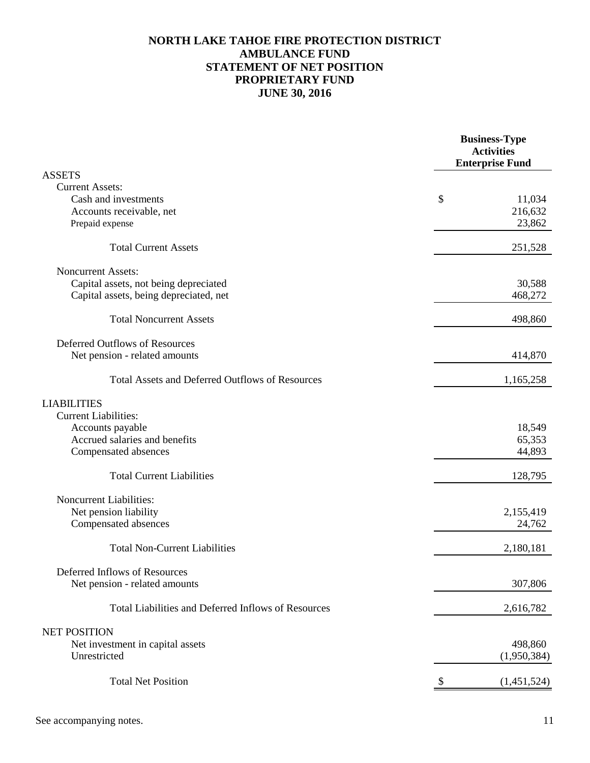# **NORTH LAKE TAHOE FIRE PROTECTION DISTRICT AMBULANCE FUND STATEMENT OF NET POSITION PROPRIETARY FUND JUNE 30, 2016**

| <b>ASSETS</b><br><b>Current Assets:</b><br>Cash and investments<br>\$<br>11,034<br>216,632<br>Accounts receivable, net<br>23,862<br>Prepaid expense<br><b>Total Current Assets</b><br>251,528<br><b>Noncurrent Assets:</b><br>Capital assets, not being depreciated<br>30,588<br>Capital assets, being depreciated, net<br>468,272<br><b>Total Noncurrent Assets</b><br>498,860<br>Deferred Outflows of Resources<br>Net pension - related amounts<br>414,870<br><b>Total Assets and Deferred Outflows of Resources</b><br>1,165,258<br><b>LIABILITIES</b><br><b>Current Liabilities:</b><br>18,549<br>Accounts payable<br>Accrued salaries and benefits<br>65,353<br>44,893<br>Compensated absences<br><b>Total Current Liabilities</b><br>128,795<br><b>Noncurrent Liabilities:</b><br>Net pension liability<br>2,155,419<br>24,762<br>Compensated absences<br><b>Total Non-Current Liabilities</b><br>2,180,181<br>Deferred Inflows of Resources<br>307,806<br>Net pension - related amounts<br>Total Liabilities and Deferred Inflows of Resources<br>2,616,782<br><b>NET POSITION</b><br>Net investment in capital assets<br>498,860<br>(1,950,384)<br>Unrestricted<br><b>Total Net Position</b><br>(1,451,524) |  | <b>Business-Type</b><br><b>Activities</b><br><b>Enterprise Fund</b> |
|----------------------------------------------------------------------------------------------------------------------------------------------------------------------------------------------------------------------------------------------------------------------------------------------------------------------------------------------------------------------------------------------------------------------------------------------------------------------------------------------------------------------------------------------------------------------------------------------------------------------------------------------------------------------------------------------------------------------------------------------------------------------------------------------------------------------------------------------------------------------------------------------------------------------------------------------------------------------------------------------------------------------------------------------------------------------------------------------------------------------------------------------------------------------------------------------------------------------|--|---------------------------------------------------------------------|
|                                                                                                                                                                                                                                                                                                                                                                                                                                                                                                                                                                                                                                                                                                                                                                                                                                                                                                                                                                                                                                                                                                                                                                                                                      |  |                                                                     |
|                                                                                                                                                                                                                                                                                                                                                                                                                                                                                                                                                                                                                                                                                                                                                                                                                                                                                                                                                                                                                                                                                                                                                                                                                      |  |                                                                     |
|                                                                                                                                                                                                                                                                                                                                                                                                                                                                                                                                                                                                                                                                                                                                                                                                                                                                                                                                                                                                                                                                                                                                                                                                                      |  |                                                                     |
|                                                                                                                                                                                                                                                                                                                                                                                                                                                                                                                                                                                                                                                                                                                                                                                                                                                                                                                                                                                                                                                                                                                                                                                                                      |  |                                                                     |
|                                                                                                                                                                                                                                                                                                                                                                                                                                                                                                                                                                                                                                                                                                                                                                                                                                                                                                                                                                                                                                                                                                                                                                                                                      |  |                                                                     |
|                                                                                                                                                                                                                                                                                                                                                                                                                                                                                                                                                                                                                                                                                                                                                                                                                                                                                                                                                                                                                                                                                                                                                                                                                      |  |                                                                     |
|                                                                                                                                                                                                                                                                                                                                                                                                                                                                                                                                                                                                                                                                                                                                                                                                                                                                                                                                                                                                                                                                                                                                                                                                                      |  |                                                                     |
|                                                                                                                                                                                                                                                                                                                                                                                                                                                                                                                                                                                                                                                                                                                                                                                                                                                                                                                                                                                                                                                                                                                                                                                                                      |  |                                                                     |
|                                                                                                                                                                                                                                                                                                                                                                                                                                                                                                                                                                                                                                                                                                                                                                                                                                                                                                                                                                                                                                                                                                                                                                                                                      |  |                                                                     |
|                                                                                                                                                                                                                                                                                                                                                                                                                                                                                                                                                                                                                                                                                                                                                                                                                                                                                                                                                                                                                                                                                                                                                                                                                      |  |                                                                     |
|                                                                                                                                                                                                                                                                                                                                                                                                                                                                                                                                                                                                                                                                                                                                                                                                                                                                                                                                                                                                                                                                                                                                                                                                                      |  |                                                                     |
|                                                                                                                                                                                                                                                                                                                                                                                                                                                                                                                                                                                                                                                                                                                                                                                                                                                                                                                                                                                                                                                                                                                                                                                                                      |  |                                                                     |
|                                                                                                                                                                                                                                                                                                                                                                                                                                                                                                                                                                                                                                                                                                                                                                                                                                                                                                                                                                                                                                                                                                                                                                                                                      |  |                                                                     |
|                                                                                                                                                                                                                                                                                                                                                                                                                                                                                                                                                                                                                                                                                                                                                                                                                                                                                                                                                                                                                                                                                                                                                                                                                      |  |                                                                     |
|                                                                                                                                                                                                                                                                                                                                                                                                                                                                                                                                                                                                                                                                                                                                                                                                                                                                                                                                                                                                                                                                                                                                                                                                                      |  |                                                                     |
|                                                                                                                                                                                                                                                                                                                                                                                                                                                                                                                                                                                                                                                                                                                                                                                                                                                                                                                                                                                                                                                                                                                                                                                                                      |  |                                                                     |
|                                                                                                                                                                                                                                                                                                                                                                                                                                                                                                                                                                                                                                                                                                                                                                                                                                                                                                                                                                                                                                                                                                                                                                                                                      |  |                                                                     |
|                                                                                                                                                                                                                                                                                                                                                                                                                                                                                                                                                                                                                                                                                                                                                                                                                                                                                                                                                                                                                                                                                                                                                                                                                      |  |                                                                     |
|                                                                                                                                                                                                                                                                                                                                                                                                                                                                                                                                                                                                                                                                                                                                                                                                                                                                                                                                                                                                                                                                                                                                                                                                                      |  |                                                                     |
|                                                                                                                                                                                                                                                                                                                                                                                                                                                                                                                                                                                                                                                                                                                                                                                                                                                                                                                                                                                                                                                                                                                                                                                                                      |  |                                                                     |
|                                                                                                                                                                                                                                                                                                                                                                                                                                                                                                                                                                                                                                                                                                                                                                                                                                                                                                                                                                                                                                                                                                                                                                                                                      |  |                                                                     |
|                                                                                                                                                                                                                                                                                                                                                                                                                                                                                                                                                                                                                                                                                                                                                                                                                                                                                                                                                                                                                                                                                                                                                                                                                      |  |                                                                     |
|                                                                                                                                                                                                                                                                                                                                                                                                                                                                                                                                                                                                                                                                                                                                                                                                                                                                                                                                                                                                                                                                                                                                                                                                                      |  |                                                                     |
|                                                                                                                                                                                                                                                                                                                                                                                                                                                                                                                                                                                                                                                                                                                                                                                                                                                                                                                                                                                                                                                                                                                                                                                                                      |  |                                                                     |
|                                                                                                                                                                                                                                                                                                                                                                                                                                                                                                                                                                                                                                                                                                                                                                                                                                                                                                                                                                                                                                                                                                                                                                                                                      |  |                                                                     |
|                                                                                                                                                                                                                                                                                                                                                                                                                                                                                                                                                                                                                                                                                                                                                                                                                                                                                                                                                                                                                                                                                                                                                                                                                      |  |                                                                     |
|                                                                                                                                                                                                                                                                                                                                                                                                                                                                                                                                                                                                                                                                                                                                                                                                                                                                                                                                                                                                                                                                                                                                                                                                                      |  |                                                                     |
|                                                                                                                                                                                                                                                                                                                                                                                                                                                                                                                                                                                                                                                                                                                                                                                                                                                                                                                                                                                                                                                                                                                                                                                                                      |  |                                                                     |
|                                                                                                                                                                                                                                                                                                                                                                                                                                                                                                                                                                                                                                                                                                                                                                                                                                                                                                                                                                                                                                                                                                                                                                                                                      |  |                                                                     |
|                                                                                                                                                                                                                                                                                                                                                                                                                                                                                                                                                                                                                                                                                                                                                                                                                                                                                                                                                                                                                                                                                                                                                                                                                      |  |                                                                     |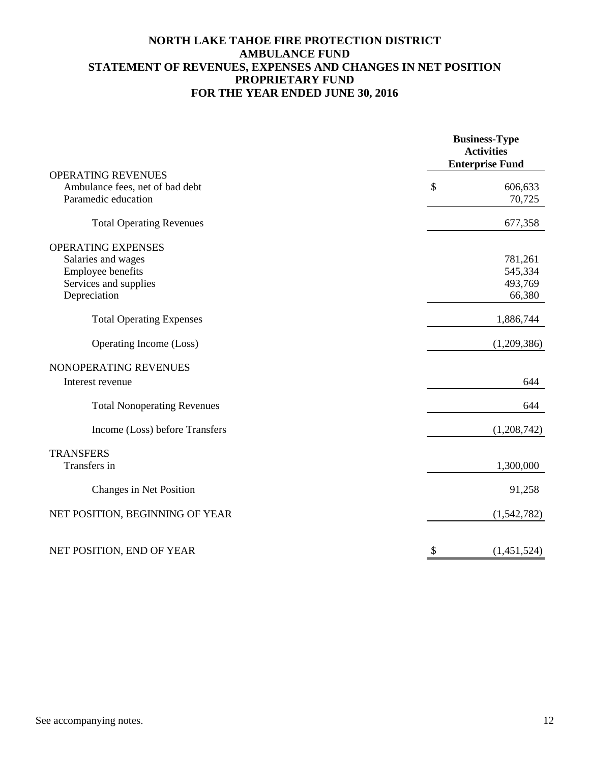# **NORTH LAKE TAHOE FIRE PROTECTION DISTRICT AMBULANCE FUND STATEMENT OF REVENUES, EXPENSES AND CHANGES IN NET POSITION PROPRIETARY FUND FOR THE YEAR ENDED JUNE 30, 2016**

|                                    | <b>Business-Type</b><br><b>Activities</b><br><b>Enterprise Fund</b> |  |  |  |  |  |
|------------------------------------|---------------------------------------------------------------------|--|--|--|--|--|
| <b>OPERATING REVENUES</b>          |                                                                     |  |  |  |  |  |
| Ambulance fees, net of bad debt    | \$<br>606,633                                                       |  |  |  |  |  |
| Paramedic education                | 70,725                                                              |  |  |  |  |  |
| <b>Total Operating Revenues</b>    | 677,358                                                             |  |  |  |  |  |
| <b>OPERATING EXPENSES</b>          |                                                                     |  |  |  |  |  |
| Salaries and wages                 | 781,261                                                             |  |  |  |  |  |
| Employee benefits                  | 545,334                                                             |  |  |  |  |  |
| Services and supplies              | 493,769                                                             |  |  |  |  |  |
| Depreciation                       | 66,380                                                              |  |  |  |  |  |
| <b>Total Operating Expenses</b>    | 1,886,744                                                           |  |  |  |  |  |
| Operating Income (Loss)            | (1,209,386)                                                         |  |  |  |  |  |
| NONOPERATING REVENUES              |                                                                     |  |  |  |  |  |
| Interest revenue                   | 644                                                                 |  |  |  |  |  |
| <b>Total Nonoperating Revenues</b> | 644                                                                 |  |  |  |  |  |
| Income (Loss) before Transfers     | (1,208,742)                                                         |  |  |  |  |  |
| <b>TRANSFERS</b>                   |                                                                     |  |  |  |  |  |
| Transfers in                       | 1,300,000                                                           |  |  |  |  |  |
| Changes in Net Position            | 91,258                                                              |  |  |  |  |  |
| NET POSITION, BEGINNING OF YEAR    | (1,542,782)                                                         |  |  |  |  |  |
| NET POSITION, END OF YEAR          | \$<br>(1,451,524)                                                   |  |  |  |  |  |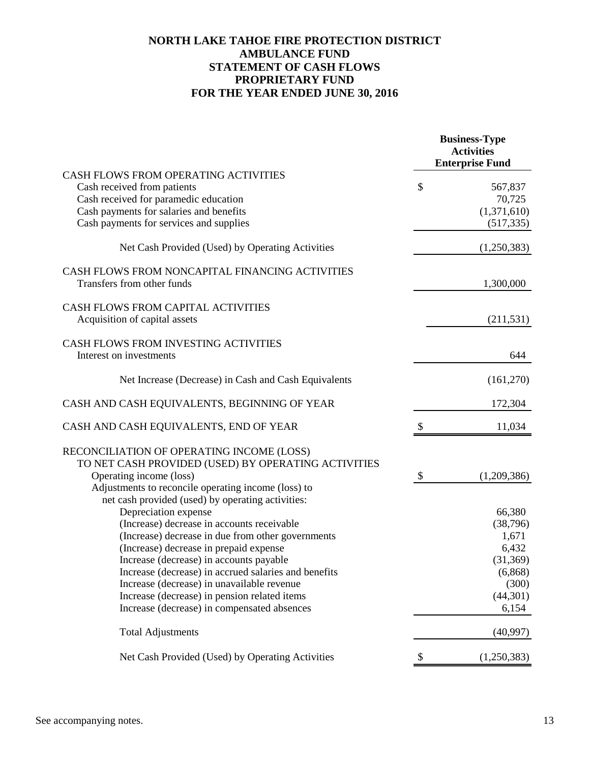# **NORTH LAKE TAHOE FIRE PROTECTION DISTRICT AMBULANCE FUND STATEMENT OF CASH FLOWS PROPRIETARY FUND FOR THE YEAR ENDED JUNE 30, 2016**

|                                                                                                          |                           | <b>Business-Type</b><br><b>Activities</b><br><b>Enterprise Fund</b> |
|----------------------------------------------------------------------------------------------------------|---------------------------|---------------------------------------------------------------------|
| CASH FLOWS FROM OPERATING ACTIVITIES                                                                     |                           |                                                                     |
| Cash received from patients                                                                              | \$                        | 567,837                                                             |
| Cash received for paramedic education                                                                    |                           | 70,725                                                              |
| Cash payments for salaries and benefits                                                                  |                           | (1,371,610)                                                         |
| Cash payments for services and supplies                                                                  |                           | (517, 335)                                                          |
| Net Cash Provided (Used) by Operating Activities                                                         |                           | (1,250,383)                                                         |
| CASH FLOWS FROM NONCAPITAL FINANCING ACTIVITIES<br>Transfers from other funds                            |                           | 1,300,000                                                           |
| <b>CASH FLOWS FROM CAPITAL ACTIVITIES</b>                                                                |                           |                                                                     |
| Acquisition of capital assets                                                                            |                           | (211, 531)                                                          |
| CASH FLOWS FROM INVESTING ACTIVITIES                                                                     |                           |                                                                     |
| Interest on investments                                                                                  |                           | 644                                                                 |
| Net Increase (Decrease) in Cash and Cash Equivalents                                                     |                           | (161,270)                                                           |
| CASH AND CASH EQUIVALENTS, BEGINNING OF YEAR                                                             |                           | 172,304                                                             |
| CASH AND CASH EQUIVALENTS, END OF YEAR                                                                   | \$                        | 11,034                                                              |
| RECONCILIATION OF OPERATING INCOME (LOSS)                                                                |                           |                                                                     |
| TO NET CASH PROVIDED (USED) BY OPERATING ACTIVITIES                                                      |                           |                                                                     |
| Operating income (loss)                                                                                  | $\boldsymbol{\mathsf{S}}$ | (1,209,386)                                                         |
| Adjustments to reconcile operating income (loss) to<br>net cash provided (used) by operating activities: |                           |                                                                     |
| Depreciation expense                                                                                     |                           | 66,380                                                              |
| (Increase) decrease in accounts receivable                                                               |                           | (38, 796)                                                           |
| (Increase) decrease in due from other governments                                                        |                           | 1,671                                                               |
| (Increase) decrease in prepaid expense                                                                   |                           | 6,432                                                               |
| Increase (decrease) in accounts payable                                                                  |                           | (31, 369)                                                           |
| Increase (decrease) in accrued salaries and benefits                                                     |                           | (6,868)                                                             |
| Increase (decrease) in unavailable revenue                                                               |                           | (300)                                                               |
| Increase (decrease) in pension related items                                                             |                           | (44,301)                                                            |
| Increase (decrease) in compensated absences                                                              |                           | 6,154                                                               |
| <b>Total Adjustments</b>                                                                                 |                           | (40,997)                                                            |
| Net Cash Provided (Used) by Operating Activities                                                         | \$                        | (1,250,383)                                                         |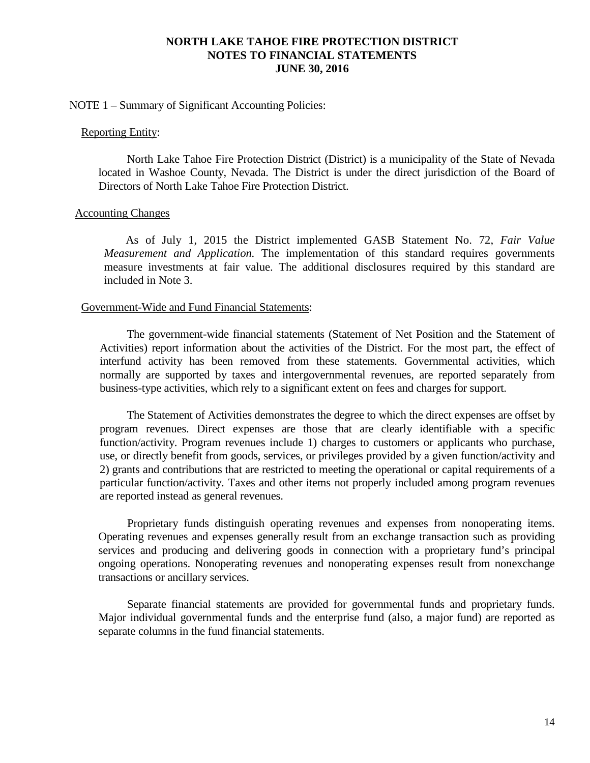### NOTE 1 – Summary of Significant Accounting Policies:

#### Reporting Entity:

North Lake Tahoe Fire Protection District (District) is a municipality of the State of Nevada located in Washoe County, Nevada. The District is under the direct jurisdiction of the Board of Directors of North Lake Tahoe Fire Protection District.

#### Accounting Changes

As of July 1, 2015 the District implemented GASB Statement No. 72, *Fair Value Measurement and Application.* The implementation of this standard requires governments measure investments at fair value. The additional disclosures required by this standard are included in Note 3.

#### Government-Wide and Fund Financial Statements:

The government-wide financial statements (Statement of Net Position and the Statement of Activities) report information about the activities of the District. For the most part, the effect of interfund activity has been removed from these statements. Governmental activities, which normally are supported by taxes and intergovernmental revenues, are reported separately from business-type activities, which rely to a significant extent on fees and charges for support.

The Statement of Activities demonstrates the degree to which the direct expenses are offset by program revenues. Direct expenses are those that are clearly identifiable with a specific function/activity. Program revenues include 1) charges to customers or applicants who purchase, use, or directly benefit from goods, services, or privileges provided by a given function/activity and 2) grants and contributions that are restricted to meeting the operational or capital requirements of a particular function/activity. Taxes and other items not properly included among program revenues are reported instead as general revenues.

Proprietary funds distinguish operating revenues and expenses from nonoperating items. Operating revenues and expenses generally result from an exchange transaction such as providing services and producing and delivering goods in connection with a proprietary fund's principal ongoing operations. Nonoperating revenues and nonoperating expenses result from nonexchange transactions or ancillary services.

Separate financial statements are provided for governmental funds and proprietary funds. Major individual governmental funds and the enterprise fund (also, a major fund) are reported as separate columns in the fund financial statements.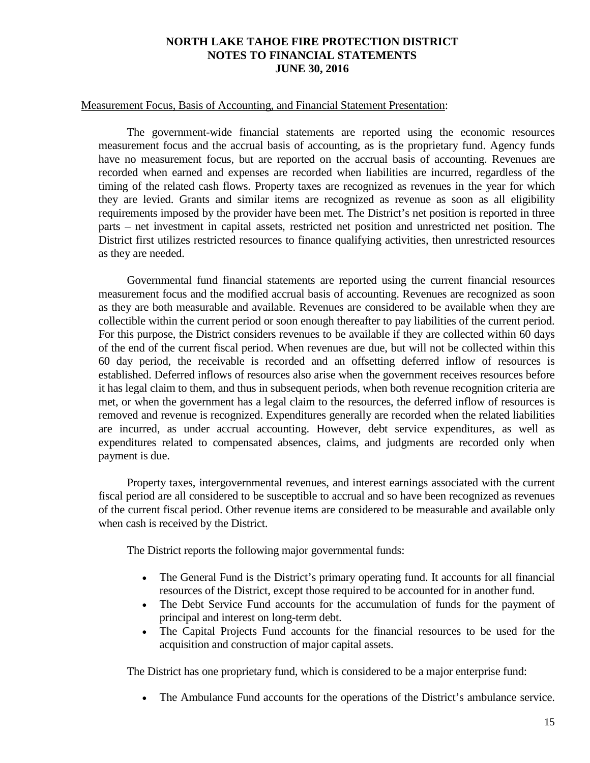### Measurement Focus, Basis of Accounting, and Financial Statement Presentation:

The government-wide financial statements are reported using the economic resources measurement focus and the accrual basis of accounting, as is the proprietary fund. Agency funds have no measurement focus, but are reported on the accrual basis of accounting. Revenues are recorded when earned and expenses are recorded when liabilities are incurred, regardless of the timing of the related cash flows. Property taxes are recognized as revenues in the year for which they are levied. Grants and similar items are recognized as revenue as soon as all eligibility requirements imposed by the provider have been met. The District's net position is reported in three parts – net investment in capital assets, restricted net position and unrestricted net position. The District first utilizes restricted resources to finance qualifying activities, then unrestricted resources as they are needed.

Governmental fund financial statements are reported using the current financial resources measurement focus and the modified accrual basis of accounting. Revenues are recognized as soon as they are both measurable and available. Revenues are considered to be available when they are collectible within the current period or soon enough thereafter to pay liabilities of the current period. For this purpose, the District considers revenues to be available if they are collected within 60 days of the end of the current fiscal period. When revenues are due, but will not be collected within this 60 day period, the receivable is recorded and an offsetting deferred inflow of resources is established. Deferred inflows of resources also arise when the government receives resources before it has legal claim to them, and thus in subsequent periods, when both revenue recognition criteria are met, or when the government has a legal claim to the resources, the deferred inflow of resources is removed and revenue is recognized. Expenditures generally are recorded when the related liabilities are incurred, as under accrual accounting. However, debt service expenditures, as well as expenditures related to compensated absences, claims, and judgments are recorded only when payment is due.

Property taxes, intergovernmental revenues, and interest earnings associated with the current fiscal period are all considered to be susceptible to accrual and so have been recognized as revenues of the current fiscal period. Other revenue items are considered to be measurable and available only when cash is received by the District.

The District reports the following major governmental funds:

- The General Fund is the District's primary operating fund. It accounts for all financial resources of the District, except those required to be accounted for in another fund.
- The Debt Service Fund accounts for the accumulation of funds for the payment of principal and interest on long-term debt.
- The Capital Projects Fund accounts for the financial resources to be used for the acquisition and construction of major capital assets.

The District has one proprietary fund, which is considered to be a major enterprise fund:

• The Ambulance Fund accounts for the operations of the District's ambulance service.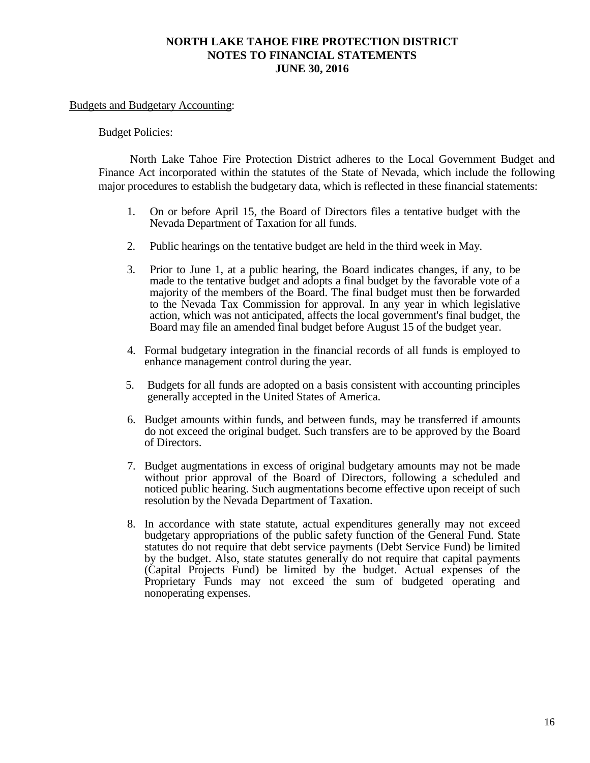### Budgets and Budgetary Accounting:

### Budget Policies:

North Lake Tahoe Fire Protection District adheres to the Local Government Budget and Finance Act incorporated within the statutes of the State of Nevada, which include the following major procedures to establish the budgetary data, which is reflected in these financial statements:

- 1. On or before April 15, the Board of Directors files a tentative budget with the Nevada Department of Taxation for all funds.
- 2. Public hearings on the tentative budget are held in the third week in May.
- 3. Prior to June 1, at a public hearing, the Board indicates changes, if any, to be made to the tentative budget and adopts a final budget by the favorable vote of a majority of the members of the Board. The final budget must then be forwarded to the Nevada Tax Commission for approval. In any year in which legislative action, which was not anticipated, affects the local government's final budget, the Board may file an amended final budget before August 15 of the budget year.
- 4. Formal budgetary integration in the financial records of all funds is employed to enhance management control during the year.
- 5. Budgets for all funds are adopted on a basis consistent with accounting principles generally accepted in the United States of America.
- 6. Budget amounts within funds, and between funds, may be transferred if amounts do not exceed the original budget. Such transfers are to be approved by the Board of Directors.
- 7. Budget augmentations in excess of original budgetary amounts may not be made without prior approval of the Board of Directors, following a scheduled and noticed public hearing. Such augmentations become effective upon receipt of such resolution by the Nevada Department of Taxation.
- 8. In accordance with state statute, actual expenditures generally may not exceed budgetary appropriations of the public safety function of the General Fund. State statutes do not require that debt service payments (Debt Service Fund) be limited by the budget. Also, state statutes generally do not require that capital payments (Capital Projects Fund) be limited by the budget. Actual expenses of the Proprietary Funds may not exceed the sum of budgeted operating and nonoperating expenses.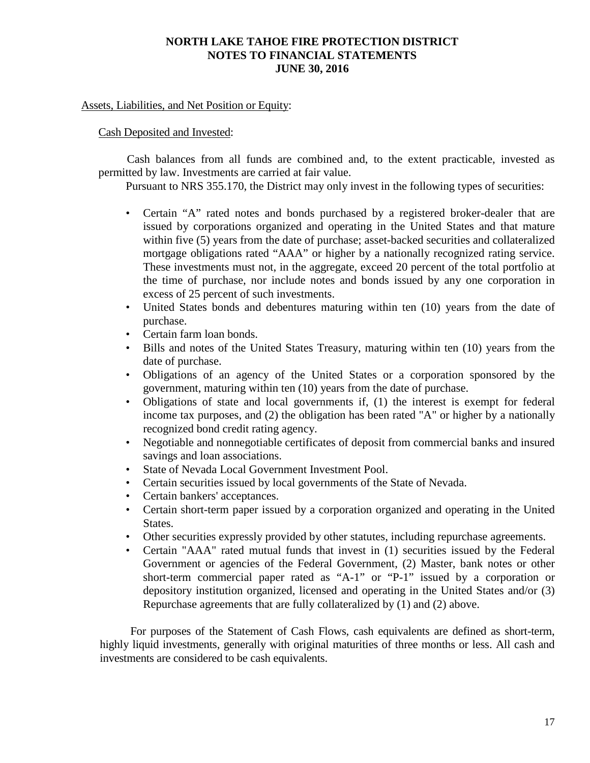## Assets, Liabilities, and Net Position or Equity:

## Cash Deposited and Invested:

Cash balances from all funds are combined and, to the extent practicable, invested as permitted by law. Investments are carried at fair value.

Pursuant to NRS 355.170, the District may only invest in the following types of securities:

- Certain "A" rated notes and bonds purchased by a registered broker-dealer that are issued by corporations organized and operating in the United States and that mature within five (5) years from the date of purchase; asset-backed securities and collateralized mortgage obligations rated "AAA" or higher by a nationally recognized rating service. These investments must not, in the aggregate, exceed 20 percent of the total portfolio at the time of purchase, nor include notes and bonds issued by any one corporation in excess of 25 percent of such investments.
- United States bonds and debentures maturing within ten (10) years from the date of purchase.
- Certain farm loan bonds.
- Bills and notes of the United States Treasury, maturing within ten (10) years from the date of purchase.
- Obligations of an agency of the United States or a corporation sponsored by the government, maturing within ten (10) years from the date of purchase.
- Obligations of state and local governments if, (1) the interest is exempt for federal income tax purposes, and (2) the obligation has been rated "A" or higher by a nationally recognized bond credit rating agency.
- Negotiable and nonnegotiable certificates of deposit from commercial banks and insured savings and loan associations.
- State of Nevada Local Government Investment Pool.
- Certain securities issued by local governments of the State of Nevada.
- Certain bankers' acceptances.
- Certain short-term paper issued by a corporation organized and operating in the United States.
- Other securities expressly provided by other statutes, including repurchase agreements.
- Certain "AAA" rated mutual funds that invest in (1) securities issued by the Federal Government or agencies of the Federal Government, (2) Master, bank notes or other short-term commercial paper rated as "A-1" or "P-1" issued by a corporation or depository institution organized, licensed and operating in the United States and/or (3) Repurchase agreements that are fully collateralized by (1) and (2) above.

For purposes of the Statement of Cash Flows, cash equivalents are defined as short-term, highly liquid investments, generally with original maturities of three months or less. All cash and investments are considered to be cash equivalents.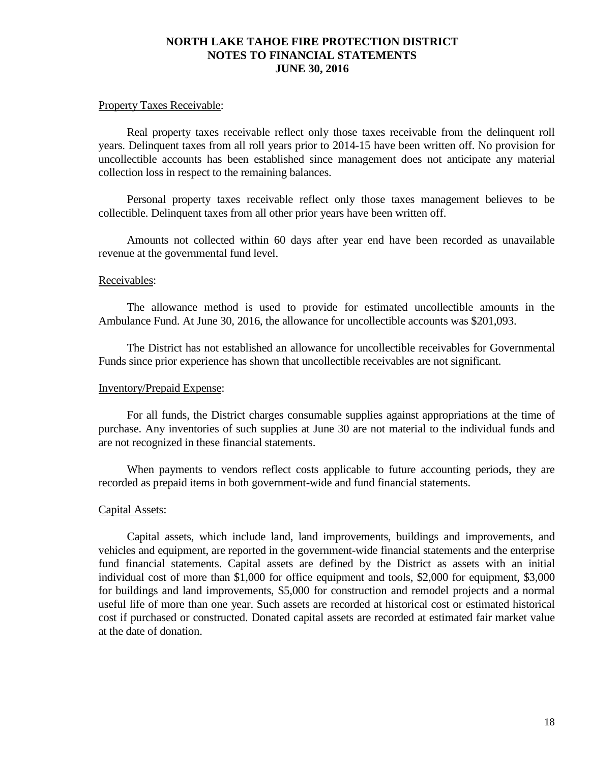#### Property Taxes Receivable:

Real property taxes receivable reflect only those taxes receivable from the delinquent roll years. Delinquent taxes from all roll years prior to 2014-15 have been written off. No provision for uncollectible accounts has been established since management does not anticipate any material collection loss in respect to the remaining balances.

Personal property taxes receivable reflect only those taxes management believes to be collectible. Delinquent taxes from all other prior years have been written off.

Amounts not collected within 60 days after year end have been recorded as unavailable revenue at the governmental fund level.

### Receivables:

The allowance method is used to provide for estimated uncollectible amounts in the Ambulance Fund. At June 30, 2016, the allowance for uncollectible accounts was \$201,093.

The District has not established an allowance for uncollectible receivables for Governmental Funds since prior experience has shown that uncollectible receivables are not significant.

### Inventory/Prepaid Expense:

For all funds, the District charges consumable supplies against appropriations at the time of purchase. Any inventories of such supplies at June 30 are not material to the individual funds and are not recognized in these financial statements.

When payments to vendors reflect costs applicable to future accounting periods, they are recorded as prepaid items in both government-wide and fund financial statements.

### Capital Assets:

Capital assets, which include land, land improvements, buildings and improvements, and vehicles and equipment, are reported in the government-wide financial statements and the enterprise fund financial statements. Capital assets are defined by the District as assets with an initial individual cost of more than \$1,000 for office equipment and tools, \$2,000 for equipment, \$3,000 for buildings and land improvements, \$5,000 for construction and remodel projects and a normal useful life of more than one year. Such assets are recorded at historical cost or estimated historical cost if purchased or constructed. Donated capital assets are recorded at estimated fair market value at the date of donation.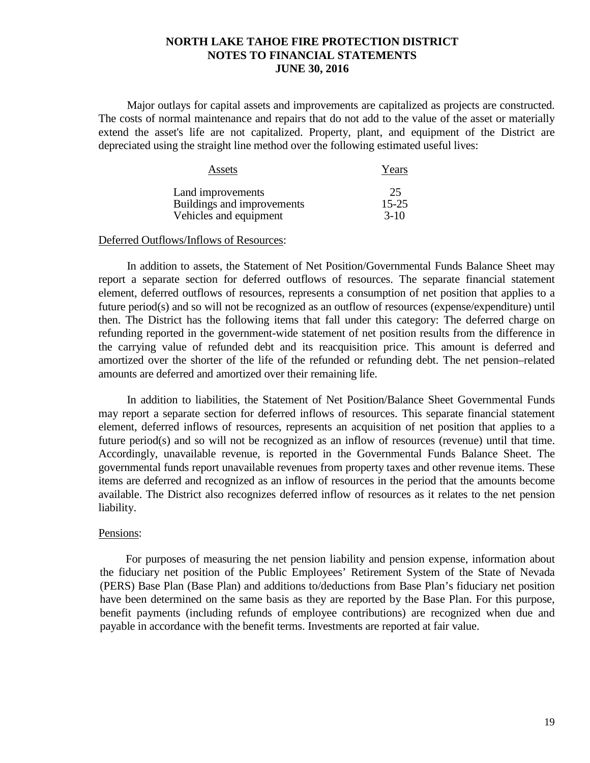Major outlays for capital assets and improvements are capitalized as projects are constructed. The costs of normal maintenance and repairs that do not add to the value of the asset or materially extend the asset's life are not capitalized. Property, plant, and equipment of the District are depreciated using the straight line method over the following estimated useful lives:

| Assets                     | Years     |
|----------------------------|-----------|
| Land improvements          | 25        |
| Buildings and improvements | $15 - 25$ |
| Vehicles and equipment     | $3-10$    |

#### Deferred Outflows/Inflows of Resources:

In addition to assets, the Statement of Net Position/Governmental Funds Balance Sheet may report a separate section for deferred outflows of resources. The separate financial statement element, deferred outflows of resources, represents a consumption of net position that applies to a future period(s) and so will not be recognized as an outflow of resources (expense/expenditure) until then. The District has the following items that fall under this category: The deferred charge on refunding reported in the government-wide statement of net position results from the difference in the carrying value of refunded debt and its reacquisition price. This amount is deferred and amortized over the shorter of the life of the refunded or refunding debt. The net pension–related amounts are deferred and amortized over their remaining life.

In addition to liabilities, the Statement of Net Position/Balance Sheet Governmental Funds may report a separate section for deferred inflows of resources. This separate financial statement element, deferred inflows of resources, represents an acquisition of net position that applies to a future period(s) and so will not be recognized as an inflow of resources (revenue) until that time. Accordingly, unavailable revenue, is reported in the Governmental Funds Balance Sheet. The governmental funds report unavailable revenues from property taxes and other revenue items. These items are deferred and recognized as an inflow of resources in the period that the amounts become available. The District also recognizes deferred inflow of resources as it relates to the net pension liability.

#### Pensions:

For purposes of measuring the net pension liability and pension expense, information about the fiduciary net position of the Public Employees' Retirement System of the State of Nevada (PERS) Base Plan (Base Plan) and additions to/deductions from Base Plan's fiduciary net position have been determined on the same basis as they are reported by the Base Plan. For this purpose, benefit payments (including refunds of employee contributions) are recognized when due and payable in accordance with the benefit terms. Investments are reported at fair value.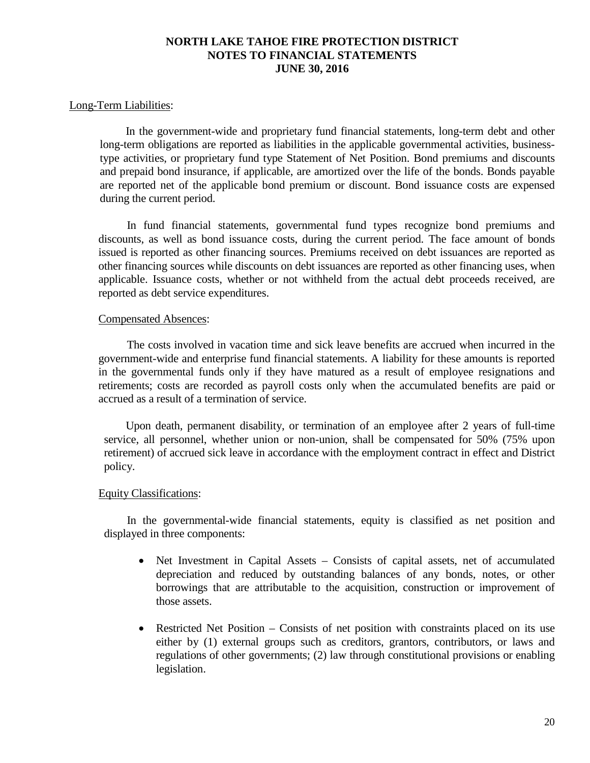### Long-Term Liabilities:

In the government-wide and proprietary fund financial statements, long-term debt and other long-term obligations are reported as liabilities in the applicable governmental activities, businesstype activities, or proprietary fund type Statement of Net Position. Bond premiums and discounts and prepaid bond insurance, if applicable, are amortized over the life of the bonds. Bonds payable are reported net of the applicable bond premium or discount. Bond issuance costs are expensed during the current period.

In fund financial statements, governmental fund types recognize bond premiums and discounts, as well as bond issuance costs, during the current period. The face amount of bonds issued is reported as other financing sources. Premiums received on debt issuances are reported as other financing sources while discounts on debt issuances are reported as other financing uses, when applicable. Issuance costs, whether or not withheld from the actual debt proceeds received, are reported as debt service expenditures.

### Compensated Absences:

The costs involved in vacation time and sick leave benefits are accrued when incurred in the government-wide and enterprise fund financial statements. A liability for these amounts is reported in the governmental funds only if they have matured as a result of employee resignations and retirements; costs are recorded as payroll costs only when the accumulated benefits are paid or accrued as a result of a termination of service.

Upon death, permanent disability, or termination of an employee after 2 years of full-time service, all personnel, whether union or non-union, shall be compensated for 50% (75% upon retirement) of accrued sick leave in accordance with the employment contract in effect and District policy.

## Equity Classifications:

In the governmental-wide financial statements, equity is classified as net position and displayed in three components:

- Net Investment in Capital Assets Consists of capital assets, net of accumulated depreciation and reduced by outstanding balances of any bonds, notes, or other borrowings that are attributable to the acquisition, construction or improvement of those assets.
- Restricted Net Position Consists of net position with constraints placed on its use either by (1) external groups such as creditors, grantors, contributors, or laws and regulations of other governments; (2) law through constitutional provisions or enabling legislation.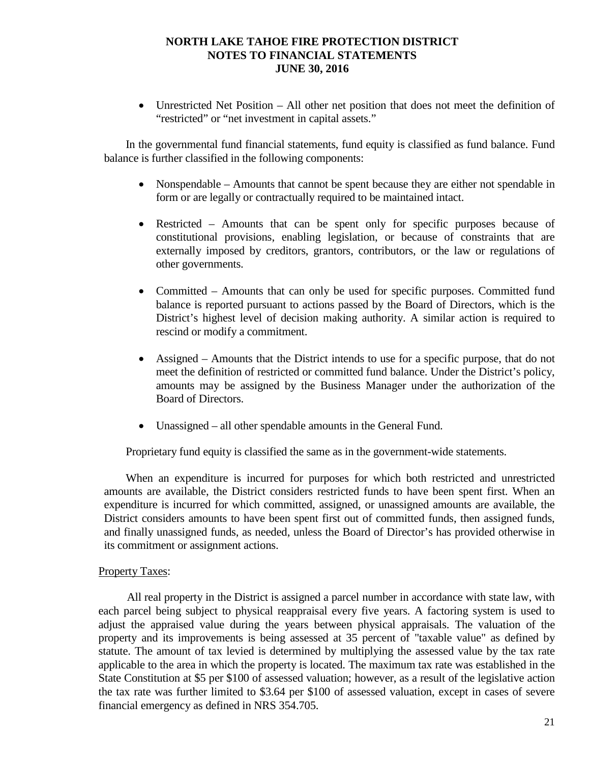• Unrestricted Net Position – All other net position that does not meet the definition of "restricted" or "net investment in capital assets."

In the governmental fund financial statements, fund equity is classified as fund balance. Fund balance is further classified in the following components:

- Nonspendable Amounts that cannot be spent because they are either not spendable in form or are legally or contractually required to be maintained intact.
- Restricted Amounts that can be spent only for specific purposes because of constitutional provisions, enabling legislation, or because of constraints that are externally imposed by creditors, grantors, contributors, or the law or regulations of other governments.
- Committed Amounts that can only be used for specific purposes. Committed fund balance is reported pursuant to actions passed by the Board of Directors, which is the District's highest level of decision making authority. A similar action is required to rescind or modify a commitment.
- Assigned Amounts that the District intends to use for a specific purpose, that do not meet the definition of restricted or committed fund balance. Under the District's policy, amounts may be assigned by the Business Manager under the authorization of the Board of Directors.
- Unassigned all other spendable amounts in the General Fund.

Proprietary fund equity is classified the same as in the government-wide statements.

When an expenditure is incurred for purposes for which both restricted and unrestricted amounts are available, the District considers restricted funds to have been spent first. When an expenditure is incurred for which committed, assigned, or unassigned amounts are available, the District considers amounts to have been spent first out of committed funds, then assigned funds, and finally unassigned funds, as needed, unless the Board of Director's has provided otherwise in its commitment or assignment actions.

### Property Taxes:

All real property in the District is assigned a parcel number in accordance with state law, with each parcel being subject to physical reappraisal every five years. A factoring system is used to adjust the appraised value during the years between physical appraisals. The valuation of the property and its improvements is being assessed at 35 percent of "taxable value" as defined by statute. The amount of tax levied is determined by multiplying the assessed value by the tax rate applicable to the area in which the property is located. The maximum tax rate was established in the State Constitution at \$5 per \$100 of assessed valuation; however, as a result of the legislative action the tax rate was further limited to \$3.64 per \$100 of assessed valuation, except in cases of severe financial emergency as defined in NRS 354.705.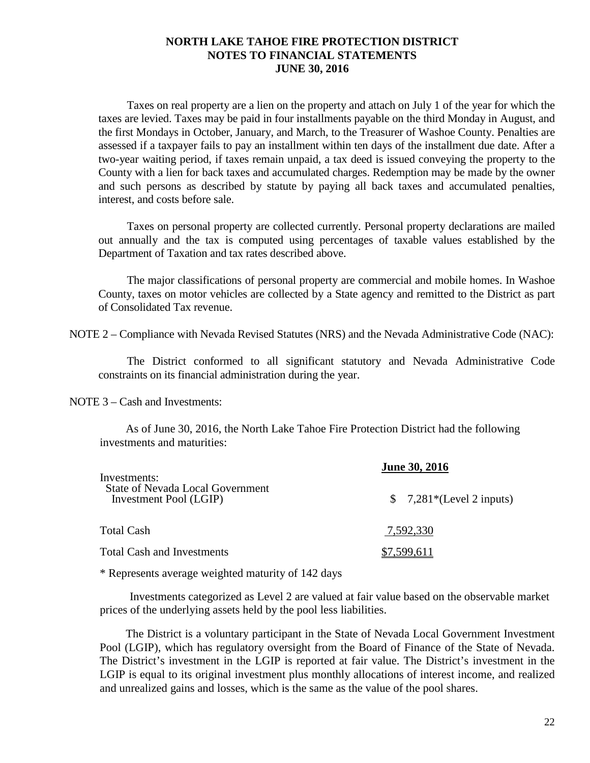Taxes on real property are a lien on the property and attach on July 1 of the year for which the taxes are levied. Taxes may be paid in four installments payable on the third Monday in August, and the first Mondays in October, January, and March, to the Treasurer of Washoe County. Penalties are assessed if a taxpayer fails to pay an installment within ten days of the installment due date. After a two-year waiting period, if taxes remain unpaid, a tax deed is issued conveying the property to the County with a lien for back taxes and accumulated charges. Redemption may be made by the owner and such persons as described by statute by paying all back taxes and accumulated penalties, interest, and costs before sale.

Taxes on personal property are collected currently. Personal property declarations are mailed out annually and the tax is computed using percentages of taxable values established by the Department of Taxation and tax rates described above.

The major classifications of personal property are commercial and mobile homes. In Washoe County, taxes on motor vehicles are collected by a State agency and remitted to the District as part of Consolidated Tax revenue.

NOTE 2 – Compliance with Nevada Revised Statutes (NRS) and the Nevada Administrative Code (NAC):

The District conformed to all significant statutory and Nevada Administrative Code constraints on its financial administration during the year.

NOTE 3 – Cash and Investments:

As of June 30, 2016, the North Lake Tahoe Fire Protection District had the following investments and maturities:

| Investments:                                                      | <b>June 30, 2016</b>      |  |  |
|-------------------------------------------------------------------|---------------------------|--|--|
| <b>State of Nevada Local Government</b><br>Investment Pool (LGIP) | $$7,281*(Level 2 inputs)$ |  |  |
| Total Cash                                                        | 7,592,330                 |  |  |
| <b>Total Cash and Investments</b>                                 | \$7,599,611               |  |  |

\* Represents average weighted maturity of 142 days

Investments categorized as Level 2 are valued at fair value based on the observable market prices of the underlying assets held by the pool less liabilities.

The District is a voluntary participant in the State of Nevada Local Government Investment Pool (LGIP), which has regulatory oversight from the Board of Finance of the State of Nevada. The District's investment in the LGIP is reported at fair value. The District's investment in the LGIP is equal to its original investment plus monthly allocations of interest income, and realized and unrealized gains and losses, which is the same as the value of the pool shares.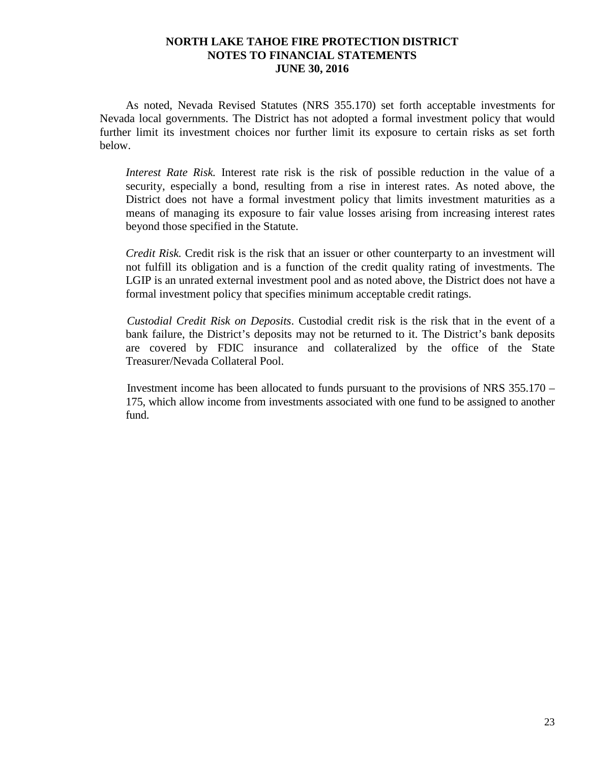As noted, Nevada Revised Statutes (NRS 355.170) set forth acceptable investments for Nevada local governments. The District has not adopted a formal investment policy that would further limit its investment choices nor further limit its exposure to certain risks as set forth below.

*Interest Rate Risk.* Interest rate risk is the risk of possible reduction in the value of a security, especially a bond, resulting from a rise in interest rates. As noted above, the District does not have a formal investment policy that limits investment maturities as a means of managing its exposure to fair value losses arising from increasing interest rates beyond those specified in the Statute.

*Credit Risk.* Credit risk is the risk that an issuer or other counterparty to an investment will not fulfill its obligation and is a function of the credit quality rating of investments. The LGIP is an unrated external investment pool and as noted above, the District does not have a formal investment policy that specifies minimum acceptable credit ratings.

*Custodial Credit Risk on Deposits*. Custodial credit risk is the risk that in the event of a bank failure, the District's deposits may not be returned to it. The District's bank deposits are covered by FDIC insurance and collateralized by the office of the State Treasurer/Nevada Collateral Pool.

Investment income has been allocated to funds pursuant to the provisions of NRS 355.170 – 175, which allow income from investments associated with one fund to be assigned to another fund.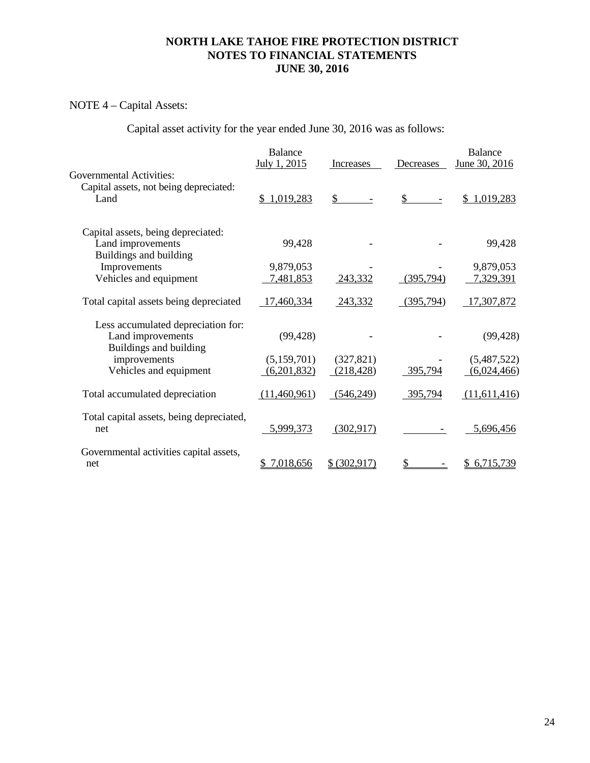# NOTE 4 – Capital Assets:

Capital asset activity for the year ended June 30, 2016 was as follows:

|                                                                                   | <b>Balance</b><br>July 1, 2015 | Increases     | Decreases | <b>Balance</b><br>June 30, 2016 |
|-----------------------------------------------------------------------------------|--------------------------------|---------------|-----------|---------------------------------|
| <b>Governmental Activities:</b><br>Capital assets, not being depreciated:<br>Land | \$1,019,283                    | \$            | \$        | 1,019,283<br>S.                 |
| Capital assets, being depreciated:<br>Land improvements<br>Buildings and building | 99,428                         |               |           | 99,428                          |
| Improvements                                                                      | 9,879,053                      |               |           | 9,879,053                       |
| Vehicles and equipment                                                            | 7,481,853                      | 243,332       | (395,794) | 7,329,391                       |
| Total capital assets being depreciated                                            | 17,460,334                     | 243,332       | (395,794) | 17,307,872                      |
| Less accumulated depreciation for:<br>Land improvements<br>Buildings and building | (99, 428)                      |               |           | (99, 428)                       |
| improvements                                                                      | (5,159,701)                    | (327, 821)    |           | (5,487,522)                     |
| Vehicles and equipment                                                            | (6,201,832)                    | (218, 428)    | 395,794   | (6,024,466)                     |
| Total accumulated depreciation                                                    | (11,460,961)                   | (546,249)     | 395,794   | (11,611,416)                    |
| Total capital assets, being depreciated,<br>net                                   | 5,999,373                      | (302, 917)    |           | 5,696,456                       |
| Governmental activities capital assets,<br>net                                    | 7,018,656                      | \$ (302, 917) |           | \$6,715,739                     |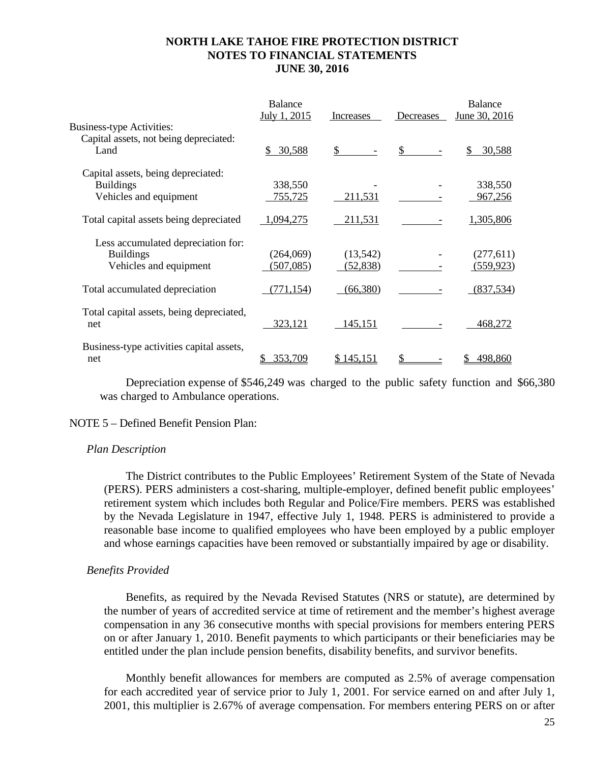|                                                 | <b>Balance</b><br>July 1, 2015 | Increases    | Decreases    | <b>Balance</b><br>June 30, 2016 |
|-------------------------------------------------|--------------------------------|--------------|--------------|---------------------------------|
| <b>Business-type Activities:</b>                |                                |              |              |                                 |
| Capital assets, not being depreciated:<br>Land  | \$30,588                       | $\mathbb{S}$ | $\mathbb{S}$ | 30,588<br>\$.                   |
| Capital assets, being depreciated:              |                                |              |              |                                 |
| <b>Buildings</b>                                | 338,550                        |              |              | 338,550                         |
| Vehicles and equipment                          | 755,725                        | 211,531      |              | 967,256                         |
| Total capital assets being depreciated          | 1,094,275                      | 211,531      |              | 1,305,806                       |
| Less accumulated depreciation for:              |                                |              |              |                                 |
| <b>Buildings</b>                                | (264,069)                      | (13,542)     |              | (277,611)                       |
| Vehicles and equipment                          | (507, 085)                     | (52, 838)    |              | (559, 923)                      |
| Total accumulated depreciation                  | (771, 154)                     | (66,380)     |              | (837,534)                       |
| Total capital assets, being depreciated,<br>net | 323,121                        | 145,151      |              | 468,272                         |
| Business-type activities capital assets,<br>net | 353,709                        | \$145,151    |              | 498,860                         |

Depreciation expense of \$546,249 was charged to the public safety function and \$66,380 was charged to Ambulance operations.

### NOTE 5 – Defined Benefit Pension Plan:

### *Plan Description*

The District contributes to the Public Employees' Retirement System of the State of Nevada (PERS). PERS administers a cost-sharing, multiple-employer, defined benefit public employees' retirement system which includes both Regular and Police/Fire members. PERS was established by the Nevada Legislature in 1947, effective July 1, 1948. PERS is administered to provide a reasonable base income to qualified employees who have been employed by a public employer and whose earnings capacities have been removed or substantially impaired by age or disability.

### *Benefits Provided*

Benefits, as required by the Nevada Revised Statutes (NRS or statute), are determined by the number of years of accredited service at time of retirement and the member's highest average compensation in any 36 consecutive months with special provisions for members entering PERS on or after January 1, 2010. Benefit payments to which participants or their beneficiaries may be entitled under the plan include pension benefits, disability benefits, and survivor benefits.

Monthly benefit allowances for members are computed as 2.5% of average compensation for each accredited year of service prior to July 1, 2001. For service earned on and after July 1, 2001, this multiplier is 2.67% of average compensation. For members entering PERS on or after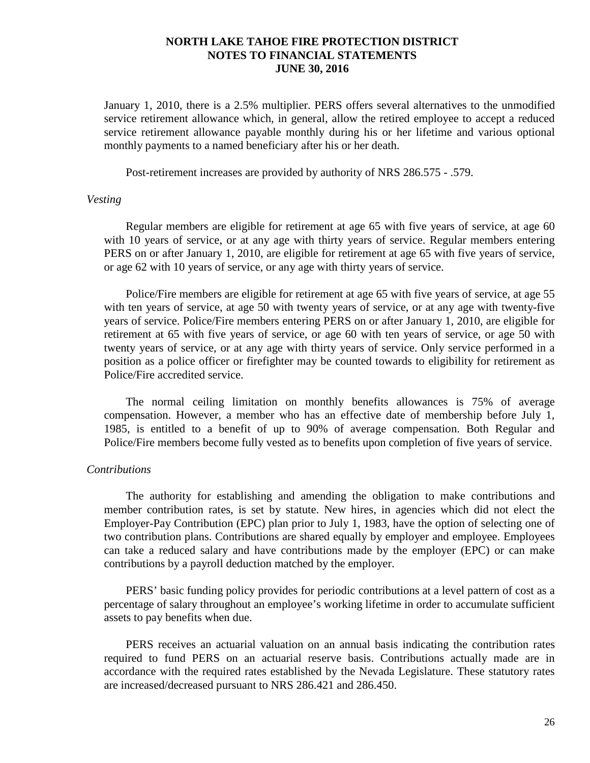January 1, 2010, there is a 2.5% multiplier. PERS offers several alternatives to the unmodified service retirement allowance which, in general, allow the retired employee to accept a reduced service retirement allowance payable monthly during his or her lifetime and various optional monthly payments to a named beneficiary after his or her death.

Post-retirement increases are provided by authority of NRS 286.575 - .579.

### *Vesting*

Regular members are eligible for retirement at age 65 with five years of service, at age 60 with 10 years of service, or at any age with thirty years of service. Regular members entering PERS on or after January 1, 2010, are eligible for retirement at age 65 with five years of service, or age 62 with 10 years of service, or any age with thirty years of service.

Police/Fire members are eligible for retirement at age 65 with five years of service, at age 55 with ten years of service, at age 50 with twenty years of service, or at any age with twenty-five years of service. Police/Fire members entering PERS on or after January 1, 2010, are eligible for retirement at 65 with five years of service, or age 60 with ten years of service, or age 50 with twenty years of service, or at any age with thirty years of service. Only service performed in a position as a police officer or firefighter may be counted towards to eligibility for retirement as Police/Fire accredited service.

The normal ceiling limitation on monthly benefits allowances is 75% of average compensation. However, a member who has an effective date of membership before July 1, 1985, is entitled to a benefit of up to 90% of average compensation. Both Regular and Police/Fire members become fully vested as to benefits upon completion of five years of service.

### *Contributions*

The authority for establishing and amending the obligation to make contributions and member contribution rates, is set by statute. New hires, in agencies which did not elect the Employer-Pay Contribution (EPC) plan prior to July 1, 1983, have the option of selecting one of two contribution plans. Contributions are shared equally by employer and employee. Employees can take a reduced salary and have contributions made by the employer (EPC) or can make contributions by a payroll deduction matched by the employer.

PERS' basic funding policy provides for periodic contributions at a level pattern of cost as a percentage of salary throughout an employee's working lifetime in order to accumulate sufficient assets to pay benefits when due.

PERS receives an actuarial valuation on an annual basis indicating the contribution rates required to fund PERS on an actuarial reserve basis. Contributions actually made are in accordance with the required rates established by the Nevada Legislature. These statutory rates are increased/decreased pursuant to NRS 286.421 and 286.450.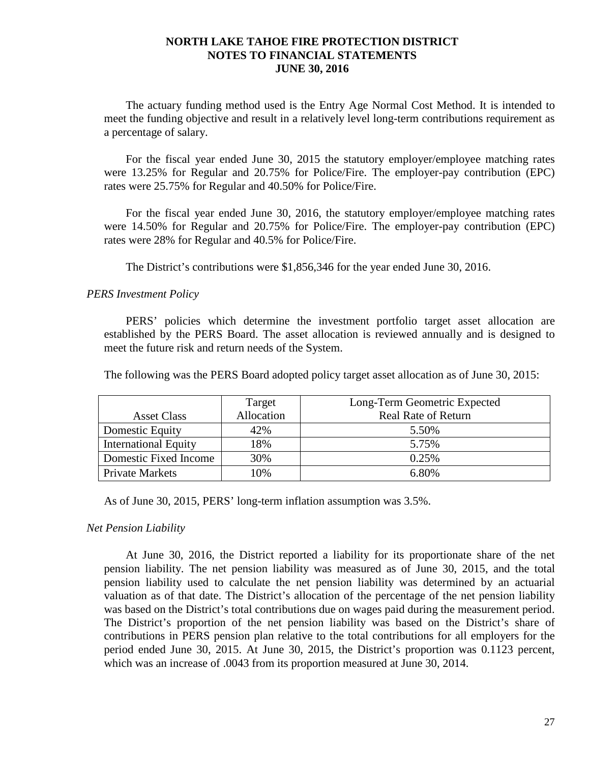The actuary funding method used is the Entry Age Normal Cost Method. It is intended to meet the funding objective and result in a relatively level long-term contributions requirement as a percentage of salary.

For the fiscal year ended June 30, 2015 the statutory employer/employee matching rates were 13.25% for Regular and 20.75% for Police/Fire. The employer-pay contribution (EPC) rates were 25.75% for Regular and 40.50% for Police/Fire.

For the fiscal year ended June 30, 2016, the statutory employer/employee matching rates were 14.50% for Regular and 20.75% for Police/Fire. The employer-pay contribution (EPC) rates were 28% for Regular and 40.5% for Police/Fire.

The District's contributions were \$1,856,346 for the year ended June 30, 2016.

### *PERS Investment Policy*

PERS' policies which determine the investment portfolio target asset allocation are established by the PERS Board. The asset allocation is reviewed annually and is designed to meet the future risk and return needs of the System.

The following was the PERS Board adopted policy target asset allocation as of June 30, 2015:

|                             | Target     | Long-Term Geometric Expected |  |  |
|-----------------------------|------------|------------------------------|--|--|
| <b>Asset Class</b>          | Allocation | <b>Real Rate of Return</b>   |  |  |
| Domestic Equity             | 42%        | 5.50%                        |  |  |
| <b>International Equity</b> | 18%        | 5.75%                        |  |  |
| Domestic Fixed Income       | 30%        | 0.25%                        |  |  |
| <b>Private Markets</b>      | 10%        | 6.80%                        |  |  |

As of June 30, 2015, PERS' long-term inflation assumption was 3.5%.

## *Net Pension Liability*

At June 30, 2016, the District reported a liability for its proportionate share of the net pension liability. The net pension liability was measured as of June 30, 2015, and the total pension liability used to calculate the net pension liability was determined by an actuarial valuation as of that date. The District's allocation of the percentage of the net pension liability was based on the District's total contributions due on wages paid during the measurement period. The District's proportion of the net pension liability was based on the District's share of contributions in PERS pension plan relative to the total contributions for all employers for the period ended June 30, 2015. At June 30, 2015, the District's proportion was 0.1123 percent, which was an increase of .0043 from its proportion measured at June 30, 2014.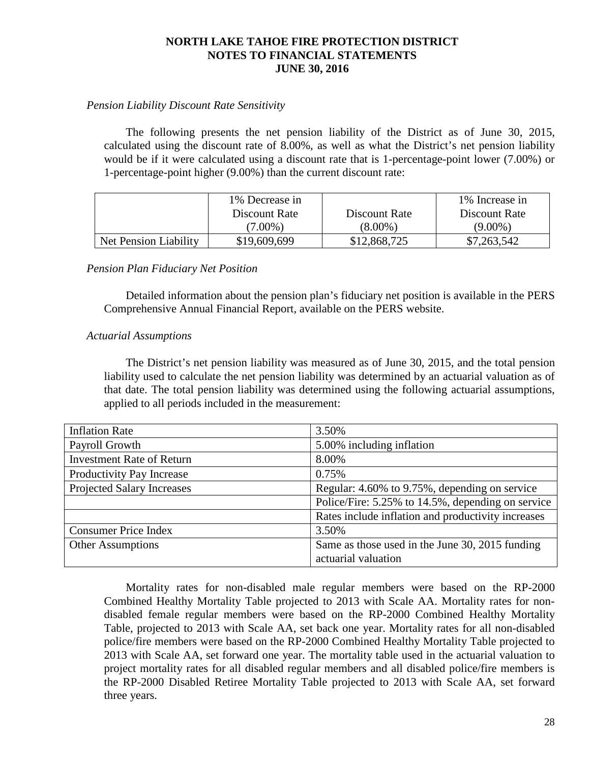# *Pension Liability Discount Rate Sensitivity*

The following presents the net pension liability of the District as of June 30, 2015, calculated using the discount rate of 8.00%, as well as what the District's net pension liability would be if it were calculated using a discount rate that is 1-percentage-point lower (7.00%) or 1-percentage-point higher (9.00%) than the current discount rate:

|                       | 1% Decrease in |               | 1% Increase in |
|-----------------------|----------------|---------------|----------------|
|                       | Discount Rate  | Discount Rate | Discount Rate  |
|                       | $(7.00\%)$     | $(8.00\%)$    | $(9.00\%)$     |
| Net Pension Liability | \$19,609,699   | \$12,868,725  | \$7,263,542    |

## *Pension Plan Fiduciary Net Position*

Detailed information about the pension plan's fiduciary net position is available in the PERS Comprehensive Annual Financial Report, available on the PERS website.

## *Actuarial Assumptions*

The District's net pension liability was measured as of June 30, 2015, and the total pension liability used to calculate the net pension liability was determined by an actuarial valuation as of that date. The total pension liability was determined using the following actuarial assumptions, applied to all periods included in the measurement:

| <b>Inflation Rate</b>             | 3.50%                                              |
|-----------------------------------|----------------------------------------------------|
| Payroll Growth                    | 5.00% including inflation                          |
| <b>Investment Rate of Return</b>  | 8.00%                                              |
| Productivity Pay Increase         | 0.75%                                              |
| <b>Projected Salary Increases</b> | Regular: 4.60% to 9.75%, depending on service      |
|                                   | Police/Fire: 5.25% to 14.5%, depending on service  |
|                                   | Rates include inflation and productivity increases |
| <b>Consumer Price Index</b>       | 3.50%                                              |
| <b>Other Assumptions</b>          | Same as those used in the June 30, 2015 funding    |
|                                   | actuarial valuation                                |

Mortality rates for non-disabled male regular members were based on the RP-2000 Combined Healthy Mortality Table projected to 2013 with Scale AA. Mortality rates for nondisabled female regular members were based on the RP-2000 Combined Healthy Mortality Table, projected to 2013 with Scale AA, set back one year. Mortality rates for all non-disabled police/fire members were based on the RP-2000 Combined Healthy Mortality Table projected to 2013 with Scale AA, set forward one year. The mortality table used in the actuarial valuation to project mortality rates for all disabled regular members and all disabled police/fire members is the RP-2000 Disabled Retiree Mortality Table projected to 2013 with Scale AA, set forward three years.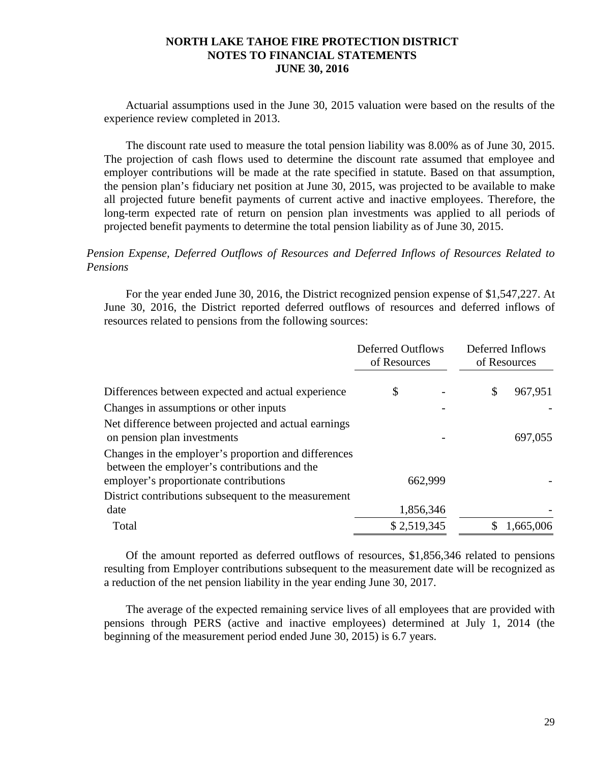Actuarial assumptions used in the June 30, 2015 valuation were based on the results of the experience review completed in 2013.

The discount rate used to measure the total pension liability was 8.00% as of June 30, 2015. The projection of cash flows used to determine the discount rate assumed that employee and employer contributions will be made at the rate specified in statute. Based on that assumption, the pension plan's fiduciary net position at June 30, 2015, was projected to be available to make all projected future benefit payments of current active and inactive employees. Therefore, the long-term expected rate of return on pension plan investments was applied to all periods of projected benefit payments to determine the total pension liability as of June 30, 2015.

# *Pension Expense, Deferred Outflows of Resources and Deferred Inflows of Resources Related to Pensions*

For the year ended June 30, 2016, the District recognized pension expense of \$1,547,227. At June 30, 2016, the District reported deferred outflows of resources and deferred inflows of resources related to pensions from the following sources:

|                                                                                                      | <b>Deferred Outflows</b><br>of Resources |  | Deferred Inflows<br>of Resources |           |
|------------------------------------------------------------------------------------------------------|------------------------------------------|--|----------------------------------|-----------|
| Differences between expected and actual experience                                                   | \$                                       |  | \$                               | 967,951   |
| Changes in assumptions or other inputs                                                               |                                          |  |                                  |           |
| Net difference between projected and actual earnings<br>on pension plan investments                  |                                          |  |                                  | 697,055   |
| Changes in the employer's proportion and differences<br>between the employer's contributions and the |                                          |  |                                  |           |
| employer's proportionate contributions                                                               | 662,999                                  |  |                                  |           |
| District contributions subsequent to the measurement<br>date                                         | 1,856,346                                |  |                                  |           |
| Total                                                                                                | \$2,519,345                              |  |                                  | 1,665,006 |

Of the amount reported as deferred outflows of resources, \$1,856,346 related to pensions resulting from Employer contributions subsequent to the measurement date will be recognized as a reduction of the net pension liability in the year ending June 30, 2017.

The average of the expected remaining service lives of all employees that are provided with pensions through PERS (active and inactive employees) determined at July 1, 2014 (the beginning of the measurement period ended June 30, 2015) is 6.7 years.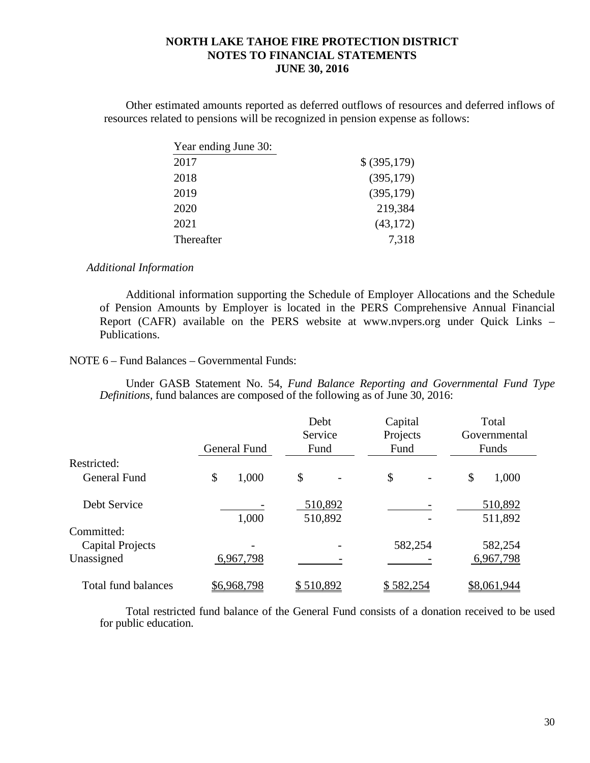Other estimated amounts reported as deferred outflows of resources and deferred inflows of resources related to pensions will be recognized in pension expense as follows:

| Year ending June 30: |              |
|----------------------|--------------|
| 2017                 | \$ (395,179) |
| 2018                 | (395, 179)   |
| 2019                 | (395, 179)   |
| 2020                 | 219,384      |
| 2021                 | (43, 172)    |
| Thereafter           | 7,318        |

### *Additional Information*

Additional information supporting the Schedule of Employer Allocations and the Schedule of Pension Amounts by Employer is located in the PERS Comprehensive Annual Financial Report (CAFR) available on the PERS website at www.nvpers.org under Quick Links – Publications.

### NOTE 6 – Fund Balances – Governmental Funds:

Under GASB Statement No. 54, *Fund Balance Reporting and Governmental Fund Type Definitions,* fund balances are composed of the following as of June 30, 2016:

|                         |              | Debt<br>Service    | Capital<br>Projects            | Total<br>Governmental |
|-------------------------|--------------|--------------------|--------------------------------|-----------------------|
|                         | General Fund | Fund               | Fund                           | Funds                 |
| Restricted:             |              |                    |                                |                       |
| <b>General Fund</b>     | \$<br>1,000  | \$                 | \$<br>$\overline{\phantom{a}}$ | \$<br>1,000           |
| Debt Service            | 1,000        | 510,892<br>510,892 |                                | 510,892<br>511,892    |
| Committed:              |              |                    |                                |                       |
| <b>Capital Projects</b> |              |                    | 582,254                        | 582,254               |
| Unassigned              | 6,967,798    |                    |                                | 6,967,798             |
| Total fund balances     | \$6,968,798  | \$510,892          | \$582,254                      | \$8,061,944           |

Total restricted fund balance of the General Fund consists of a donation received to be used for public education.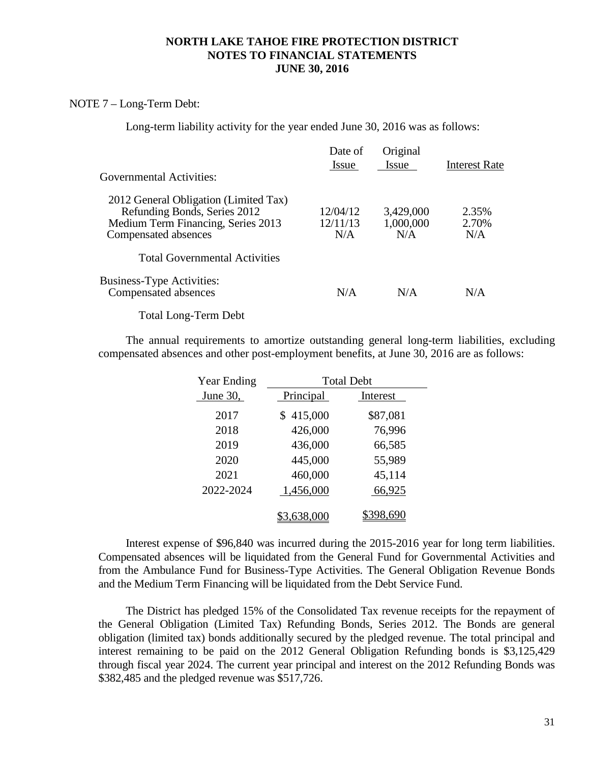### NOTE 7 – Long-Term Debt:

Long-term liability activity for the year ended June 30, 2016 was as follows:

|                                                                                                                                     | Date of<br>Issue            | Original<br><b>Issue</b>      | <b>Interest Rate</b>  |
|-------------------------------------------------------------------------------------------------------------------------------------|-----------------------------|-------------------------------|-----------------------|
| <b>Governmental Activities:</b>                                                                                                     |                             |                               |                       |
| 2012 General Obligation (Limited Tax)<br>Refunding Bonds, Series 2012<br>Medium Term Financing, Series 2013<br>Compensated absences | 12/04/12<br>12/11/13<br>N/A | 3,429,000<br>1,000,000<br>N/A | 2.35%<br>2.70%<br>N/A |
| <b>Total Governmental Activities</b>                                                                                                |                             |                               |                       |
| <b>Business-Type Activities:</b><br>Compensated absences                                                                            | N/A                         | N/A                           | N/A                   |
| $\sim$                                                                                                                              |                             |                               |                       |

Total Long-Term Debt

The annual requirements to amortize outstanding general long-term liabilities, excluding compensated absences and other post-employment benefits, at June 30, 2016 are as follows:

| Year Ending | <b>Total Debt</b>        |          |  |  |  |
|-------------|--------------------------|----------|--|--|--|
| June $30$ , | Principal                | Interest |  |  |  |
| 2017        | 415,000<br>$\mathbb S^-$ | \$87,081 |  |  |  |
| 2018        | 426,000                  | 76,996   |  |  |  |
| 2019        | 436,000                  | 66,585   |  |  |  |
| 2020        | 445,000                  | 55,989   |  |  |  |
| 2021        | 460,000                  | 45,114   |  |  |  |
| 2022-2024   | 1,456,000                | 66,925   |  |  |  |
|             | 638,000                  |          |  |  |  |

Interest expense of \$96,840 was incurred during the 2015-2016 year for long term liabilities. Compensated absences will be liquidated from the General Fund for Governmental Activities and from the Ambulance Fund for Business-Type Activities. The General Obligation Revenue Bonds and the Medium Term Financing will be liquidated from the Debt Service Fund.

The District has pledged 15% of the Consolidated Tax revenue receipts for the repayment of the General Obligation (Limited Tax) Refunding Bonds, Series 2012. The Bonds are general obligation (limited tax) bonds additionally secured by the pledged revenue. The total principal and interest remaining to be paid on the 2012 General Obligation Refunding bonds is \$3,125,429 through fiscal year 2024. The current year principal and interest on the 2012 Refunding Bonds was \$382,485 and the pledged revenue was \$517,726.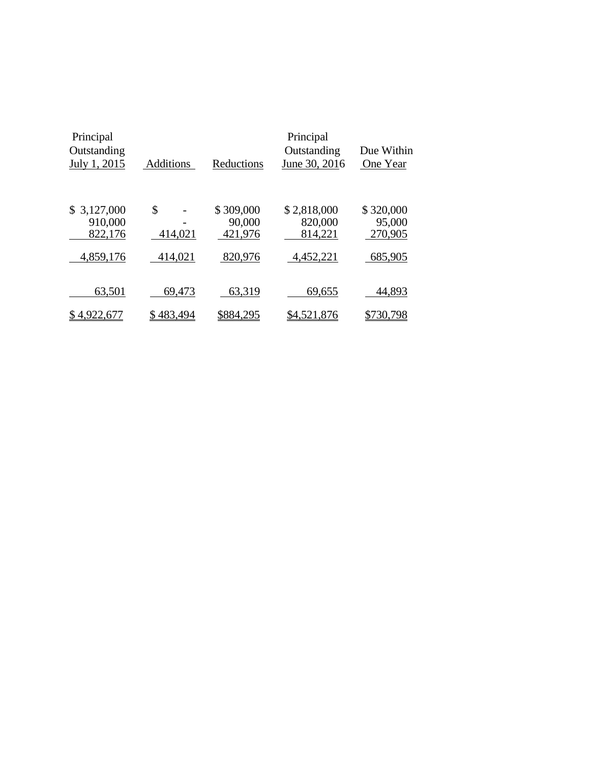| Principal<br>Outstanding<br>July 1, 2015 | Additions     | Reductions                     | Principal<br>Outstanding<br>June 30, 2016 | Due Within<br>One Year         |
|------------------------------------------|---------------|--------------------------------|-------------------------------------------|--------------------------------|
| 3,127,000<br>S.<br>910,000<br>822,176    | \$<br>414,021 | \$309,000<br>90,000<br>421,976 | \$2,818,000<br>820,000<br>814,221         | \$320,000<br>95,000<br>270,905 |
| 4,859,176                                | 414,021       | 820,976                        | 4,452,221                                 | 685,905                        |
|                                          |               |                                |                                           |                                |
| 63,501                                   | 69,473        | 63,319                         | 69,655                                    | 44,893                         |
| 4,922,<br>6                              | 483,494       | \$884,295                      | \$4,521,876                               | 30.                            |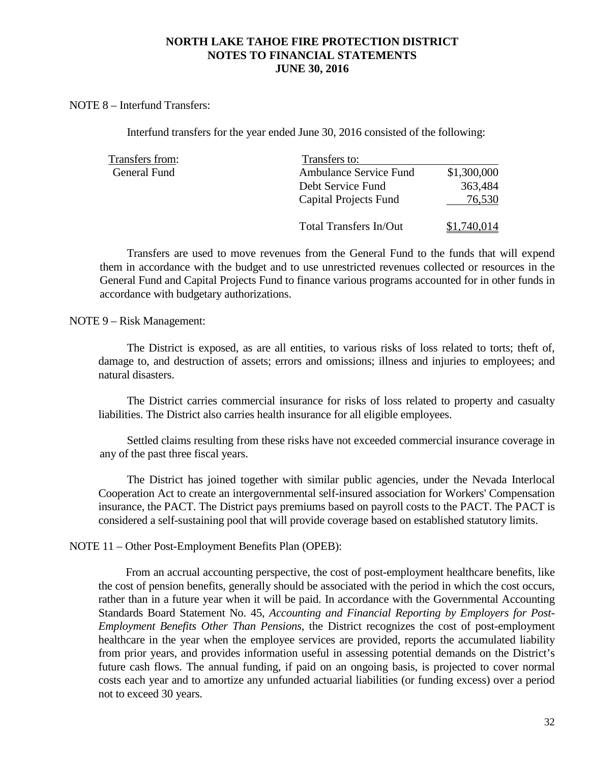### NOTE 8 – Interfund Transfers:

Interfund transfers for the year ended June 30, 2016 consisted of the following:

| Transfers from: | Transfers to:                 |             |
|-----------------|-------------------------------|-------------|
| General Fund    | <b>Ambulance Service Fund</b> | \$1,300,000 |
|                 | Debt Service Fund             | 363,484     |
|                 | Capital Projects Fund         | 76,530      |
|                 | <b>Total Transfers In/Out</b> | \$1,740,014 |

Transfers are used to move revenues from the General Fund to the funds that will expend them in accordance with the budget and to use unrestricted revenues collected or resources in the General Fund and Capital Projects Fund to finance various programs accounted for in other funds in accordance with budgetary authorizations.

### NOTE 9 – Risk Management:

The District is exposed, as are all entities, to various risks of loss related to torts; theft of, damage to, and destruction of assets; errors and omissions; illness and injuries to employees; and natural disasters.

The District carries commercial insurance for risks of loss related to property and casualty liabilities. The District also carries health insurance for all eligible employees.

Settled claims resulting from these risks have not exceeded commercial insurance coverage in any of the past three fiscal years.

The District has joined together with similar public agencies, under the Nevada Interlocal Cooperation Act to create an intergovernmental self-insured association for Workers' Compensation insurance, the PACT. The District pays premiums based on payroll costs to the PACT. The PACT is considered a self-sustaining pool that will provide coverage based on established statutory limits.

## NOTE 11 – Other Post-Employment Benefits Plan (OPEB):

From an accrual accounting perspective, the cost of post-employment healthcare benefits, like the cost of pension benefits, generally should be associated with the period in which the cost occurs, rather than in a future year when it will be paid. In accordance with the Governmental Accounting Standards Board Statement No. 45, *Accounting and Financial Reporting by Employers for Post-Employment Benefits Other Than Pensions,* the District recognizes the cost of post-employment healthcare in the year when the employee services are provided, reports the accumulated liability from prior years, and provides information useful in assessing potential demands on the District's future cash flows. The annual funding, if paid on an ongoing basis, is projected to cover normal costs each year and to amortize any unfunded actuarial liabilities (or funding excess) over a period not to exceed 30 years.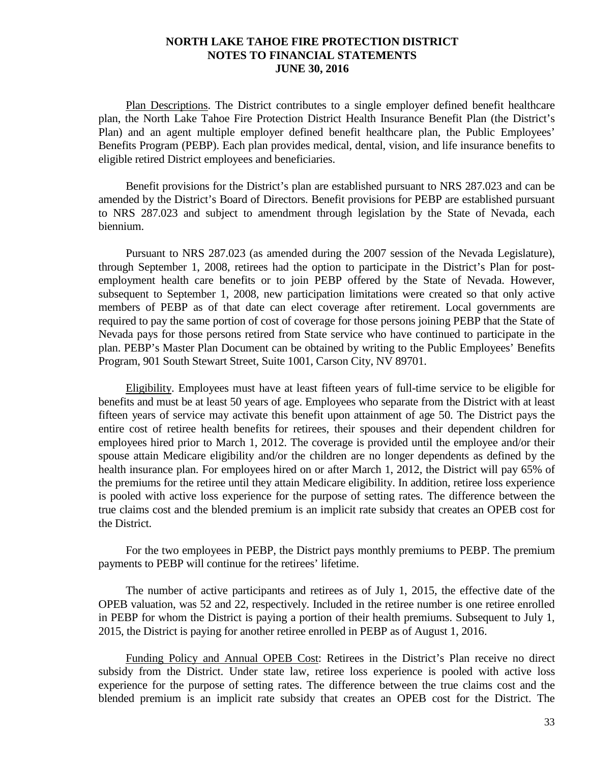Plan Descriptions. The District contributes to a single employer defined benefit healthcare plan, the North Lake Tahoe Fire Protection District Health Insurance Benefit Plan (the District's Plan) and an agent multiple employer defined benefit healthcare plan, the Public Employees' Benefits Program (PEBP). Each plan provides medical, dental, vision, and life insurance benefits to eligible retired District employees and beneficiaries.

Benefit provisions for the District's plan are established pursuant to NRS 287.023 and can be amended by the District's Board of Directors. Benefit provisions for PEBP are established pursuant to NRS 287.023 and subject to amendment through legislation by the State of Nevada, each biennium.

Pursuant to NRS 287.023 (as amended during the 2007 session of the Nevada Legislature), through September 1, 2008, retirees had the option to participate in the District's Plan for postemployment health care benefits or to join PEBP offered by the State of Nevada. However, subsequent to September 1, 2008, new participation limitations were created so that only active members of PEBP as of that date can elect coverage after retirement. Local governments are required to pay the same portion of cost of coverage for those persons joining PEBP that the State of Nevada pays for those persons retired from State service who have continued to participate in the plan. PEBP's Master Plan Document can be obtained by writing to the Public Employees' Benefits Program, 901 South Stewart Street, Suite 1001, Carson City, NV 89701.

Eligibility. Employees must have at least fifteen years of full-time service to be eligible for benefits and must be at least 50 years of age. Employees who separate from the District with at least fifteen years of service may activate this benefit upon attainment of age 50. The District pays the entire cost of retiree health benefits for retirees, their spouses and their dependent children for employees hired prior to March 1, 2012. The coverage is provided until the employee and/or their spouse attain Medicare eligibility and/or the children are no longer dependents as defined by the health insurance plan. For employees hired on or after March 1, 2012, the District will pay 65% of the premiums for the retiree until they attain Medicare eligibility. In addition, retiree loss experience is pooled with active loss experience for the purpose of setting rates. The difference between the true claims cost and the blended premium is an implicit rate subsidy that creates an OPEB cost for the District.

For the two employees in PEBP, the District pays monthly premiums to PEBP. The premium payments to PEBP will continue for the retirees' lifetime.

The number of active participants and retirees as of July 1, 2015, the effective date of the OPEB valuation, was 52 and 22, respectively. Included in the retiree number is one retiree enrolled in PEBP for whom the District is paying a portion of their health premiums. Subsequent to July 1, 2015, the District is paying for another retiree enrolled in PEBP as of August 1, 2016.

Funding Policy and Annual OPEB Cost: Retirees in the District's Plan receive no direct subsidy from the District. Under state law, retiree loss experience is pooled with active loss experience for the purpose of setting rates. The difference between the true claims cost and the blended premium is an implicit rate subsidy that creates an OPEB cost for the District. The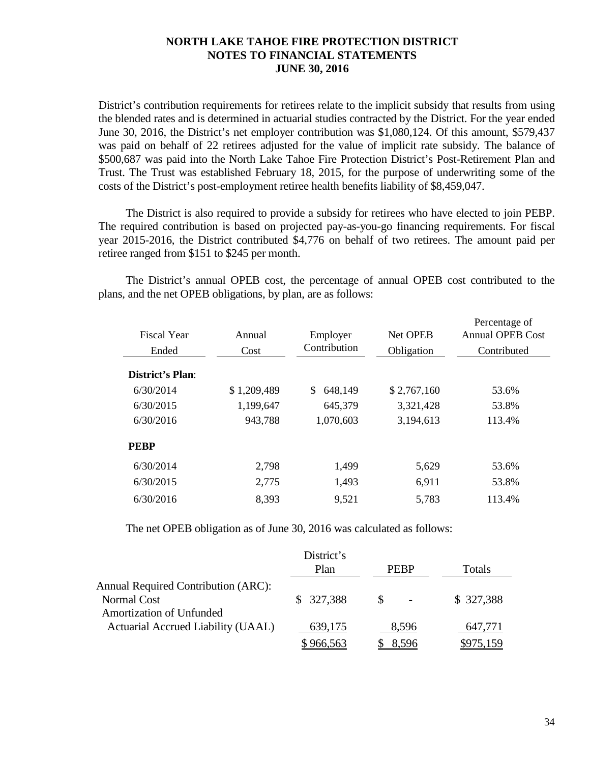District's contribution requirements for retirees relate to the implicit subsidy that results from using the blended rates and is determined in actuarial studies contracted by the District. For the year ended June 30, 2016, the District's net employer contribution was \$1,080,124. Of this amount, \$579,437 was paid on behalf of 22 retirees adjusted for the value of implicit rate subsidy. The balance of \$500,687 was paid into the North Lake Tahoe Fire Protection District's Post-Retirement Plan and Trust. The Trust was established February 18, 2015, for the purpose of underwriting some of the costs of the District's post-employment retiree health benefits liability of \$8,459,047.

The District is also required to provide a subsidy for retirees who have elected to join PEBP. The required contribution is based on projected pay-as-you-go financing requirements. For fiscal year 2015-2016, the District contributed \$4,776 on behalf of two retirees. The amount paid per retiree ranged from \$151 to \$245 per month.

The District's annual OPEB cost, the percentage of annual OPEB cost contributed to the plans, and the net OPEB obligations, by plan, are as follows:

| Fiscal Year<br>Ended | Annual<br>Cost | Employer<br>Contribution | <b>Net OPEB</b><br>Obligation | Percentage of<br><b>Annual OPEB Cost</b><br>Contributed |
|----------------------|----------------|--------------------------|-------------------------------|---------------------------------------------------------|
| District's Plan:     |                |                          |                               |                                                         |
| 6/30/2014            | \$1,209,489    | 648,149<br>S.            | \$2,767,160                   | 53.6%                                                   |
| 6/30/2015            | 1,199,647      | 645,379                  | 3,321,428                     | 53.8%                                                   |
| 6/30/2016            | 943,788        | 1,070,603                | 3,194,613                     | 113.4%                                                  |
| <b>PEBP</b>          |                |                          |                               |                                                         |
| 6/30/2014            | 2,798          | 1,499                    | 5,629                         | 53.6%                                                   |
| 6/30/2015            | 2,775          | 1,493                    | 6,911                         | 53.8%                                                   |
| 6/30/2016            | 8,393          | 9,521                    | 5,783                         | 113.4%                                                  |

The net OPEB obligation as of June 30, 2016 was calculated as follows:

|                                                                                              | District's<br>Plan | <b>PEBP</b> | Totals    |
|----------------------------------------------------------------------------------------------|--------------------|-------------|-----------|
| <b>Annual Required Contribution (ARC):</b><br>Normal Cost<br><b>Amortization of Unfunded</b> | \$327,388          |             | \$327,388 |
| Actuarial Accrued Liability (UAAL)                                                           | 639,175            | 8.596       | 647,771   |
|                                                                                              | 966,563            | 8,596       |           |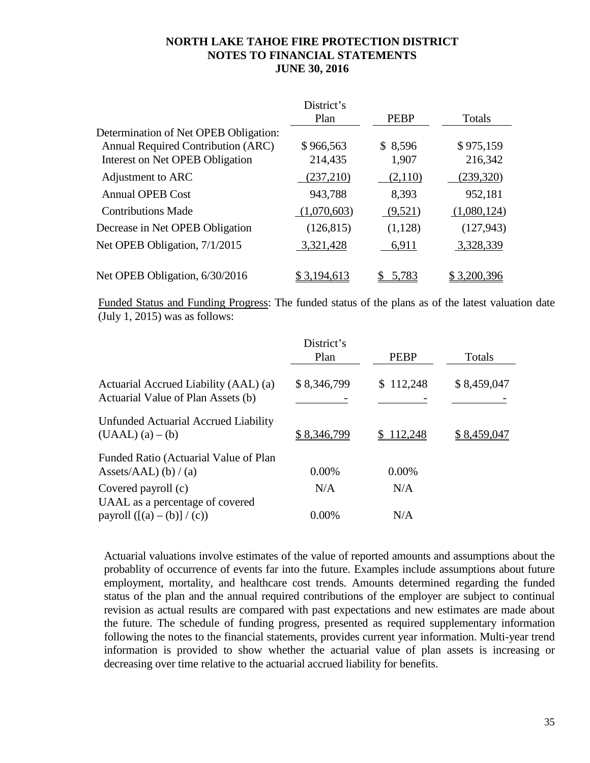|                                       | District's  |             |               |
|---------------------------------------|-------------|-------------|---------------|
|                                       | Plan        | <b>PEBP</b> | <b>Totals</b> |
| Determination of Net OPEB Obligation: |             |             |               |
| Annual Required Contribution (ARC)    | \$966,563   | \$8,596     | \$975,159     |
| Interest on Net OPEB Obligation       | 214,435     | 1,907       | 216,342       |
| Adjustment to ARC                     | (237,210)   | (2,110)     | (239, 320)    |
| <b>Annual OPEB Cost</b>               | 943,788     | 8,393       | 952,181       |
| <b>Contributions Made</b>             | (1,070,603) | (9,521)     | (1,080,124)   |
| Decrease in Net OPEB Obligation       | (126, 815)  | (1,128)     | (127, 943)    |
| Net OPEB Obligation, 7/1/2015         | 3,321,428   | 6,911       | 3,328,339     |
| Net OPEB Obligation, 6/30/2016        | \$3,194,613 | 5,783       | \$3,200,396   |

Funded Status and Funding Progress: The funded status of the plans as of the latest valuation date (July 1, 2015) was as follows:

|                                                                             | District's<br>Plan | <b>PEBP</b> | Totals      |
|-----------------------------------------------------------------------------|--------------------|-------------|-------------|
| Actuarial Accrued Liability (AAL) (a)<br>Actuarial Value of Plan Assets (b) | \$8,346,799        | \$112,248   | \$8,459,047 |
| Unfunded Actuarial Accrued Liability<br>$(UAAL)(a) - (b)$                   | \$8,346,799        | 112,248     | \$8,459,047 |
| Funded Ratio (Actuarial Value of Plan<br>Assets/AAL) (b) / (a)              | $0.00\%$           | $0.00\%$    |             |
| Covered payroll (c)                                                         | N/A                | N/A         |             |
| UAAL as a percentage of covered<br>payroll $([(a) - (b)] / (c))$            | $0.00\%$           | N/A         |             |

Actuarial valuations involve estimates of the value of reported amounts and assumptions about the probablity of occurrence of events far into the future. Examples include assumptions about future employment, mortality, and healthcare cost trends. Amounts determined regarding the funded status of the plan and the annual required contributions of the employer are subject to continual revision as actual results are compared with past expectations and new estimates are made about the future. The schedule of funding progress, presented as required supplementary information following the notes to the financial statements, provides current year information. Multi-year trend information is provided to show whether the actuarial value of plan assets is increasing or decreasing over time relative to the actuarial accrued liability for benefits.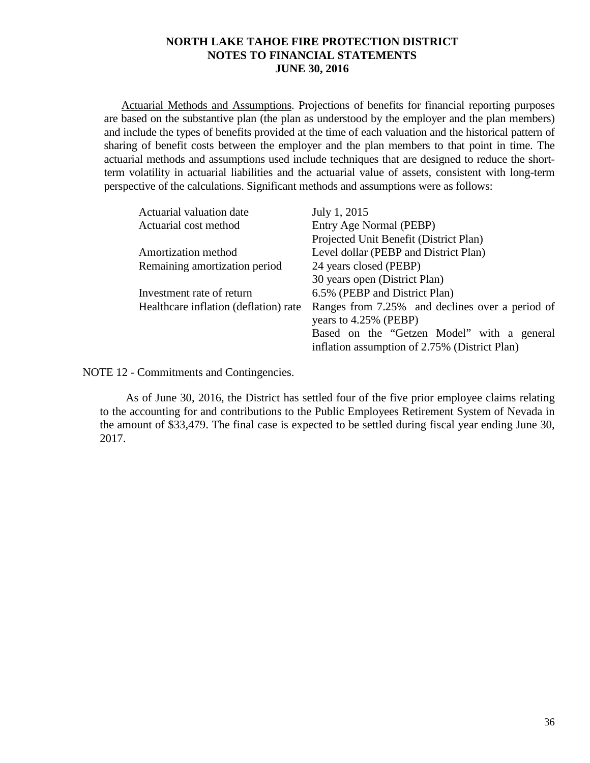Actuarial Methods and Assumptions. Projections of benefits for financial reporting purposes are based on the substantive plan (the plan as understood by the employer and the plan members) and include the types of benefits provided at the time of each valuation and the historical pattern of sharing of benefit costs between the employer and the plan members to that point in time. The actuarial methods and assumptions used include techniques that are designed to reduce the shortterm volatility in actuarial liabilities and the actuarial value of assets, consistent with long-term perspective of the calculations. Significant methods and assumptions were as follows:

| Actuarial valuation date              | July 1, 2015                                    |
|---------------------------------------|-------------------------------------------------|
| Actuarial cost method                 | Entry Age Normal (PEBP)                         |
|                                       | Projected Unit Benefit (District Plan)          |
| Amortization method                   | Level dollar (PEBP and District Plan)           |
| Remaining amortization period         | 24 years closed (PEBP)                          |
|                                       | 30 years open (District Plan)                   |
| Investment rate of return             | 6.5% (PEBP and District Plan)                   |
| Healthcare inflation (deflation) rate | Ranges from 7.25% and declines over a period of |
|                                       | years to 4.25% (PEBP)                           |
|                                       | Based on the "Getzen Model" with a general      |
|                                       | inflation assumption of 2.75% (District Plan)   |

NOTE 12 - Commitments and Contingencies.

As of June 30, 2016, the District has settled four of the five prior employee claims relating to the accounting for and contributions to the Public Employees Retirement System of Nevada in the amount of \$33,479. The final case is expected to be settled during fiscal year ending June 30, 2017.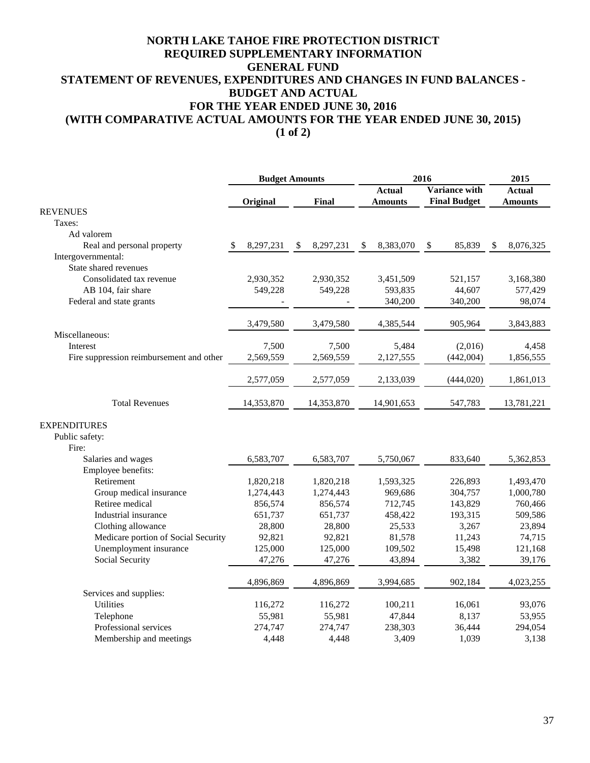# **NORTH LAKE TAHOE FIRE PROTECTION DISTRICT GENERAL FUND STATEMENT OF REVENUES, EXPENDITURES AND CHANGES IN FUND BALANCES - BUDGET AND ACTUAL FOR THE YEAR ENDED JUNE 30, 2016 REQUIRED SUPPLEMENTARY INFORMATION (WITH COMPARATIVE ACTUAL AMOUNTS FOR THE YEAR ENDED JUNE 30, 2015)**

**(1 of 2)**

|                                          |                  | <b>Budget Amounts</b> |                 | 2016                 |                 |
|------------------------------------------|------------------|-----------------------|-----------------|----------------------|-----------------|
|                                          |                  |                       | <b>Actual</b>   | <b>Variance with</b> | <b>Actual</b>   |
|                                          | Original         | <b>Final</b>          | <b>Amounts</b>  | <b>Final Budget</b>  | <b>Amounts</b>  |
| <b>REVENUES</b>                          |                  |                       |                 |                      |                 |
| Taxes:                                   |                  |                       |                 |                      |                 |
| Ad valorem                               |                  |                       |                 |                      |                 |
| Real and personal property               | 8,297,231<br>\$. | 8,297,231<br>\$       | \$<br>8,383,070 | 85,839<br>\$         | 8,076,325<br>S. |
| Intergovernmental:                       |                  |                       |                 |                      |                 |
| State shared revenues                    |                  |                       |                 |                      |                 |
| Consolidated tax revenue                 | 2,930,352        | 2,930,352             | 3,451,509       | 521,157              | 3,168,380       |
| AB 104, fair share                       | 549,228          | 549,228               | 593,835         | 44,607               | 577,429         |
| Federal and state grants                 |                  |                       | 340,200         | 340,200              | 98,074          |
|                                          | 3,479,580        | 3,479,580             | 4,385,544       | 905,964              | 3,843,883       |
| Miscellaneous:                           |                  |                       |                 |                      |                 |
| Interest                                 | 7,500            | 7,500                 | 5,484           | (2,016)              | 4,458           |
| Fire suppression reimbursement and other | 2,569,559        | 2,569,559             | 2,127,555       | (442,004)            | 1,856,555       |
|                                          | 2,577,059        | 2,577,059             | 2,133,039       | (444, 020)           | 1,861,013       |
| <b>Total Revenues</b>                    | 14,353,870       | 14,353,870            | 14,901,653      | 547,783              | 13,781,221      |
| <b>EXPENDITURES</b>                      |                  |                       |                 |                      |                 |
| Public safety:                           |                  |                       |                 |                      |                 |
| Fire:                                    |                  |                       |                 |                      |                 |
| Salaries and wages                       | 6,583,707        | 6,583,707             | 5,750,067       | 833,640              | 5,362,853       |
| Employee benefits:                       |                  |                       |                 |                      |                 |
| Retirement                               | 1,820,218        | 1,820,218             | 1,593,325       | 226,893              | 1,493,470       |
| Group medical insurance                  | 1,274,443        | 1,274,443             | 969,686         | 304,757              | 1,000,780       |
| Retiree medical                          | 856,574          | 856,574               | 712,745         | 143,829              | 760,466         |
| Industrial insurance                     | 651,737          | 651,737               | 458,422         | 193,315              | 509,586         |
| Clothing allowance                       | 28,800           | 28,800                | 25,533          | 3,267                | 23,894          |
| Medicare portion of Social Security      | 92,821           | 92,821                | 81,578          | 11,243               | 74,715          |
| Unemployment insurance                   | 125,000          | 125,000               | 109,502         | 15,498               | 121,168         |
| Social Security                          | 47,276           | 47,276                | 43,894          | 3,382                | 39,176          |
|                                          | 4,896,869        | 4,896,869             | 3,994,685       | 902,184              | 4,023,255       |
| Services and supplies:                   |                  |                       |                 |                      |                 |
| <b>Utilities</b>                         | 116,272          | 116,272               | 100,211         | 16,061               | 93,076          |
| Telephone                                | 55,981           | 55,981                | 47,844          | 8,137                | 53,955          |
| Professional services                    | 274,747          | 274,747               | 238,303         | 36,444               | 294,054         |
| Membership and meetings                  | 4,448            | 4,448                 | 3,409           | 1,039                | 3,138           |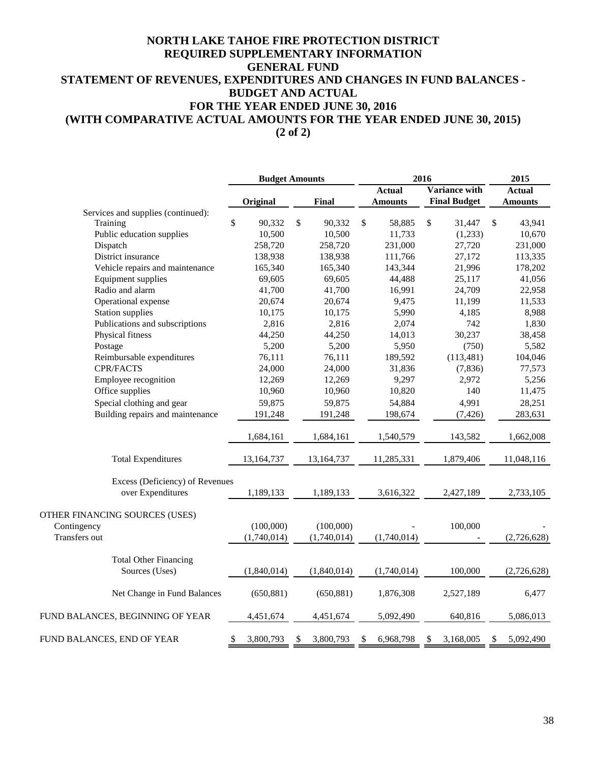# **NORTH LAKE TAHOE FIRE PROTECTION DISTRICT GENERAL FUND STATEMENT OF REVENUES, EXPENDITURES AND CHANGES IN FUND BALANCES - BUDGET AND ACTUAL FOR THE YEAR ENDED JUNE 30, 2016 (WITH COMPARATIVE ACTUAL AMOUNTS FOR THE YEAR ENDED JUNE 30, 2015) REQUIRED SUPPLEMENTARY INFORMATION**

**(2 of 2)**

|                                    |                 | <b>Budget Amounts</b> |                 | 2016                   |                 |
|------------------------------------|-----------------|-----------------------|-----------------|------------------------|-----------------|
|                                    |                 |                       | <b>Actual</b>   | <b>Variance with</b>   | <b>Actual</b>   |
|                                    | Original        | Final                 | <b>Amounts</b>  | <b>Final Budget</b>    | <b>Amounts</b>  |
| Services and supplies (continued): |                 |                       |                 |                        |                 |
| Training                           | \$<br>90,332    | \$<br>90,332          | \$<br>58,885    | $\mathbb{S}$<br>31,447 | \$<br>43,941    |
| Public education supplies          | 10,500          | 10,500                | 11,733          | (1,233)                | 10,670          |
| Dispatch                           | 258,720         | 258,720               | 231,000         | 27,720                 | 231,000         |
| District insurance                 | 138,938         | 138,938               | 111,766         | 27,172                 | 113,335         |
| Vehicle repairs and maintenance    | 165,340         | 165,340               | 143,344         | 21,996                 | 178,202         |
| Equipment supplies                 | 69,605          | 69,605                | 44,488          | 25,117                 | 41,056          |
| Radio and alarm                    | 41,700          | 41,700                | 16,991          | 24,709                 | 22,958          |
| Operational expense                | 20,674          | 20,674                | 9,475           | 11,199                 | 11,533          |
| <b>Station supplies</b>            | 10,175          | 10,175                | 5,990           | 4,185                  | 8,988           |
| Publications and subscriptions     | 2,816           | 2,816                 | 2,074           | 742                    | 1,830           |
| Physical fitness                   | 44,250          | 44,250                | 14,013          | 30,237                 | 38,458          |
| Postage                            | 5,200           | 5,200                 | 5,950           | (750)                  | 5,582           |
| Reimbursable expenditures          | 76,111          | 76,111                | 189,592         | (113, 481)             | 104,046         |
| <b>CPR/FACTS</b>                   | 24,000          | 24,000                | 31,836          | (7, 836)               | 77,573          |
| Employee recognition               | 12,269          | 12,269                | 9,297           | 2,972                  | 5,256           |
| Office supplies                    | 10,960          | 10,960                | 10,820          | 140                    | 11,475          |
| Special clothing and gear          | 59,875          | 59,875                | 54,884          | 4,991                  | 28,251          |
| Building repairs and maintenance   | 191,248         | 191,248               | 198,674         | (7, 426)               | 283,631         |
|                                    | 1,684,161       | 1,684,161             | 1,540,579       | 143,582                | 1,662,008       |
|                                    |                 |                       |                 |                        |                 |
| <b>Total Expenditures</b>          | 13,164,737      | 13,164,737            | 11,285,331      | 1,879,406              | 11,048,116      |
| Excess (Deficiency) of Revenues    |                 |                       |                 |                        |                 |
| over Expenditures                  | 1,189,133       | 1,189,133             | 3,616,322       | 2,427,189              | 2,733,105       |
| OTHER FINANCING SOURCES (USES)     |                 |                       |                 |                        |                 |
| Contingency                        | (100,000)       | (100,000)             |                 | 100,000                |                 |
| Transfers out                      | (1,740,014)     | (1,740,014)           | (1,740,014)     |                        | (2,726,628)     |
| <b>Total Other Financing</b>       |                 |                       |                 |                        |                 |
| Sources (Uses)                     | (1,840,014)     | (1,840,014)           | (1,740,014)     | 100,000                | (2,726,628)     |
| Net Change in Fund Balances        | (650, 881)      | (650, 881)            | 1,876,308       | 2,527,189              | 6,477           |
| FUND BALANCES, BEGINNING OF YEAR   | 4,451,674       | 4,451,674             | 5,092,490       | 640,816                | 5,086,013       |
| FUND BALANCES, END OF YEAR         | \$<br>3,800,793 | 3,800,793<br>\$       | \$<br>6,968,798 | 3,168,005<br>\$        | \$<br>5,092,490 |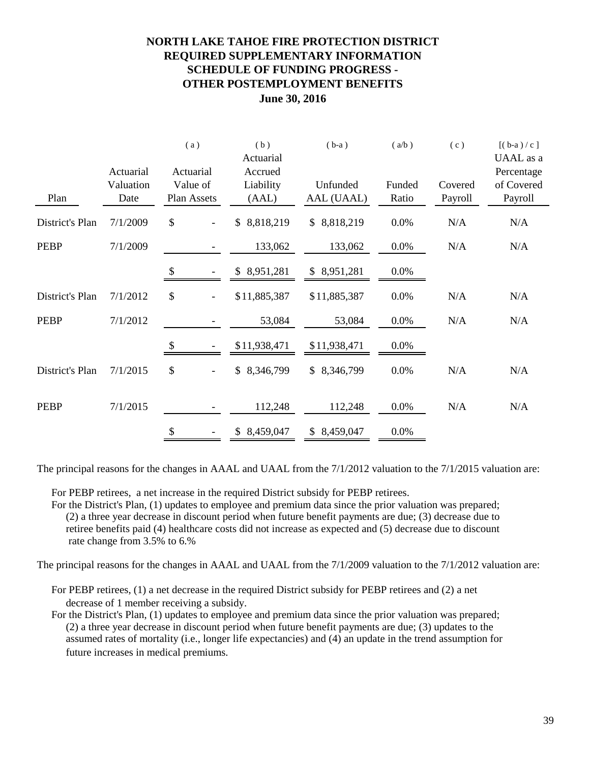# **NORTH LAKE TAHOE FIRE PROTECTION DISTRICT REQUIRED SUPPLEMENTARY INFORMATION SCHEDULE OF FUNDING PROGRESS - OTHER POSTEMPLOYMENT BENEFITS June 30, 2016**

|                 |           |                           | (a)         | (b)                        | $(b-a)$         | (a/b)  | (c)     | $[(b-a)/c]$             |
|-----------------|-----------|---------------------------|-------------|----------------------------|-----------------|--------|---------|-------------------------|
|                 | Actuarial |                           | Actuarial   | Actuarial<br>Accrued       |                 |        |         | UAAL as a<br>Percentage |
|                 | Valuation |                           | Value of    | Liability                  | Unfunded        | Funded | Covered | of Covered              |
| Plan            | Date      |                           | Plan Assets | (AAL)                      | AAL (UAAL)      | Ratio  | Payroll | Payroll                 |
| District's Plan | 7/1/2009  | \$                        |             | 8,818,219<br>$\mathbb{S}$  | \$8,818,219     | 0.0%   | N/A     | N/A                     |
| <b>PEBP</b>     | 7/1/2009  |                           |             | 133,062                    | 133,062         | 0.0%   | N/A     | N/A                     |
|                 |           | \$                        |             | 8,951,281<br>$\mathcal{S}$ | \$8,951,281     | 0.0%   |         |                         |
| District's Plan | 7/1/2012  | \$                        |             | \$11,885,387               | \$11,885,387    | 0.0%   | N/A     | N/A                     |
| <b>PEBP</b>     | 7/1/2012  |                           |             | 53,084                     | 53,084          | 0.0%   | N/A     | N/A                     |
|                 |           | $\boldsymbol{\mathsf{S}}$ |             | \$11,938,471               | \$11,938,471    | 0.0%   |         |                         |
| District's Plan | 7/1/2015  | \$                        |             | \$<br>8,346,799            | \$ 8,346,799    | 0.0%   | N/A     | N/A                     |
| <b>PEBP</b>     | 7/1/2015  |                           |             | 112,248                    | 112,248         | 0.0%   | N/A     | N/A                     |
|                 |           | \$                        |             | 8,459,047<br>\$            | 8,459,047<br>\$ | 0.0%   |         |                         |

The principal reasons for the changes in AAAL and UAAL from the 7/1/2012 valuation to the 7/1/2015 valuation are:

For PEBP retirees, a net increase in the required District subsidy for PEBP retirees.

For the District's Plan, (1) updates to employee and premium data since the prior valuation was prepared; (2) a three year decrease in discount period when future benefit payments are due; (3) decrease due to retiree benefits paid (4) healthcare costs did not increase as expected and (5) decrease due to discount rate change from 3.5% to 6.%

The principal reasons for the changes in AAAL and UAAL from the 7/1/2009 valuation to the 7/1/2012 valuation are:

For PEBP retirees, (1) a net decrease in the required District subsidy for PEBP retirees and (2) a net decrease of 1 member receiving a subsidy.

For the District's Plan, (1) updates to employee and premium data since the prior valuation was prepared; (2) a three year decrease in discount period when future benefit payments are due; (3) updates to the assumed rates of mortality (i.e., longer life expectancies) and (4) an update in the trend assumption for future increases in medical premiums.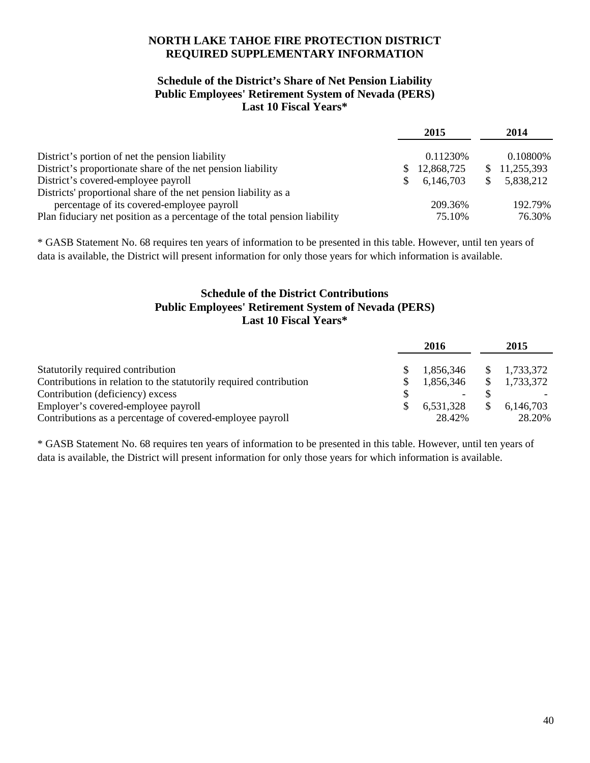# **NORTH LAKE TAHOE FIRE PROTECTION DISTRICT REQUIRED SUPPLEMENTARY INFORMATION**

## **Schedule of the District's Share of Net Pension Liability Public Employees' Retirement System of Nevada (PERS) Last 10 Fiscal Years\***

|                                                                            | 2015       | 2014         |
|----------------------------------------------------------------------------|------------|--------------|
| District's portion of net the pension liability                            | 0.11230\%  | 0.10800\%    |
| District's proportionate share of the net pension liability                | 12,868,725 | \$11,255,393 |
| District's covered-employee payroll                                        | 6,146,703  | 5,838,212    |
| Districts' proportional share of the net pension liability as a            |            |              |
| percentage of its covered-employee payroll                                 | 209.36%    | 192.79%      |
| Plan fiduciary net position as a percentage of the total pension liability | 75.10%     | 76.30%       |

\* GASB Statement No. 68 requires ten years of information to be presented in this table. However, until ten years of data is available, the District will present information for only those years for which information is available.

# **Public Employees' Retirement System of Nevada (PERS) Last 10 Fiscal Years\* Schedule of the District Contributions**

|                                                                    | 2016      | 2015                  |
|--------------------------------------------------------------------|-----------|-----------------------|
| Statutorily required contribution                                  | 1.856.346 | $\frac{1,733,372}{2}$ |
| Contributions in relation to the statutorily required contribution | 1,856,346 | 1,733,372             |
| Contribution (deficiency) excess                                   |           |                       |
| Employer's covered-employee payroll                                | 6,531,328 | 6,146,703             |
| Contributions as a percentage of covered-employee payroll          | 28.42%    | 28.20%                |

\* GASB Statement No. 68 requires ten years of information to be presented in this table. However, until ten years of data is available, the District will present information for only those years for which information is available.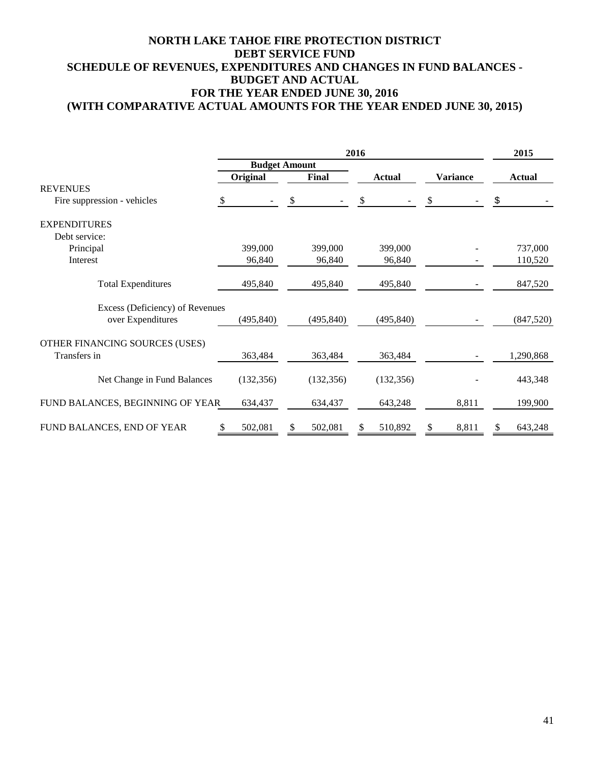# **NORTH LAKE TAHOE FIRE PROTECTION DISTRICT DEBT SERVICE FUND SCHEDULE OF REVENUES, EXPENDITURES AND CHANGES IN FUND BALANCES - BUDGET AND ACTUAL FOR THE YEAR ENDED JUNE 30, 2016 (WITH COMPARATIVE ACTUAL AMOUNTS FOR THE YEAR ENDED JUNE 30, 2015)**

|                                                       | 2016       |                      |               |                 | 2015          |
|-------------------------------------------------------|------------|----------------------|---------------|-----------------|---------------|
|                                                       |            | <b>Budget Amount</b> |               |                 |               |
|                                                       | Original   | <b>Final</b>         | <b>Actual</b> | <b>Variance</b> | <b>Actual</b> |
| <b>REVENUES</b><br>Fire suppression - vehicles<br>-SS |            | \$                   | \$            | \$              | \$            |
| <b>EXPENDITURES</b>                                   |            |                      |               |                 |               |
| Debt service:                                         |            |                      |               |                 |               |
| Principal                                             | 399,000    | 399,000              | 399,000       |                 | 737,000       |
| Interest                                              | 96,840     | 96,840               | 96,840        |                 | 110,520       |
| <b>Total Expenditures</b>                             | 495,840    | 495,840              | 495,840       |                 | 847,520       |
| Excess (Deficiency) of Revenues<br>over Expenditures  | (495, 840) | (495, 840)           | (495, 840)    |                 | (847,520)     |
| OTHER FINANCING SOURCES (USES)<br>Transfers in        | 363,484    | 363,484              | 363,484       |                 | 1,290,868     |
| Net Change in Fund Balances                           | (132, 356) | (132, 356)           | (132, 356)    |                 | 443,348       |
| FUND BALANCES, BEGINNING OF YEAR                      | 634,437    | 634,437              | 643,248       | 8,811           | 199,900       |
| FUND BALANCES, END OF YEAR                            | 502,081    | 502,081              | 510,892       | 8,811           | 643,248       |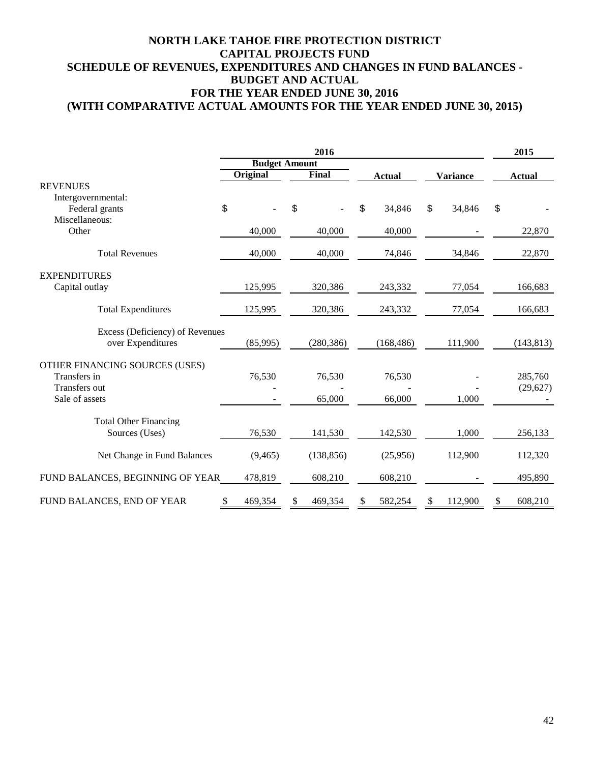# **NORTH LAKE TAHOE FIRE PROTECTION DISTRICT CAPITAL PROJECTS FUND SCHEDULE OF REVENUES, EXPENDITURES AND CHANGES IN FUND BALANCES - BUDGET AND ACTUAL FOR THE YEAR ENDED JUNE 30, 2016 (WITH COMPARATIVE ACTUAL AMOUNTS FOR THE YEAR ENDED JUNE 30, 2015)**

| 2016                             |                      |          |    |            | 2015 |               |                 |         |               |
|----------------------------------|----------------------|----------|----|------------|------|---------------|-----------------|---------|---------------|
|                                  | <b>Budget Amount</b> |          |    |            |      |               |                 |         |               |
|                                  |                      | Original |    | Final      |      | <b>Actual</b> | <b>Variance</b> |         | <b>Actual</b> |
| <b>REVENUES</b>                  |                      |          |    |            |      |               |                 |         |               |
| Intergovernmental:               |                      |          |    |            |      |               |                 |         |               |
| Federal grants                   | \$                   |          | \$ |            | \$   | 34,846        | \$              | 34,846  | \$            |
| Miscellaneous:                   |                      |          |    |            |      |               |                 |         |               |
| Other                            |                      | 40,000   |    | 40,000     |      | 40,000        |                 |         | 22,870        |
| <b>Total Revenues</b>            |                      | 40,000   |    | 40,000     |      | 74,846        |                 | 34,846  | 22,870        |
| <b>EXPENDITURES</b>              |                      |          |    |            |      |               |                 |         |               |
| Capital outlay                   |                      | 125,995  |    | 320,386    |      | 243,332       |                 | 77,054  | 166,683       |
| <b>Total Expenditures</b>        |                      | 125,995  |    | 320,386    |      | 243,332       |                 | 77,054  | 166,683       |
| Excess (Deficiency) of Revenues  |                      |          |    |            |      |               |                 |         |               |
| over Expenditures                |                      | (85,995) |    | (280, 386) |      | (168, 486)    |                 | 111,900 | (143, 813)    |
| OTHER FINANCING SOURCES (USES)   |                      |          |    |            |      |               |                 |         |               |
| Transfers in                     |                      | 76,530   |    | 76,530     |      | 76,530        |                 |         | 285,760       |
| Transfers out                    |                      |          |    |            |      |               |                 |         | (29,627)      |
| Sale of assets                   |                      |          |    | 65,000     |      | 66,000        |                 | 1,000   |               |
| <b>Total Other Financing</b>     |                      |          |    |            |      |               |                 |         |               |
| Sources (Uses)                   |                      | 76,530   |    | 141,530    |      | 142,530       |                 | 1,000   | 256,133       |
| Net Change in Fund Balances      |                      | (9, 465) |    | (138, 856) |      | (25,956)      |                 | 112,900 | 112,320       |
| FUND BALANCES, BEGINNING OF YEAR |                      | 478,819  |    | 608,210    |      | 608,210       |                 |         | 495,890       |
| FUND BALANCES, END OF YEAR       | \$                   | 469,354  | \$ | 469,354    | \$   | 582,254       | S.              | 112,900 | \$<br>608,210 |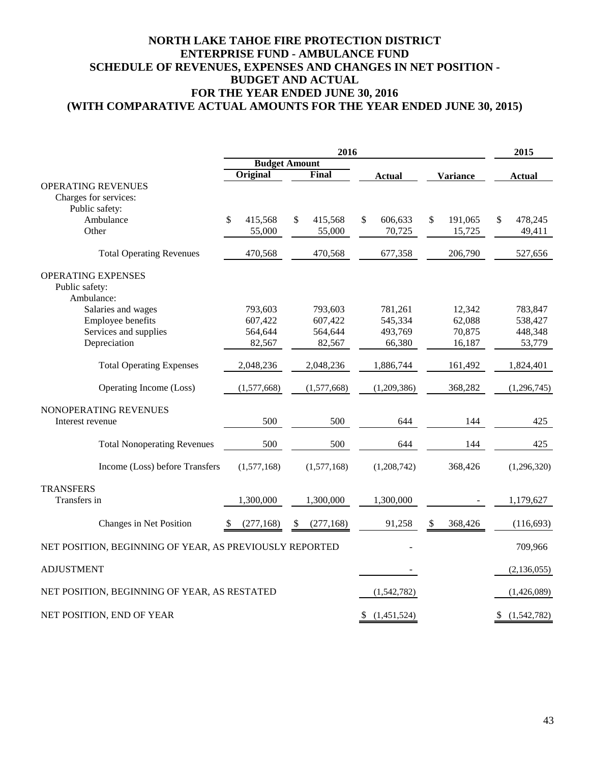# **(WITH COMPARATIVE ACTUAL AMOUNTS FOR THE YEAR ENDED JUNE 30, 2015) NORTH LAKE TAHOE FIRE PROTECTION DISTRICT ENTERPRISE FUND - AMBULANCE FUND SCHEDULE OF REVENUES, EXPENSES AND CHANGES IN NET POSITION - BUDGET AND ACTUAL FOR THE YEAR ENDED JUNE 30, 2016**

|                                                         |               | 2015                 |                   |                 |                   |
|---------------------------------------------------------|---------------|----------------------|-------------------|-----------------|-------------------|
|                                                         |               | <b>Budget Amount</b> |                   |                 |                   |
|                                                         | Original      | Final                | <b>Actual</b>     | <b>Variance</b> | <b>Actual</b>     |
| <b>OPERATING REVENUES</b>                               |               |                      |                   |                 |                   |
| Charges for services:                                   |               |                      |                   |                 |                   |
| Public safety:                                          |               |                      |                   |                 |                   |
| Ambulance                                               | \$<br>415,568 | \$<br>415,568        | \$<br>606,633     | \$<br>191,065   | 478,245<br>\$     |
| Other                                                   | 55,000        | 55,000               | 70,725            | 15,725          | 49,411            |
| <b>Total Operating Revenues</b>                         | 470,568       | 470,568              | 677,358           | 206,790         | 527,656           |
| <b>OPERATING EXPENSES</b>                               |               |                      |                   |                 |                   |
| Public safety:                                          |               |                      |                   |                 |                   |
| Ambulance:                                              |               |                      |                   |                 |                   |
| Salaries and wages                                      | 793,603       | 793,603              | 781,261           | 12,342          | 783,847           |
| Employee benefits                                       | 607,422       | 607,422              | 545,334           | 62,088          | 538,427           |
| Services and supplies                                   | 564,644       | 564,644              | 493,769           | 70,875          | 448,348           |
| Depreciation                                            | 82,567        | 82,567               | 66,380            | 16,187          | 53,779            |
| <b>Total Operating Expenses</b>                         | 2,048,236     | 2,048,236            | 1,886,744         | 161,492         | 1,824,401         |
| Operating Income (Loss)                                 | (1,577,668)   | (1,577,668)          | (1,209,386)       | 368,282         | (1,296,745)       |
| NONOPERATING REVENUES                                   |               |                      |                   |                 |                   |
| Interest revenue                                        | 500           | 500                  | 644               | 144             | 425               |
|                                                         |               |                      |                   |                 |                   |
| <b>Total Nonoperating Revenues</b>                      | 500           | 500                  | 644               | 144             | 425               |
| Income (Loss) before Transfers                          | (1,577,168)   | (1,577,168)          | (1,208,742)       | 368,426         | (1,296,320)       |
| <b>TRANSFERS</b>                                        |               |                      |                   |                 |                   |
| Transfers in                                            | 1,300,000     | 1,300,000            | 1,300,000         |                 | 1,179,627         |
| Changes in Net Position                                 | (277, 168)    | (277, 168)           | 91,258            | 368,426         | (116, 693)        |
| NET POSITION, BEGINNING OF YEAR, AS PREVIOUSLY REPORTED |               |                      |                   |                 | 709,966           |
| <b>ADJUSTMENT</b>                                       |               |                      |                   |                 | (2, 136, 055)     |
| NET POSITION, BEGINNING OF YEAR, AS RESTATED            |               |                      | (1,542,782)       |                 | (1,426,089)       |
| NET POSITION, END OF YEAR                               |               |                      | (1,451,524)<br>\$ |                 | (1,542,782)<br>\$ |
|                                                         |               |                      |                   |                 |                   |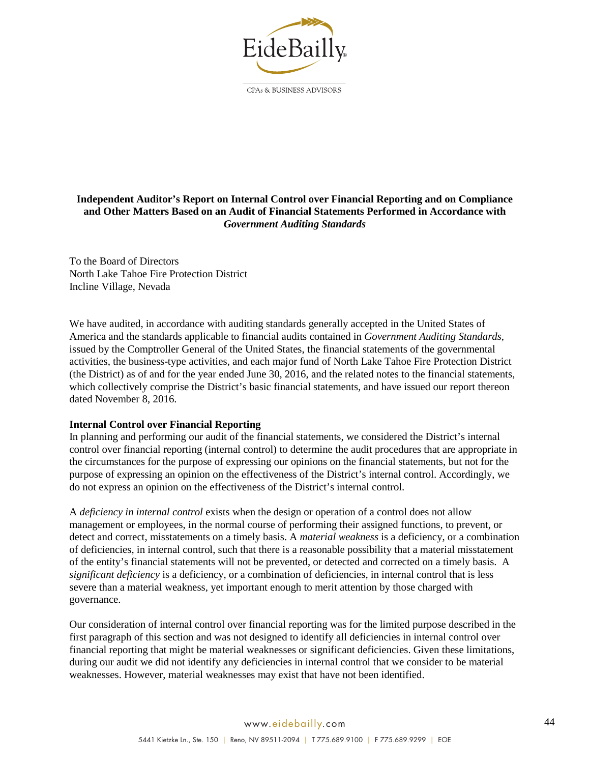

### **Independent Auditor's Report on Internal Control over Financial Reporting and on Compliance and Other Matters Based on an Audit of Financial Statements Performed in Accordance with** *Government Auditing Standards*

To the Board of Directors North Lake Tahoe Fire Protection District Incline Village, Nevada

We have audited, in accordance with auditing standards generally accepted in the United States of America and the standards applicable to financial audits contained in *Government Auditing Standards*, issued by the Comptroller General of the United States, the financial statements of the governmental activities, the business-type activities, and each major fund of North Lake Tahoe Fire Protection District (the District) as of and for the year ended June 30, 2016, and the related notes to the financial statements, which collectively comprise the District's basic financial statements, and have issued our report thereon dated November 8, 2016.

## **Internal Control over Financial Reporting**

In planning and performing our audit of the financial statements, we considered the District's internal control over financial reporting (internal control) to determine the audit procedures that are appropriate in the circumstances for the purpose of expressing our opinions on the financial statements, but not for the purpose of expressing an opinion on the effectiveness of the District's internal control. Accordingly, we do not express an opinion on the effectiveness of the District's internal control.

A *deficiency in internal control* exists when the design or operation of a control does not allow management or employees, in the normal course of performing their assigned functions, to prevent, or detect and correct, misstatements on a timely basis. A *material weakness* is a deficiency, or a combination of deficiencies, in internal control, such that there is a reasonable possibility that a material misstatement of the entity's financial statements will not be prevented, or detected and corrected on a timely basis. A *significant deficiency* is a deficiency, or a combination of deficiencies, in internal control that is less severe than a material weakness, yet important enough to merit attention by those charged with governance.

Our consideration of internal control over financial reporting was for the limited purpose described in the first paragraph of this section and was not designed to identify all deficiencies in internal control over financial reporting that might be material weaknesses or significant deficiencies. Given these limitations, during our audit we did not identify any deficiencies in internal control that we consider to be material weaknesses. However, material weaknesses may exist that have not been identified.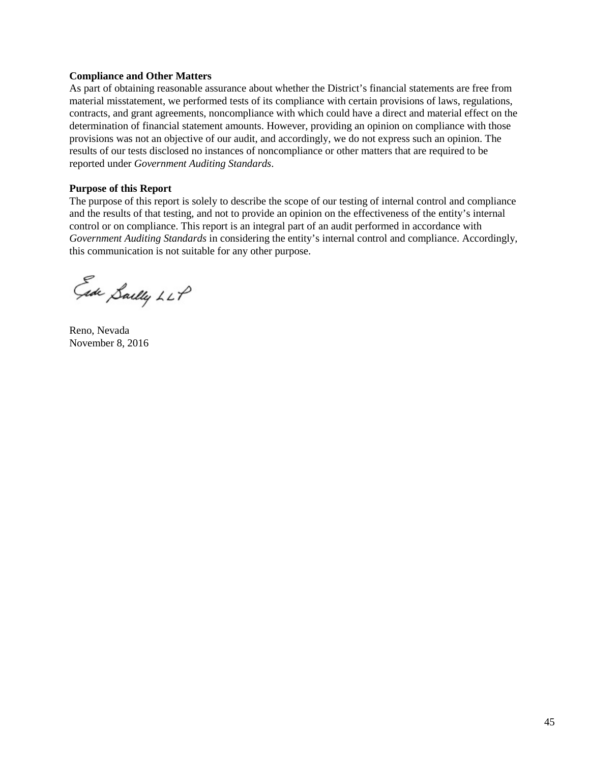### **Compliance and Other Matters**

As part of obtaining reasonable assurance about whether the District's financial statements are free from material misstatement, we performed tests of its compliance with certain provisions of laws, regulations, contracts, and grant agreements, noncompliance with which could have a direct and material effect on the determination of financial statement amounts. However, providing an opinion on compliance with those provisions was not an objective of our audit, and accordingly, we do not express such an opinion. The results of our tests disclosed no instances of noncompliance or other matters that are required to be reported under *Government Auditing Standards*.

#### **Purpose of this Report**

The purpose of this report is solely to describe the scope of our testing of internal control and compliance and the results of that testing, and not to provide an opinion on the effectiveness of the entity's internal control or on compliance. This report is an integral part of an audit performed in accordance with *Government Auditing Standards* in considering the entity's internal control and compliance. Accordingly, this communication is not suitable for any other purpose.

Ede Sailly LLP

Reno, Nevada November 8, 2016